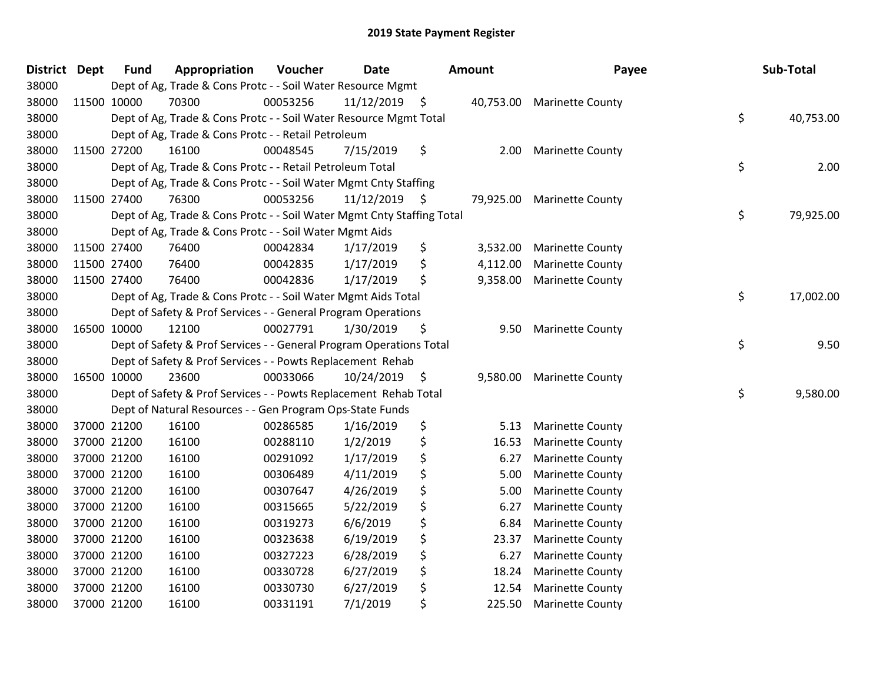| <b>District</b> | <b>Dept</b> | <b>Fund</b> | Appropriation                                                          | Voucher  | <b>Date</b>     | Amount         | Payee                   | Sub-Total       |
|-----------------|-------------|-------------|------------------------------------------------------------------------|----------|-----------------|----------------|-------------------------|-----------------|
| 38000           |             |             | Dept of Ag, Trade & Cons Protc - - Soil Water Resource Mgmt            |          |                 |                |                         |                 |
| 38000           |             | 11500 10000 | 70300                                                                  | 00053256 | $11/12/2019$ \$ | 40,753.00      | <b>Marinette County</b> |                 |
| 38000           |             |             | Dept of Ag, Trade & Cons Protc - - Soil Water Resource Mgmt Total      |          |                 |                |                         | \$<br>40,753.00 |
| 38000           |             |             | Dept of Ag, Trade & Cons Protc - - Retail Petroleum                    |          |                 |                |                         |                 |
| 38000           |             | 11500 27200 | 16100                                                                  | 00048545 | 7/15/2019       | \$<br>2.00     | <b>Marinette County</b> |                 |
| 38000           |             |             | Dept of Ag, Trade & Cons Protc - - Retail Petroleum Total              |          |                 |                |                         | \$<br>2.00      |
| 38000           |             |             | Dept of Ag, Trade & Cons Protc - - Soil Water Mgmt Cnty Staffing       |          |                 |                |                         |                 |
| 38000           |             | 11500 27400 | 76300                                                                  | 00053256 | $11/12/2019$ \$ | 79,925.00      | <b>Marinette County</b> |                 |
| 38000           |             |             | Dept of Ag, Trade & Cons Protc - - Soil Water Mgmt Cnty Staffing Total |          |                 |                |                         | \$<br>79,925.00 |
| 38000           |             |             | Dept of Ag, Trade & Cons Protc - - Soil Water Mgmt Aids                |          |                 |                |                         |                 |
| 38000           |             | 11500 27400 | 76400                                                                  | 00042834 | 1/17/2019       | \$<br>3,532.00 | <b>Marinette County</b> |                 |
| 38000           |             | 11500 27400 | 76400                                                                  | 00042835 | 1/17/2019       | \$<br>4,112.00 | <b>Marinette County</b> |                 |
| 38000           |             | 11500 27400 | 76400                                                                  | 00042836 | 1/17/2019       | \$<br>9,358.00 | <b>Marinette County</b> |                 |
| 38000           |             |             | Dept of Ag, Trade & Cons Protc - - Soil Water Mgmt Aids Total          |          |                 |                |                         | \$<br>17,002.00 |
| 38000           |             |             | Dept of Safety & Prof Services - - General Program Operations          |          |                 |                |                         |                 |
| 38000           |             | 16500 10000 | 12100                                                                  | 00027791 | 1/30/2019       | \$<br>9.50     | <b>Marinette County</b> |                 |
| 38000           |             |             | Dept of Safety & Prof Services - - General Program Operations Total    |          |                 |                |                         | \$<br>9.50      |
| 38000           |             |             | Dept of Safety & Prof Services - - Powts Replacement Rehab             |          |                 |                |                         |                 |
| 38000           |             | 16500 10000 | 23600                                                                  | 00033066 | 10/24/2019 \$   | 9,580.00       | <b>Marinette County</b> |                 |
| 38000           |             |             | Dept of Safety & Prof Services - - Powts Replacement Rehab Total       |          |                 |                |                         | \$<br>9,580.00  |
| 38000           |             |             | Dept of Natural Resources - - Gen Program Ops-State Funds              |          |                 |                |                         |                 |
| 38000           |             | 37000 21200 | 16100                                                                  | 00286585 | 1/16/2019       | \$<br>5.13     | <b>Marinette County</b> |                 |
| 38000           |             | 37000 21200 | 16100                                                                  | 00288110 | 1/2/2019        | \$<br>16.53    | <b>Marinette County</b> |                 |
| 38000           |             | 37000 21200 | 16100                                                                  | 00291092 | 1/17/2019       | \$<br>6.27     | <b>Marinette County</b> |                 |
| 38000           |             | 37000 21200 | 16100                                                                  | 00306489 | 4/11/2019       | \$<br>5.00     | <b>Marinette County</b> |                 |
| 38000           |             | 37000 21200 | 16100                                                                  | 00307647 | 4/26/2019       | \$<br>5.00     | <b>Marinette County</b> |                 |
| 38000           |             | 37000 21200 | 16100                                                                  | 00315665 | 5/22/2019       | \$<br>6.27     | <b>Marinette County</b> |                 |
| 38000           |             | 37000 21200 | 16100                                                                  | 00319273 | 6/6/2019        | \$<br>6.84     | <b>Marinette County</b> |                 |
| 38000           |             | 37000 21200 | 16100                                                                  | 00323638 | 6/19/2019       | \$<br>23.37    | <b>Marinette County</b> |                 |
| 38000           |             | 37000 21200 | 16100                                                                  | 00327223 | 6/28/2019       | \$<br>6.27     | <b>Marinette County</b> |                 |
| 38000           |             | 37000 21200 | 16100                                                                  | 00330728 | 6/27/2019       | \$<br>18.24    | <b>Marinette County</b> |                 |
| 38000           |             | 37000 21200 | 16100                                                                  | 00330730 | 6/27/2019       | \$<br>12.54    | <b>Marinette County</b> |                 |
| 38000           |             | 37000 21200 | 16100                                                                  | 00331191 | 7/1/2019        | \$<br>225.50   | <b>Marinette County</b> |                 |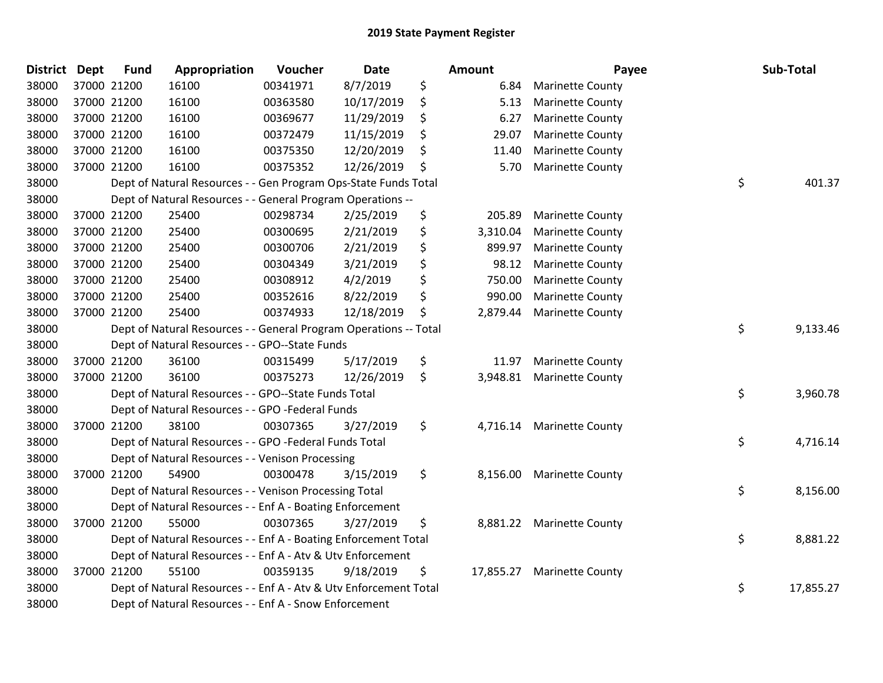| <b>District Dept</b> | <b>Fund</b> | Appropriation                                                     | Voucher  | <b>Date</b> | Amount          | Payee                     | Sub-Total       |
|----------------------|-------------|-------------------------------------------------------------------|----------|-------------|-----------------|---------------------------|-----------------|
| 38000                | 37000 21200 | 16100                                                             | 00341971 | 8/7/2019    | \$<br>6.84      | <b>Marinette County</b>   |                 |
| 38000                | 37000 21200 | 16100                                                             | 00363580 | 10/17/2019  | \$<br>5.13      | <b>Marinette County</b>   |                 |
| 38000                | 37000 21200 | 16100                                                             | 00369677 | 11/29/2019  | \$<br>6.27      | <b>Marinette County</b>   |                 |
| 38000                | 37000 21200 | 16100                                                             | 00372479 | 11/15/2019  | \$<br>29.07     | <b>Marinette County</b>   |                 |
| 38000                | 37000 21200 | 16100                                                             | 00375350 | 12/20/2019  | \$<br>11.40     | <b>Marinette County</b>   |                 |
| 38000                | 37000 21200 | 16100                                                             | 00375352 | 12/26/2019  | \$<br>5.70      | <b>Marinette County</b>   |                 |
| 38000                |             | Dept of Natural Resources - - Gen Program Ops-State Funds Total   |          |             |                 |                           | \$<br>401.37    |
| 38000                |             | Dept of Natural Resources - - General Program Operations --       |          |             |                 |                           |                 |
| 38000                | 37000 21200 | 25400                                                             | 00298734 | 2/25/2019   | \$<br>205.89    | <b>Marinette County</b>   |                 |
| 38000                | 37000 21200 | 25400                                                             | 00300695 | 2/21/2019   | \$<br>3,310.04  | <b>Marinette County</b>   |                 |
| 38000                | 37000 21200 | 25400                                                             | 00300706 | 2/21/2019   | \$<br>899.97    | <b>Marinette County</b>   |                 |
| 38000                | 37000 21200 | 25400                                                             | 00304349 | 3/21/2019   | \$<br>98.12     | <b>Marinette County</b>   |                 |
| 38000                | 37000 21200 | 25400                                                             | 00308912 | 4/2/2019    | \$<br>750.00    | <b>Marinette County</b>   |                 |
| 38000                | 37000 21200 | 25400                                                             | 00352616 | 8/22/2019   | \$<br>990.00    | <b>Marinette County</b>   |                 |
| 38000                | 37000 21200 | 25400                                                             | 00374933 | 12/18/2019  | \$<br>2,879.44  | <b>Marinette County</b>   |                 |
| 38000                |             | Dept of Natural Resources - - General Program Operations -- Total |          |             |                 |                           | \$<br>9,133.46  |
| 38000                |             | Dept of Natural Resources - - GPO--State Funds                    |          |             |                 |                           |                 |
| 38000                | 37000 21200 | 36100                                                             | 00315499 | 5/17/2019   | \$<br>11.97     | <b>Marinette County</b>   |                 |
| 38000                | 37000 21200 | 36100                                                             | 00375273 | 12/26/2019  | \$<br>3,948.81  | <b>Marinette County</b>   |                 |
| 38000                |             | Dept of Natural Resources - - GPO--State Funds Total              |          |             |                 |                           | \$<br>3,960.78  |
| 38000                |             | Dept of Natural Resources - - GPO -Federal Funds                  |          |             |                 |                           |                 |
| 38000                | 37000 21200 | 38100                                                             | 00307365 | 3/27/2019   | \$              | 4,716.14 Marinette County |                 |
| 38000                |             | Dept of Natural Resources - - GPO -Federal Funds Total            |          |             |                 |                           | \$<br>4,716.14  |
| 38000                |             | Dept of Natural Resources - - Venison Processing                  |          |             |                 |                           |                 |
| 38000                | 37000 21200 | 54900                                                             | 00300478 | 3/15/2019   | \$<br>8,156.00  | <b>Marinette County</b>   |                 |
| 38000                |             | Dept of Natural Resources - - Venison Processing Total            |          |             |                 |                           | \$<br>8,156.00  |
| 38000                |             | Dept of Natural Resources - - Enf A - Boating Enforcement         |          |             |                 |                           |                 |
| 38000                | 37000 21200 | 55000                                                             | 00307365 | 3/27/2019   | \$<br>8,881.22  | <b>Marinette County</b>   |                 |
| 38000                |             | Dept of Natural Resources - - Enf A - Boating Enforcement Total   |          |             |                 |                           | \$<br>8,881.22  |
| 38000                |             | Dept of Natural Resources - - Enf A - Atv & Utv Enforcement       |          |             |                 |                           |                 |
| 38000                | 37000 21200 | 55100                                                             | 00359135 | 9/18/2019   | \$<br>17,855.27 | <b>Marinette County</b>   |                 |
| 38000                |             | Dept of Natural Resources - - Enf A - Atv & Utv Enforcement Total |          |             |                 |                           | \$<br>17,855.27 |
| 38000                |             | Dept of Natural Resources - - Enf A - Snow Enforcement            |          |             |                 |                           |                 |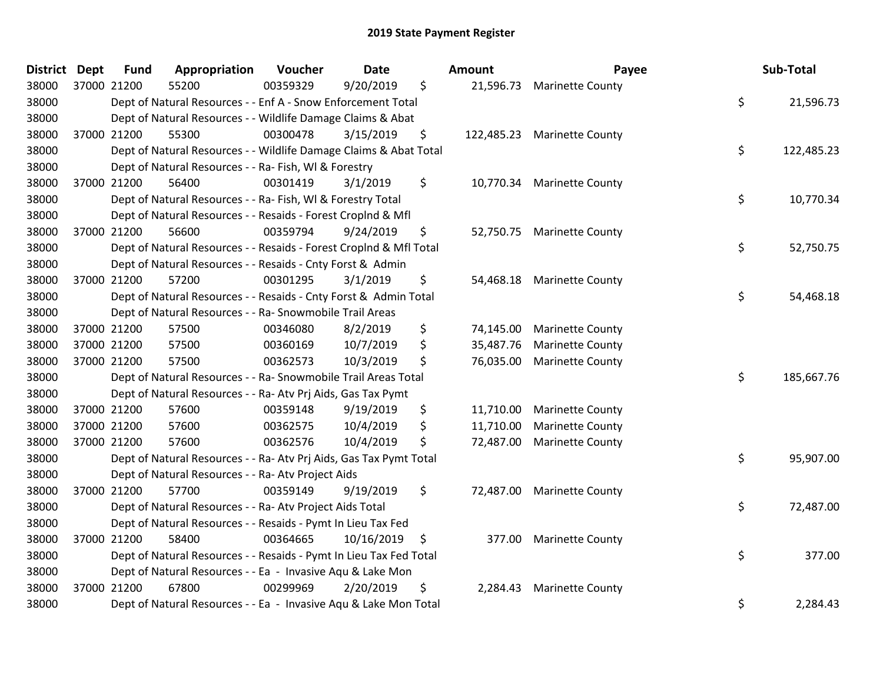| <b>District</b> | <b>Dept</b> | Appropriation<br><b>Fund</b>                                       | Voucher  | <b>Date</b>       | <b>Amount</b> | Payee                       | Sub-Total        |
|-----------------|-------------|--------------------------------------------------------------------|----------|-------------------|---------------|-----------------------------|------------------|
| 38000           |             | 55200<br>37000 21200                                               | 00359329 | \$<br>9/20/2019   | 21,596.73     | <b>Marinette County</b>     |                  |
| 38000           |             | Dept of Natural Resources - - Enf A - Snow Enforcement Total       |          |                   |               |                             | \$<br>21,596.73  |
| 38000           |             | Dept of Natural Resources - - Wildlife Damage Claims & Abat        |          |                   |               |                             |                  |
| 38000           |             | 55300<br>37000 21200                                               | 00300478 | 3/15/2019<br>\$   |               | 122,485.23 Marinette County |                  |
| 38000           |             | Dept of Natural Resources - - Wildlife Damage Claims & Abat Total  |          |                   |               |                             | \$<br>122,485.23 |
| 38000           |             | Dept of Natural Resources - - Ra- Fish, WI & Forestry              |          |                   |               |                             |                  |
| 38000           |             | 37000 21200<br>56400                                               | 00301419 | 3/1/2019<br>\$    | 10,770.34     | <b>Marinette County</b>     |                  |
| 38000           |             | Dept of Natural Resources - - Ra- Fish, WI & Forestry Total        |          |                   |               |                             | \$<br>10,770.34  |
| 38000           |             | Dept of Natural Resources - - Resaids - Forest Croplnd & Mfl       |          |                   |               |                             |                  |
| 38000           |             | 37000 21200<br>56600                                               | 00359794 | 9/24/2019<br>\$   |               | 52,750.75 Marinette County  |                  |
| 38000           |             | Dept of Natural Resources - - Resaids - Forest CropInd & Mfl Total |          |                   |               |                             | \$<br>52,750.75  |
| 38000           |             | Dept of Natural Resources - - Resaids - Cnty Forst & Admin         |          |                   |               |                             |                  |
| 38000           |             | 57200<br>37000 21200                                               | 00301295 | \$<br>3/1/2019    | 54,468.18     | <b>Marinette County</b>     |                  |
| 38000           |             | Dept of Natural Resources - - Resaids - Cnty Forst & Admin Total   |          |                   |               |                             | \$<br>54,468.18  |
| 38000           |             | Dept of Natural Resources - - Ra- Snowmobile Trail Areas           |          |                   |               |                             |                  |
| 38000           |             | 57500<br>37000 21200                                               | 00346080 | \$<br>8/2/2019    | 74,145.00     | <b>Marinette County</b>     |                  |
| 38000           |             | 37000 21200<br>57500                                               | 00360169 | \$<br>10/7/2019   | 35,487.76     | <b>Marinette County</b>     |                  |
| 38000           |             | 37000 21200<br>57500                                               | 00362573 | 10/3/2019<br>\$   | 76,035.00     | <b>Marinette County</b>     |                  |
| 38000           |             | Dept of Natural Resources - - Ra- Snowmobile Trail Areas Total     |          |                   |               |                             | \$<br>185,667.76 |
| 38000           |             | Dept of Natural Resources - - Ra- Atv Prj Aids, Gas Tax Pymt       |          |                   |               |                             |                  |
| 38000           |             | 57600<br>37000 21200                                               | 00359148 | 9/19/2019<br>\$   | 11,710.00     | <b>Marinette County</b>     |                  |
| 38000           |             | 37000 21200<br>57600                                               | 00362575 | 10/4/2019<br>\$   | 11,710.00     | <b>Marinette County</b>     |                  |
| 38000           |             | 37000 21200<br>57600                                               | 00362576 | 10/4/2019<br>\$   | 72,487.00     | <b>Marinette County</b>     |                  |
| 38000           |             | Dept of Natural Resources - - Ra- Atv Prj Aids, Gas Tax Pymt Total |          |                   |               |                             | \$<br>95,907.00  |
| 38000           |             | Dept of Natural Resources - - Ra- Atv Project Aids                 |          |                   |               |                             |                  |
| 38000           |             | 37000 21200<br>57700                                               | 00359149 | 9/19/2019<br>\$   | 72,487.00     | <b>Marinette County</b>     |                  |
| 38000           |             | Dept of Natural Resources - - Ra- Atv Project Aids Total           |          |                   |               |                             | \$<br>72,487.00  |
| 38000           |             | Dept of Natural Resources - - Resaids - Pymt In Lieu Tax Fed       |          |                   |               |                             |                  |
| 38000           |             | 37000 21200<br>58400                                               | 00364665 | 10/16/2019<br>-\$ | 377.00        | <b>Marinette County</b>     |                  |
| 38000           |             | Dept of Natural Resources - - Resaids - Pymt In Lieu Tax Fed Total |          |                   |               |                             | \$<br>377.00     |
| 38000           |             | Dept of Natural Resources - - Ea - Invasive Aqu & Lake Mon         |          |                   |               |                             |                  |
| 38000           |             | 37000 21200<br>67800                                               | 00299969 | 2/20/2019<br>\$   | 2,284.43      | <b>Marinette County</b>     |                  |
| 38000           |             | Dept of Natural Resources - - Ea - Invasive Aqu & Lake Mon Total   |          |                   |               |                             | \$<br>2,284.43   |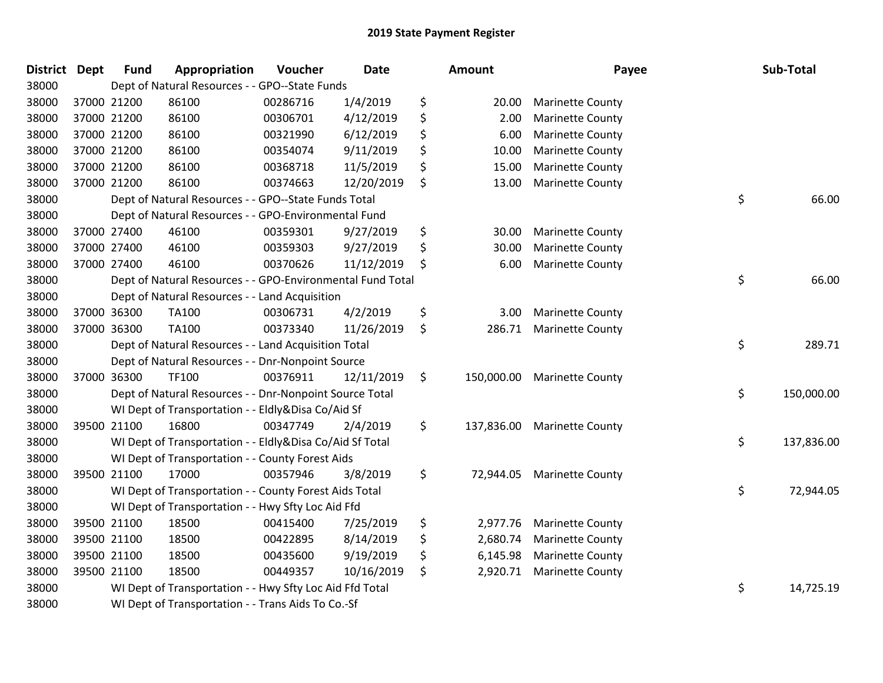| District Dept |             | <b>Fund</b> | Appropriation                                              | Voucher  | <b>Date</b> | Amount           | Payee                       | Sub-Total        |
|---------------|-------------|-------------|------------------------------------------------------------|----------|-------------|------------------|-----------------------------|------------------|
| 38000         |             |             | Dept of Natural Resources - - GPO--State Funds             |          |             |                  |                             |                  |
| 38000         | 37000 21200 |             | 86100                                                      | 00286716 | 1/4/2019    | \$<br>20.00      | <b>Marinette County</b>     |                  |
| 38000         | 37000 21200 |             | 86100                                                      | 00306701 | 4/12/2019   | \$<br>2.00       | <b>Marinette County</b>     |                  |
| 38000         | 37000 21200 |             | 86100                                                      | 00321990 | 6/12/2019   | \$<br>6.00       | <b>Marinette County</b>     |                  |
| 38000         | 37000 21200 |             | 86100                                                      | 00354074 | 9/11/2019   | \$<br>10.00      | <b>Marinette County</b>     |                  |
| 38000         | 37000 21200 |             | 86100                                                      | 00368718 | 11/5/2019   | \$<br>15.00      | <b>Marinette County</b>     |                  |
| 38000         | 37000 21200 |             | 86100                                                      | 00374663 | 12/20/2019  | \$<br>13.00      | <b>Marinette County</b>     |                  |
| 38000         |             |             | Dept of Natural Resources - - GPO--State Funds Total       |          |             |                  |                             | \$<br>66.00      |
| 38000         |             |             | Dept of Natural Resources - - GPO-Environmental Fund       |          |             |                  |                             |                  |
| 38000         | 37000 27400 |             | 46100                                                      | 00359301 | 9/27/2019   | \$<br>30.00      | <b>Marinette County</b>     |                  |
| 38000         | 37000 27400 |             | 46100                                                      | 00359303 | 9/27/2019   | \$<br>30.00      | <b>Marinette County</b>     |                  |
| 38000         | 37000 27400 |             | 46100                                                      | 00370626 | 11/12/2019  | \$<br>6.00       | <b>Marinette County</b>     |                  |
| 38000         |             |             | Dept of Natural Resources - - GPO-Environmental Fund Total |          |             |                  |                             | \$<br>66.00      |
| 38000         |             |             | Dept of Natural Resources - - Land Acquisition             |          |             |                  |                             |                  |
| 38000         | 37000 36300 |             | <b>TA100</b>                                               | 00306731 | 4/2/2019    | \$<br>3.00       | <b>Marinette County</b>     |                  |
| 38000         | 37000 36300 |             | TA100                                                      | 00373340 | 11/26/2019  | \$<br>286.71     | <b>Marinette County</b>     |                  |
| 38000         |             |             | Dept of Natural Resources - - Land Acquisition Total       |          |             |                  |                             | \$<br>289.71     |
| 38000         |             |             | Dept of Natural Resources - - Dnr-Nonpoint Source          |          |             |                  |                             |                  |
| 38000         | 37000 36300 |             | TF100                                                      | 00376911 | 12/11/2019  | \$<br>150,000.00 | <b>Marinette County</b>     |                  |
| 38000         |             |             | Dept of Natural Resources - - Dnr-Nonpoint Source Total    |          |             |                  |                             | \$<br>150,000.00 |
| 38000         |             |             | WI Dept of Transportation - - Eldly&Disa Co/Aid Sf         |          |             |                  |                             |                  |
| 38000         | 39500 21100 |             | 16800                                                      | 00347749 | 2/4/2019    | \$               | 137,836.00 Marinette County |                  |
| 38000         |             |             | WI Dept of Transportation - - Eldly&Disa Co/Aid Sf Total   |          |             |                  |                             | \$<br>137,836.00 |
| 38000         |             |             | WI Dept of Transportation - - County Forest Aids           |          |             |                  |                             |                  |
| 38000         | 39500 21100 |             | 17000                                                      | 00357946 | 3/8/2019    | \$<br>72,944.05  | <b>Marinette County</b>     |                  |
| 38000         |             |             | WI Dept of Transportation - - County Forest Aids Total     |          |             |                  |                             | \$<br>72,944.05  |
| 38000         |             |             | WI Dept of Transportation - - Hwy Sfty Loc Aid Ffd         |          |             |                  |                             |                  |
| 38000         | 39500 21100 |             | 18500                                                      | 00415400 | 7/25/2019   | \$<br>2,977.76   | <b>Marinette County</b>     |                  |
| 38000         | 39500 21100 |             | 18500                                                      | 00422895 | 8/14/2019   | \$<br>2,680.74   | <b>Marinette County</b>     |                  |
| 38000         |             | 39500 21100 | 18500                                                      | 00435600 | 9/19/2019   | \$<br>6,145.98   | <b>Marinette County</b>     |                  |
| 38000         | 39500 21100 |             | 18500                                                      | 00449357 | 10/16/2019  | \$<br>2,920.71   | <b>Marinette County</b>     |                  |
| 38000         |             |             | WI Dept of Transportation - - Hwy Sfty Loc Aid Ffd Total   |          |             |                  |                             | \$<br>14,725.19  |
| 38000         |             |             | WI Dept of Transportation - - Trans Aids To Co.-Sf         |          |             |                  |                             |                  |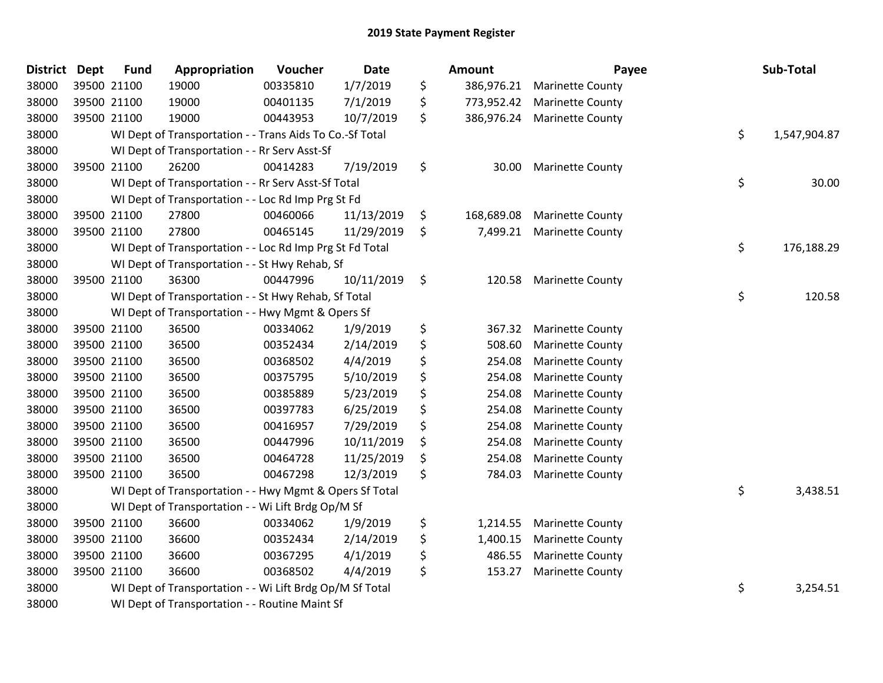| <b>District</b> | <b>Dept</b> | <b>Fund</b> | Appropriation                                            | Voucher  | Date       | <b>Amount</b>    | Payee                   | Sub-Total          |
|-----------------|-------------|-------------|----------------------------------------------------------|----------|------------|------------------|-------------------------|--------------------|
| 38000           | 39500 21100 |             | 19000                                                    | 00335810 | 1/7/2019   | \$<br>386,976.21 | <b>Marinette County</b> |                    |
| 38000           | 39500 21100 |             | 19000                                                    | 00401135 | 7/1/2019   | \$<br>773,952.42 | <b>Marinette County</b> |                    |
| 38000           | 39500 21100 |             | 19000                                                    | 00443953 | 10/7/2019  | \$<br>386,976.24 | <b>Marinette County</b> |                    |
| 38000           |             |             | WI Dept of Transportation - - Trans Aids To Co.-Sf Total |          |            |                  |                         | \$<br>1,547,904.87 |
| 38000           |             |             | WI Dept of Transportation - - Rr Serv Asst-Sf            |          |            |                  |                         |                    |
| 38000           | 39500 21100 |             | 26200                                                    | 00414283 | 7/19/2019  | \$<br>30.00      | <b>Marinette County</b> |                    |
| 38000           |             |             | WI Dept of Transportation - - Rr Serv Asst-Sf Total      |          |            |                  |                         | \$<br>30.00        |
| 38000           |             |             | WI Dept of Transportation - - Loc Rd Imp Prg St Fd       |          |            |                  |                         |                    |
| 38000           |             | 39500 21100 | 27800                                                    | 00460066 | 11/13/2019 | \$<br>168,689.08 | <b>Marinette County</b> |                    |
| 38000           | 39500 21100 |             | 27800                                                    | 00465145 | 11/29/2019 | \$<br>7,499.21   | <b>Marinette County</b> |                    |
| 38000           |             |             | WI Dept of Transportation - - Loc Rd Imp Prg St Fd Total |          |            |                  |                         | \$<br>176,188.29   |
| 38000           |             |             | WI Dept of Transportation - - St Hwy Rehab, Sf           |          |            |                  |                         |                    |
| 38000           |             | 39500 21100 | 36300                                                    | 00447996 | 10/11/2019 | \$<br>120.58     | <b>Marinette County</b> |                    |
| 38000           |             |             | WI Dept of Transportation - - St Hwy Rehab, Sf Total     |          |            |                  |                         | \$<br>120.58       |
| 38000           |             |             | WI Dept of Transportation - - Hwy Mgmt & Opers Sf        |          |            |                  |                         |                    |
| 38000           | 39500 21100 |             | 36500                                                    | 00334062 | 1/9/2019   | \$<br>367.32     | <b>Marinette County</b> |                    |
| 38000           | 39500 21100 |             | 36500                                                    | 00352434 | 2/14/2019  | \$<br>508.60     | <b>Marinette County</b> |                    |
| 38000           | 39500 21100 |             | 36500                                                    | 00368502 | 4/4/2019   | \$<br>254.08     | <b>Marinette County</b> |                    |
| 38000           | 39500 21100 |             | 36500                                                    | 00375795 | 5/10/2019  | \$<br>254.08     | <b>Marinette County</b> |                    |
| 38000           | 39500 21100 |             | 36500                                                    | 00385889 | 5/23/2019  | \$<br>254.08     | <b>Marinette County</b> |                    |
| 38000           | 39500 21100 |             | 36500                                                    | 00397783 | 6/25/2019  | \$<br>254.08     | <b>Marinette County</b> |                    |
| 38000           | 39500 21100 |             | 36500                                                    | 00416957 | 7/29/2019  | \$<br>254.08     | <b>Marinette County</b> |                    |
| 38000           | 39500 21100 |             | 36500                                                    | 00447996 | 10/11/2019 | \$<br>254.08     | <b>Marinette County</b> |                    |
| 38000           | 39500 21100 |             | 36500                                                    | 00464728 | 11/25/2019 | \$<br>254.08     | <b>Marinette County</b> |                    |
| 38000           | 39500 21100 |             | 36500                                                    | 00467298 | 12/3/2019  | \$<br>784.03     | <b>Marinette County</b> |                    |
| 38000           |             |             | WI Dept of Transportation - - Hwy Mgmt & Opers Sf Total  |          |            |                  |                         | \$<br>3,438.51     |
| 38000           |             |             | WI Dept of Transportation - - Wi Lift Brdg Op/M Sf       |          |            |                  |                         |                    |
| 38000           | 39500 21100 |             | 36600                                                    | 00334062 | 1/9/2019   | \$<br>1,214.55   | <b>Marinette County</b> |                    |
| 38000           | 39500 21100 |             | 36600                                                    | 00352434 | 2/14/2019  | \$<br>1,400.15   | <b>Marinette County</b> |                    |
| 38000           |             | 39500 21100 | 36600                                                    | 00367295 | 4/1/2019   | \$<br>486.55     | <b>Marinette County</b> |                    |
| 38000           | 39500 21100 |             | 36600                                                    | 00368502 | 4/4/2019   | \$<br>153.27     | <b>Marinette County</b> |                    |
| 38000           |             |             | WI Dept of Transportation - - Wi Lift Brdg Op/M Sf Total |          |            |                  |                         | \$<br>3,254.51     |
| 38000           |             |             | WI Dept of Transportation - - Routine Maint Sf           |          |            |                  |                         |                    |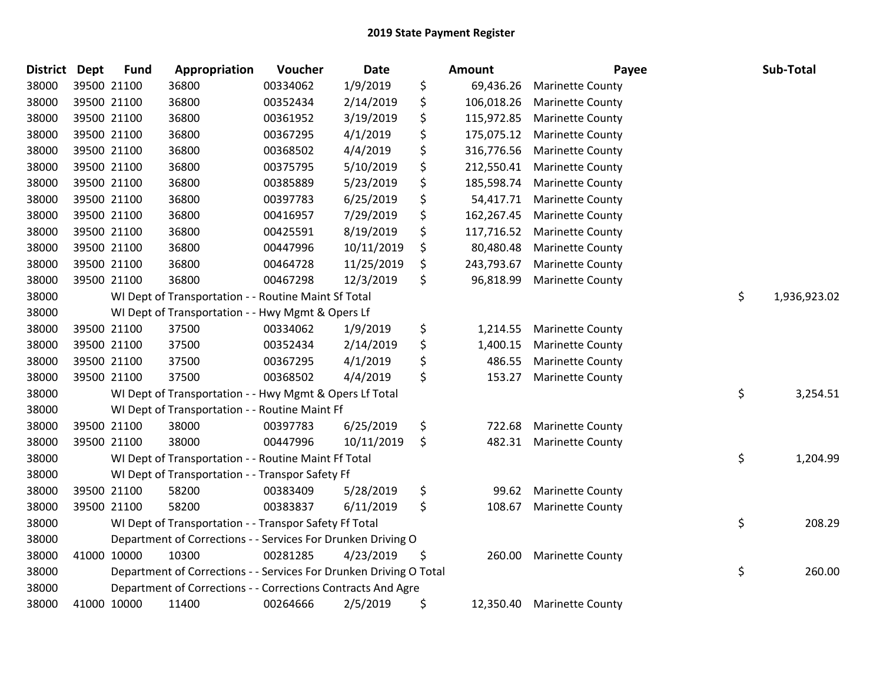| <b>District</b> | <b>Dept</b> | <b>Fund</b> | Appropriation                                                      | Voucher  | <b>Date</b> | <b>Amount</b>    | Payee                   | Sub-Total          |
|-----------------|-------------|-------------|--------------------------------------------------------------------|----------|-------------|------------------|-------------------------|--------------------|
| 38000           |             | 39500 21100 | 36800                                                              | 00334062 | 1/9/2019    | \$<br>69,436.26  | <b>Marinette County</b> |                    |
| 38000           |             | 39500 21100 | 36800                                                              | 00352434 | 2/14/2019   | \$<br>106,018.26 | <b>Marinette County</b> |                    |
| 38000           |             | 39500 21100 | 36800                                                              | 00361952 | 3/19/2019   | \$<br>115,972.85 | <b>Marinette County</b> |                    |
| 38000           | 39500 21100 |             | 36800                                                              | 00367295 | 4/1/2019    | \$<br>175,075.12 | <b>Marinette County</b> |                    |
| 38000           |             | 39500 21100 | 36800                                                              | 00368502 | 4/4/2019    | \$<br>316,776.56 | <b>Marinette County</b> |                    |
| 38000           |             | 39500 21100 | 36800                                                              | 00375795 | 5/10/2019   | \$<br>212,550.41 | <b>Marinette County</b> |                    |
| 38000           |             | 39500 21100 | 36800                                                              | 00385889 | 5/23/2019   | \$<br>185,598.74 | <b>Marinette County</b> |                    |
| 38000           |             | 39500 21100 | 36800                                                              | 00397783 | 6/25/2019   | \$<br>54,417.71  | <b>Marinette County</b> |                    |
| 38000           | 39500 21100 |             | 36800                                                              | 00416957 | 7/29/2019   | \$<br>162,267.45 | <b>Marinette County</b> |                    |
| 38000           |             | 39500 21100 | 36800                                                              | 00425591 | 8/19/2019   | \$<br>117,716.52 | <b>Marinette County</b> |                    |
| 38000           |             | 39500 21100 | 36800                                                              | 00447996 | 10/11/2019  | \$<br>80,480.48  | <b>Marinette County</b> |                    |
| 38000           |             | 39500 21100 | 36800                                                              | 00464728 | 11/25/2019  | \$<br>243,793.67 | <b>Marinette County</b> |                    |
| 38000           |             | 39500 21100 | 36800                                                              | 00467298 | 12/3/2019   | \$<br>96,818.99  | <b>Marinette County</b> |                    |
| 38000           |             |             | WI Dept of Transportation - - Routine Maint Sf Total               |          |             |                  |                         | \$<br>1,936,923.02 |
| 38000           |             |             | WI Dept of Transportation - - Hwy Mgmt & Opers Lf                  |          |             |                  |                         |                    |
| 38000           |             | 39500 21100 | 37500                                                              | 00334062 | 1/9/2019    | \$<br>1,214.55   | <b>Marinette County</b> |                    |
| 38000           |             | 39500 21100 | 37500                                                              | 00352434 | 2/14/2019   | \$<br>1,400.15   | <b>Marinette County</b> |                    |
| 38000           |             | 39500 21100 | 37500                                                              | 00367295 | 4/1/2019    | \$<br>486.55     | <b>Marinette County</b> |                    |
| 38000           |             | 39500 21100 | 37500                                                              | 00368502 | 4/4/2019    | \$<br>153.27     | <b>Marinette County</b> |                    |
| 38000           |             |             | WI Dept of Transportation - - Hwy Mgmt & Opers Lf Total            |          |             |                  |                         | \$<br>3,254.51     |
| 38000           |             |             | WI Dept of Transportation - - Routine Maint Ff                     |          |             |                  |                         |                    |
| 38000           |             | 39500 21100 | 38000                                                              | 00397783 | 6/25/2019   | \$<br>722.68     | <b>Marinette County</b> |                    |
| 38000           |             | 39500 21100 | 38000                                                              | 00447996 | 10/11/2019  | \$<br>482.31     | <b>Marinette County</b> |                    |
| 38000           |             |             | WI Dept of Transportation - - Routine Maint Ff Total               |          |             |                  |                         | \$<br>1,204.99     |
| 38000           |             |             | WI Dept of Transportation - - Transpor Safety Ff                   |          |             |                  |                         |                    |
| 38000           |             | 39500 21100 | 58200                                                              | 00383409 | 5/28/2019   | \$<br>99.62      | <b>Marinette County</b> |                    |
| 38000           |             | 39500 21100 | 58200                                                              | 00383837 | 6/11/2019   | \$<br>108.67     | <b>Marinette County</b> |                    |
| 38000           |             |             | WI Dept of Transportation - - Transpor Safety Ff Total             |          |             |                  |                         | \$<br>208.29       |
| 38000           |             |             | Department of Corrections - - Services For Drunken Driving O       |          |             |                  |                         |                    |
| 38000           |             | 41000 10000 | 10300                                                              | 00281285 | 4/23/2019   | \$<br>260.00     | <b>Marinette County</b> |                    |
| 38000           |             |             | Department of Corrections - - Services For Drunken Driving O Total |          |             |                  |                         | \$<br>260.00       |
| 38000           |             |             | Department of Corrections - - Corrections Contracts And Agre       |          |             |                  |                         |                    |
| 38000           |             | 41000 10000 | 11400                                                              | 00264666 | 2/5/2019    | \$<br>12,350.40  | <b>Marinette County</b> |                    |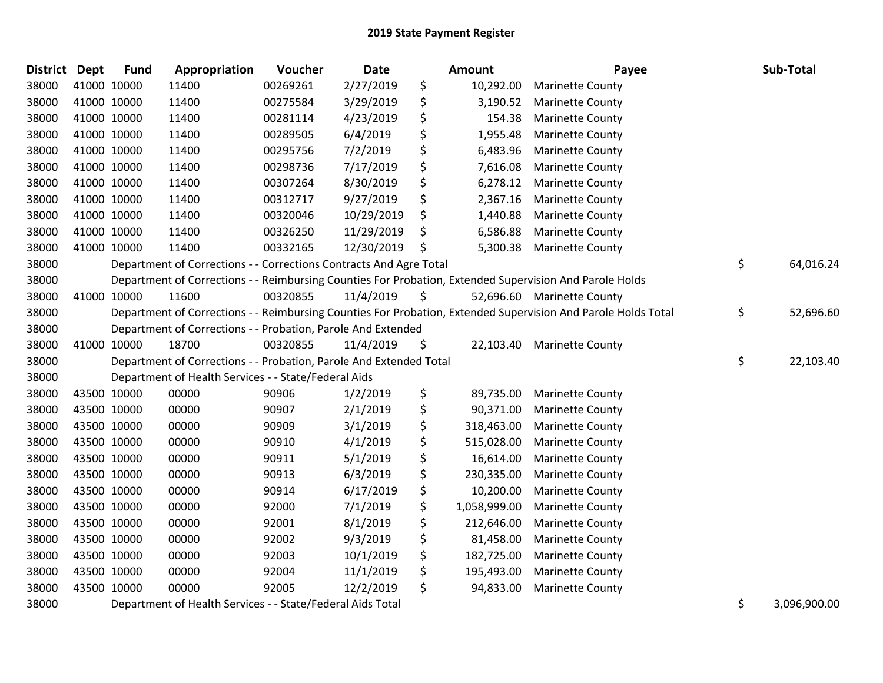| District | <b>Dept</b> | <b>Fund</b> | Appropriation                                                      | Voucher  | Date       |     | <b>Amount</b> | Payee                                                                                                         | Sub-Total                   |
|----------|-------------|-------------|--------------------------------------------------------------------|----------|------------|-----|---------------|---------------------------------------------------------------------------------------------------------------|-----------------------------|
| 38000    | 41000 10000 |             | 11400                                                              | 00269261 | 2/27/2019  | \$  | 10,292.00     | <b>Marinette County</b>                                                                                       |                             |
| 38000    | 41000 10000 |             | 11400                                                              | 00275584 | 3/29/2019  | \$  | 3,190.52      | <b>Marinette County</b>                                                                                       |                             |
| 38000    | 41000 10000 |             | 11400                                                              | 00281114 | 4/23/2019  | \$  | 154.38        | <b>Marinette County</b>                                                                                       |                             |
| 38000    | 41000 10000 |             | 11400                                                              | 00289505 | 6/4/2019   | \$  | 1,955.48      | <b>Marinette County</b>                                                                                       |                             |
| 38000    |             | 41000 10000 | 11400                                                              | 00295756 | 7/2/2019   | \$  | 6,483.96      | <b>Marinette County</b>                                                                                       |                             |
| 38000    |             | 41000 10000 | 11400                                                              | 00298736 | 7/17/2019  | \$  | 7,616.08      | <b>Marinette County</b>                                                                                       |                             |
| 38000    |             | 41000 10000 | 11400                                                              | 00307264 | 8/30/2019  | \$  | 6,278.12      | <b>Marinette County</b>                                                                                       |                             |
| 38000    |             | 41000 10000 | 11400                                                              | 00312717 | 9/27/2019  | \$  | 2,367.16      | <b>Marinette County</b>                                                                                       |                             |
| 38000    |             | 41000 10000 | 11400                                                              | 00320046 | 10/29/2019 | \$  | 1,440.88      | <b>Marinette County</b>                                                                                       |                             |
| 38000    | 41000 10000 |             | 11400                                                              | 00326250 | 11/29/2019 | \$  | 6,586.88      | <b>Marinette County</b>                                                                                       |                             |
| 38000    | 41000 10000 |             | 11400                                                              | 00332165 | 12/30/2019 | \$, | 5,300.38      | <b>Marinette County</b>                                                                                       |                             |
| 38000    |             |             | Department of Corrections - - Corrections Contracts And Agre Total |          |            |     |               |                                                                                                               | \$<br>64,016.24             |
| 38000    |             |             |                                                                    |          |            |     |               | Department of Corrections - - Reimbursing Counties For Probation, Extended Supervision And Parole Holds       |                             |
| 38000    |             | 41000 10000 | 11600                                                              | 00320855 | 11/4/2019  | \$  |               | 52,696.60 Marinette County                                                                                    |                             |
| 38000    |             |             |                                                                    |          |            |     |               | Department of Corrections - - Reimbursing Counties For Probation, Extended Supervision And Parole Holds Total | \$<br>52,696.60             |
| 38000    |             |             | Department of Corrections - - Probation, Parole And Extended       |          |            |     |               |                                                                                                               |                             |
| 38000    | 41000 10000 |             | 18700                                                              | 00320855 | 11/4/2019  | \$  |               | 22,103.40 Marinette County                                                                                    |                             |
| 38000    |             |             | Department of Corrections - - Probation, Parole And Extended Total |          |            |     |               |                                                                                                               | \$<br>22,103.40             |
| 38000    |             |             | Department of Health Services - - State/Federal Aids               |          |            |     |               |                                                                                                               |                             |
| 38000    |             | 43500 10000 | 00000                                                              | 90906    | 1/2/2019   | \$  | 89,735.00     | <b>Marinette County</b>                                                                                       |                             |
| 38000    |             | 43500 10000 | 00000                                                              | 90907    | 2/1/2019   | \$  | 90,371.00     | <b>Marinette County</b>                                                                                       |                             |
| 38000    |             | 43500 10000 | 00000                                                              | 90909    | 3/1/2019   | \$  | 318,463.00    | <b>Marinette County</b>                                                                                       |                             |
| 38000    | 43500 10000 |             | 00000                                                              | 90910    | 4/1/2019   | \$  | 515,028.00    | <b>Marinette County</b>                                                                                       |                             |
| 38000    |             | 43500 10000 | 00000                                                              | 90911    | 5/1/2019   | \$  | 16,614.00     | <b>Marinette County</b>                                                                                       |                             |
| 38000    |             | 43500 10000 | 00000                                                              | 90913    | 6/3/2019   | \$  | 230,335.00    | <b>Marinette County</b>                                                                                       |                             |
| 38000    |             | 43500 10000 | 00000                                                              | 90914    | 6/17/2019  | \$  | 10,200.00     | <b>Marinette County</b>                                                                                       |                             |
| 38000    | 43500 10000 |             | 00000                                                              | 92000    | 7/1/2019   | \$  | 1,058,999.00  | <b>Marinette County</b>                                                                                       |                             |
| 38000    | 43500 10000 |             | 00000                                                              | 92001    | 8/1/2019   | \$  | 212,646.00    | <b>Marinette County</b>                                                                                       |                             |
| 38000    | 43500 10000 |             | 00000                                                              | 92002    | 9/3/2019   | \$  | 81,458.00     | <b>Marinette County</b>                                                                                       |                             |
| 38000    | 43500 10000 |             | 00000                                                              | 92003    | 10/1/2019  | \$  | 182,725.00    | <b>Marinette County</b>                                                                                       |                             |
| 38000    |             | 43500 10000 | 00000                                                              | 92004    | 11/1/2019  | \$  | 195,493.00    | <b>Marinette County</b>                                                                                       |                             |
| 38000    | 43500 10000 |             | 00000                                                              | 92005    | 12/2/2019  | \$  | 94,833.00     | <b>Marinette County</b>                                                                                       |                             |
| $\cdots$ |             |             |                                                                    |          |            |     |               |                                                                                                               | $\sim$ $\sim$ $\sim$ $\sim$ |

Department of Health Services - - State/Federal Aids Total \$ 3,096,900.00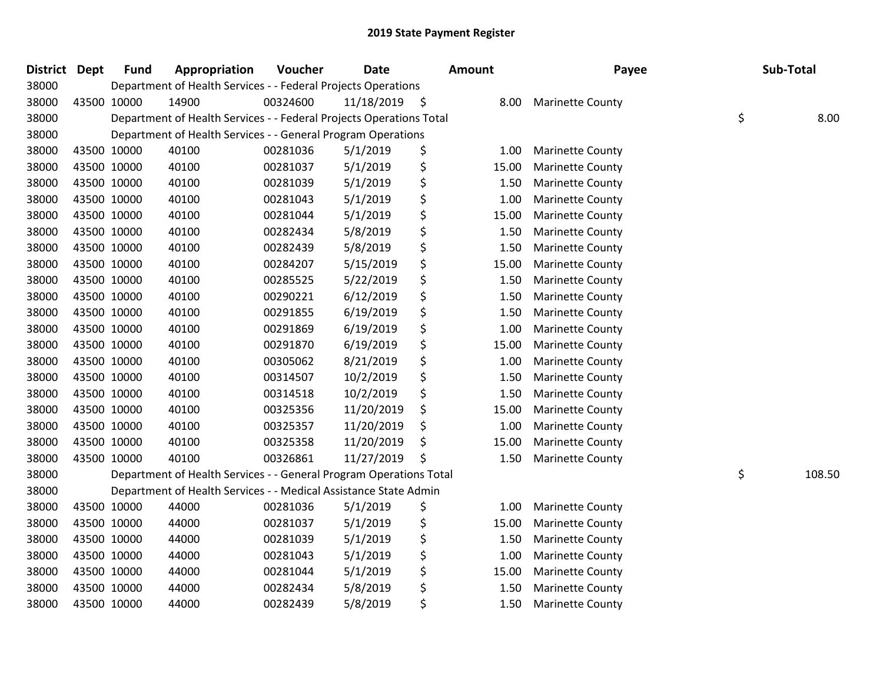| <b>District</b> | <b>Dept</b> | <b>Fund</b> | Appropriation                                                       | Voucher  | <b>Date</b> |    | <b>Amount</b> | Payee                   | Sub-Total    |
|-----------------|-------------|-------------|---------------------------------------------------------------------|----------|-------------|----|---------------|-------------------------|--------------|
| 38000           |             |             | Department of Health Services - - Federal Projects Operations       |          |             |    |               |                         |              |
| 38000           |             | 43500 10000 | 14900                                                               | 00324600 | 11/18/2019  | \$ | 8.00          | <b>Marinette County</b> |              |
| 38000           |             |             | Department of Health Services - - Federal Projects Operations Total |          |             |    |               |                         | \$<br>8.00   |
| 38000           |             |             | Department of Health Services - - General Program Operations        |          |             |    |               |                         |              |
| 38000           |             | 43500 10000 | 40100                                                               | 00281036 | 5/1/2019    | \$ | 1.00          | <b>Marinette County</b> |              |
| 38000           |             | 43500 10000 | 40100                                                               | 00281037 | 5/1/2019    | \$ | 15.00         | <b>Marinette County</b> |              |
| 38000           |             | 43500 10000 | 40100                                                               | 00281039 | 5/1/2019    | \$ | 1.50          | <b>Marinette County</b> |              |
| 38000           |             | 43500 10000 | 40100                                                               | 00281043 | 5/1/2019    | \$ | 1.00          | <b>Marinette County</b> |              |
| 38000           |             | 43500 10000 | 40100                                                               | 00281044 | 5/1/2019    | \$ | 15.00         | <b>Marinette County</b> |              |
| 38000           |             | 43500 10000 | 40100                                                               | 00282434 | 5/8/2019    | \$ | 1.50          | <b>Marinette County</b> |              |
| 38000           |             | 43500 10000 | 40100                                                               | 00282439 | 5/8/2019    | \$ | 1.50          | <b>Marinette County</b> |              |
| 38000           |             | 43500 10000 | 40100                                                               | 00284207 | 5/15/2019   | \$ | 15.00         | <b>Marinette County</b> |              |
| 38000           |             | 43500 10000 | 40100                                                               | 00285525 | 5/22/2019   | \$ | 1.50          | <b>Marinette County</b> |              |
| 38000           |             | 43500 10000 | 40100                                                               | 00290221 | 6/12/2019   | \$ | 1.50          | <b>Marinette County</b> |              |
| 38000           |             | 43500 10000 | 40100                                                               | 00291855 | 6/19/2019   | \$ | 1.50          | <b>Marinette County</b> |              |
| 38000           |             | 43500 10000 | 40100                                                               | 00291869 | 6/19/2019   | \$ | 1.00          | <b>Marinette County</b> |              |
| 38000           |             | 43500 10000 | 40100                                                               | 00291870 | 6/19/2019   | \$ | 15.00         | <b>Marinette County</b> |              |
| 38000           |             | 43500 10000 | 40100                                                               | 00305062 | 8/21/2019   | \$ | 1.00          | <b>Marinette County</b> |              |
| 38000           |             | 43500 10000 | 40100                                                               | 00314507 | 10/2/2019   | \$ | 1.50          | <b>Marinette County</b> |              |
| 38000           |             | 43500 10000 | 40100                                                               | 00314518 | 10/2/2019   | \$ | 1.50          | <b>Marinette County</b> |              |
| 38000           |             | 43500 10000 | 40100                                                               | 00325356 | 11/20/2019  | \$ | 15.00         | <b>Marinette County</b> |              |
| 38000           |             | 43500 10000 | 40100                                                               | 00325357 | 11/20/2019  | \$ | 1.00          | <b>Marinette County</b> |              |
| 38000           |             | 43500 10000 | 40100                                                               | 00325358 | 11/20/2019  | \$ | 15.00         | <b>Marinette County</b> |              |
| 38000           |             | 43500 10000 | 40100                                                               | 00326861 | 11/27/2019  | Ś  | 1.50          | <b>Marinette County</b> |              |
| 38000           |             |             | Department of Health Services - - General Program Operations Total  |          |             |    |               |                         | \$<br>108.50 |
| 38000           |             |             | Department of Health Services - - Medical Assistance State Admin    |          |             |    |               |                         |              |
| 38000           |             | 43500 10000 | 44000                                                               | 00281036 | 5/1/2019    | \$ | 1.00          | <b>Marinette County</b> |              |
| 38000           |             | 43500 10000 | 44000                                                               | 00281037 | 5/1/2019    | \$ | 15.00         | <b>Marinette County</b> |              |
| 38000           |             | 43500 10000 | 44000                                                               | 00281039 | 5/1/2019    | \$ | 1.50          | <b>Marinette County</b> |              |
| 38000           |             | 43500 10000 | 44000                                                               | 00281043 | 5/1/2019    | \$ | 1.00          | <b>Marinette County</b> |              |
| 38000           |             | 43500 10000 | 44000                                                               | 00281044 | 5/1/2019    | \$ | 15.00         | <b>Marinette County</b> |              |
| 38000           |             | 43500 10000 | 44000                                                               | 00282434 | 5/8/2019    | \$ | 1.50          | <b>Marinette County</b> |              |
| 38000           |             | 43500 10000 | 44000                                                               | 00282439 | 5/8/2019    | \$ | 1.50          | Marinette County        |              |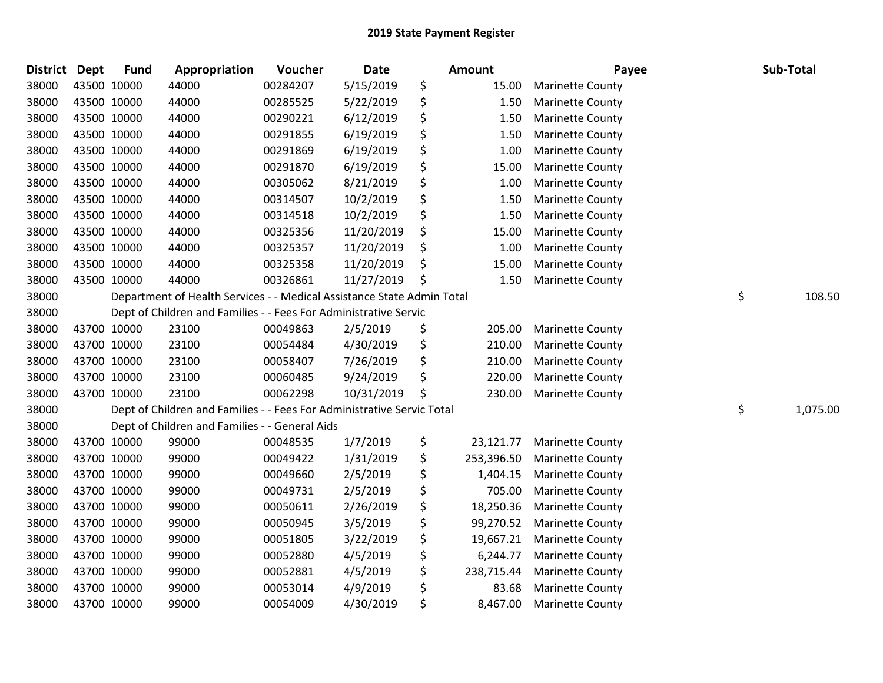| <b>District</b> | <b>Dept</b> | <b>Fund</b> | Appropriation                                                          | Voucher  | <b>Date</b> | <b>Amount</b>    | Payee                   | Sub-Total      |
|-----------------|-------------|-------------|------------------------------------------------------------------------|----------|-------------|------------------|-------------------------|----------------|
| 38000           |             | 43500 10000 | 44000                                                                  | 00284207 | 5/15/2019   | \$<br>15.00      | <b>Marinette County</b> |                |
| 38000           |             | 43500 10000 | 44000                                                                  | 00285525 | 5/22/2019   | \$<br>1.50       | <b>Marinette County</b> |                |
| 38000           |             | 43500 10000 | 44000                                                                  | 00290221 | 6/12/2019   | \$<br>1.50       | <b>Marinette County</b> |                |
| 38000           | 43500 10000 |             | 44000                                                                  | 00291855 | 6/19/2019   | \$<br>1.50       | <b>Marinette County</b> |                |
| 38000           |             | 43500 10000 | 44000                                                                  | 00291869 | 6/19/2019   | \$<br>1.00       | <b>Marinette County</b> |                |
| 38000           | 43500 10000 |             | 44000                                                                  | 00291870 | 6/19/2019   | \$<br>15.00      | <b>Marinette County</b> |                |
| 38000           |             | 43500 10000 | 44000                                                                  | 00305062 | 8/21/2019   | \$<br>1.00       | <b>Marinette County</b> |                |
| 38000           |             | 43500 10000 | 44000                                                                  | 00314507 | 10/2/2019   | \$<br>1.50       | <b>Marinette County</b> |                |
| 38000           |             | 43500 10000 | 44000                                                                  | 00314518 | 10/2/2019   | \$<br>1.50       | <b>Marinette County</b> |                |
| 38000           |             | 43500 10000 | 44000                                                                  | 00325356 | 11/20/2019  | \$<br>15.00      | Marinette County        |                |
| 38000           |             | 43500 10000 | 44000                                                                  | 00325357 | 11/20/2019  | \$<br>1.00       | <b>Marinette County</b> |                |
| 38000           | 43500 10000 |             | 44000                                                                  | 00325358 | 11/20/2019  | \$<br>15.00      | <b>Marinette County</b> |                |
| 38000           | 43500 10000 |             | 44000                                                                  | 00326861 | 11/27/2019  | \$<br>1.50       | <b>Marinette County</b> |                |
| 38000           |             |             | Department of Health Services - - Medical Assistance State Admin Total |          |             |                  |                         | \$<br>108.50   |
| 38000           |             |             | Dept of Children and Families - - Fees For Administrative Servic       |          |             |                  |                         |                |
| 38000           |             | 43700 10000 | 23100                                                                  | 00049863 | 2/5/2019    | \$<br>205.00     | <b>Marinette County</b> |                |
| 38000           |             | 43700 10000 | 23100                                                                  | 00054484 | 4/30/2019   | \$<br>210.00     | <b>Marinette County</b> |                |
| 38000           |             | 43700 10000 | 23100                                                                  | 00058407 | 7/26/2019   | \$<br>210.00     | <b>Marinette County</b> |                |
| 38000           |             | 43700 10000 | 23100                                                                  | 00060485 | 9/24/2019   | \$<br>220.00     | <b>Marinette County</b> |                |
| 38000           |             | 43700 10000 | 23100                                                                  | 00062298 | 10/31/2019  | \$<br>230.00     | <b>Marinette County</b> |                |
| 38000           |             |             | Dept of Children and Families - - Fees For Administrative Servic Total |          |             |                  |                         | \$<br>1,075.00 |
| 38000           |             |             | Dept of Children and Families - - General Aids                         |          |             |                  |                         |                |
| 38000           |             | 43700 10000 | 99000                                                                  | 00048535 | 1/7/2019    | \$<br>23,121.77  | <b>Marinette County</b> |                |
| 38000           |             | 43700 10000 | 99000                                                                  | 00049422 | 1/31/2019   | \$<br>253,396.50 | <b>Marinette County</b> |                |
| 38000           |             | 43700 10000 | 99000                                                                  | 00049660 | 2/5/2019    | \$<br>1,404.15   | <b>Marinette County</b> |                |
| 38000           |             | 43700 10000 | 99000                                                                  | 00049731 | 2/5/2019    | \$<br>705.00     | <b>Marinette County</b> |                |
| 38000           |             | 43700 10000 | 99000                                                                  | 00050611 | 2/26/2019   | \$<br>18,250.36  | <b>Marinette County</b> |                |
| 38000           |             | 43700 10000 | 99000                                                                  | 00050945 | 3/5/2019    | \$<br>99,270.52  | <b>Marinette County</b> |                |
| 38000           |             | 43700 10000 | 99000                                                                  | 00051805 | 3/22/2019   | \$<br>19,667.21  | <b>Marinette County</b> |                |
| 38000           |             | 43700 10000 | 99000                                                                  | 00052880 | 4/5/2019    | \$<br>6,244.77   | <b>Marinette County</b> |                |
| 38000           |             | 43700 10000 | 99000                                                                  | 00052881 | 4/5/2019    | \$<br>238,715.44 | <b>Marinette County</b> |                |
| 38000           |             | 43700 10000 | 99000                                                                  | 00053014 | 4/9/2019    | \$<br>83.68      | <b>Marinette County</b> |                |
| 38000           | 43700 10000 |             | 99000                                                                  | 00054009 | 4/30/2019   | \$<br>8,467.00   | <b>Marinette County</b> |                |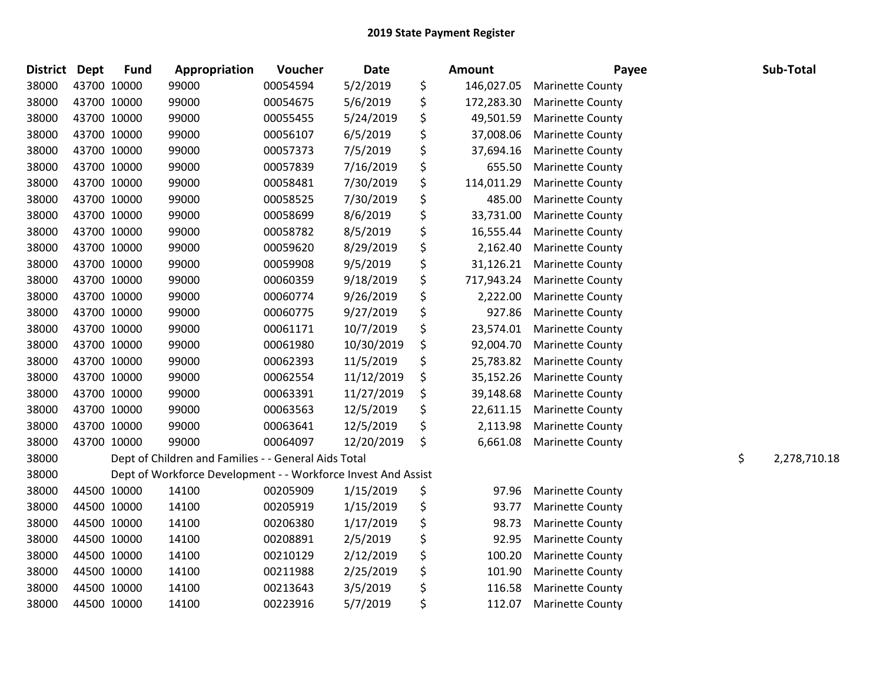| <b>District</b> | Dept        | <b>Fund</b> | Appropriation                                                 | Voucher  | <b>Date</b> | <b>Amount</b>    | Payee                   | Sub-Total          |
|-----------------|-------------|-------------|---------------------------------------------------------------|----------|-------------|------------------|-------------------------|--------------------|
| 38000           | 43700 10000 |             | 99000                                                         | 00054594 | 5/2/2019    | \$<br>146,027.05 | <b>Marinette County</b> |                    |
| 38000           | 43700 10000 |             | 99000                                                         | 00054675 | 5/6/2019    | \$<br>172,283.30 | <b>Marinette County</b> |                    |
| 38000           | 43700 10000 |             | 99000                                                         | 00055455 | 5/24/2019   | \$<br>49,501.59  | <b>Marinette County</b> |                    |
| 38000           | 43700 10000 |             | 99000                                                         | 00056107 | 6/5/2019    | \$<br>37,008.06  | <b>Marinette County</b> |                    |
| 38000           | 43700 10000 |             | 99000                                                         | 00057373 | 7/5/2019    | \$<br>37,694.16  | <b>Marinette County</b> |                    |
| 38000           | 43700 10000 |             | 99000                                                         | 00057839 | 7/16/2019   | \$<br>655.50     | <b>Marinette County</b> |                    |
| 38000           | 43700 10000 |             | 99000                                                         | 00058481 | 7/30/2019   | \$<br>114,011.29 | <b>Marinette County</b> |                    |
| 38000           | 43700 10000 |             | 99000                                                         | 00058525 | 7/30/2019   | \$<br>485.00     | <b>Marinette County</b> |                    |
| 38000           | 43700 10000 |             | 99000                                                         | 00058699 | 8/6/2019    | \$<br>33,731.00  | <b>Marinette County</b> |                    |
| 38000           | 43700 10000 |             | 99000                                                         | 00058782 | 8/5/2019    | \$<br>16,555.44  | <b>Marinette County</b> |                    |
| 38000           | 43700 10000 |             | 99000                                                         | 00059620 | 8/29/2019   | \$<br>2,162.40   | <b>Marinette County</b> |                    |
| 38000           | 43700 10000 |             | 99000                                                         | 00059908 | 9/5/2019    | \$<br>31,126.21  | <b>Marinette County</b> |                    |
| 38000           | 43700 10000 |             | 99000                                                         | 00060359 | 9/18/2019   | \$<br>717,943.24 | <b>Marinette County</b> |                    |
| 38000           | 43700 10000 |             | 99000                                                         | 00060774 | 9/26/2019   | \$<br>2,222.00   | <b>Marinette County</b> |                    |
| 38000           | 43700 10000 |             | 99000                                                         | 00060775 | 9/27/2019   | \$<br>927.86     | <b>Marinette County</b> |                    |
| 38000           | 43700 10000 |             | 99000                                                         | 00061171 | 10/7/2019   | \$<br>23,574.01  | <b>Marinette County</b> |                    |
| 38000           | 43700 10000 |             | 99000                                                         | 00061980 | 10/30/2019  | \$<br>92,004.70  | <b>Marinette County</b> |                    |
| 38000           | 43700 10000 |             | 99000                                                         | 00062393 | 11/5/2019   | \$<br>25,783.82  | <b>Marinette County</b> |                    |
| 38000           | 43700 10000 |             | 99000                                                         | 00062554 | 11/12/2019  | \$<br>35,152.26  | <b>Marinette County</b> |                    |
| 38000           | 43700 10000 |             | 99000                                                         | 00063391 | 11/27/2019  | \$<br>39,148.68  | <b>Marinette County</b> |                    |
| 38000           | 43700 10000 |             | 99000                                                         | 00063563 | 12/5/2019   | \$<br>22,611.15  | <b>Marinette County</b> |                    |
| 38000           | 43700 10000 |             | 99000                                                         | 00063641 | 12/5/2019   | \$<br>2,113.98   | <b>Marinette County</b> |                    |
| 38000           | 43700 10000 |             | 99000                                                         | 00064097 | 12/20/2019  | \$<br>6,661.08   | <b>Marinette County</b> |                    |
| 38000           |             |             | Dept of Children and Families - - General Aids Total          |          |             |                  |                         | \$<br>2,278,710.18 |
| 38000           |             |             | Dept of Workforce Development - - Workforce Invest And Assist |          |             |                  |                         |                    |
| 38000           |             | 44500 10000 | 14100                                                         | 00205909 | 1/15/2019   | \$<br>97.96      | <b>Marinette County</b> |                    |
| 38000           | 44500 10000 |             | 14100                                                         | 00205919 | 1/15/2019   | \$<br>93.77      | <b>Marinette County</b> |                    |
| 38000           | 44500 10000 |             | 14100                                                         | 00206380 | 1/17/2019   | \$<br>98.73      | <b>Marinette County</b> |                    |
| 38000           | 44500 10000 |             | 14100                                                         | 00208891 | 2/5/2019    | \$<br>92.95      | <b>Marinette County</b> |                    |
| 38000           | 44500 10000 |             | 14100                                                         | 00210129 | 2/12/2019   | \$<br>100.20     | <b>Marinette County</b> |                    |
| 38000           | 44500 10000 |             | 14100                                                         | 00211988 | 2/25/2019   | \$<br>101.90     | <b>Marinette County</b> |                    |
| 38000           | 44500 10000 |             | 14100                                                         | 00213643 | 3/5/2019    | \$<br>116.58     | <b>Marinette County</b> |                    |
| 38000           | 44500 10000 |             | 14100                                                         | 00223916 | 5/7/2019    | \$<br>112.07     | <b>Marinette County</b> |                    |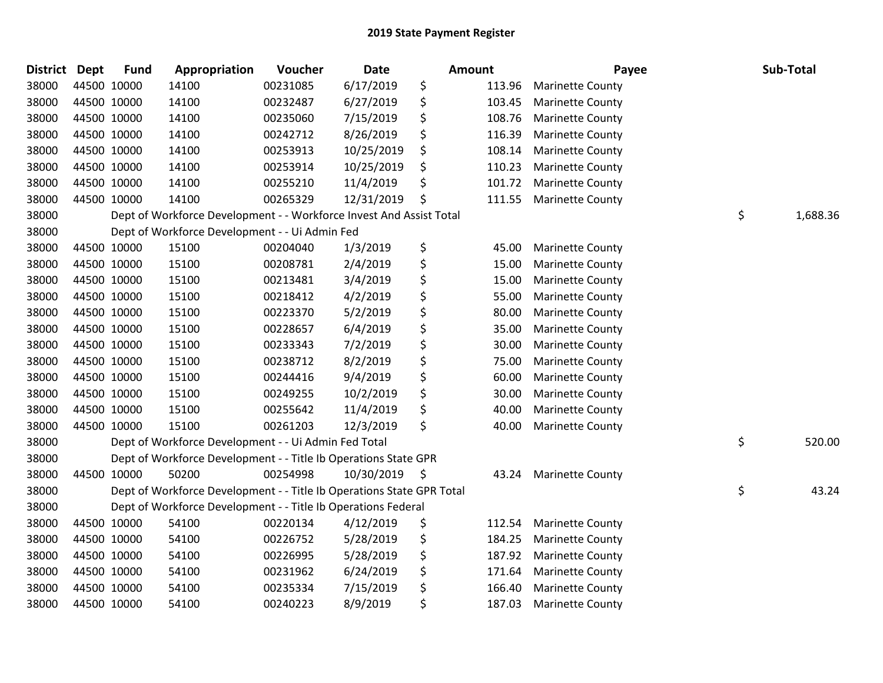| \$<br>6/17/2019<br>38000<br>44500 10000<br>00231085<br>14100<br>113.96<br><b>Marinette County</b><br>\$<br>44500 10000<br>38000<br>14100<br>00232487<br>6/27/2019<br>103.45<br><b>Marinette County</b><br>\$<br>38000<br>44500 10000<br>14100<br>7/15/2019<br>108.76<br>00235060<br><b>Marinette County</b><br>\$<br>44500 10000<br>8/26/2019<br>38000<br>14100<br>00242712<br>116.39<br><b>Marinette County</b><br>\$<br>44500 10000<br>14100<br>10/25/2019<br>108.14<br>38000<br>00253913<br><b>Marinette County</b><br>\$<br>44500 10000<br>38000<br>14100<br>00253914<br>10/25/2019<br>110.23<br><b>Marinette County</b><br>38000<br>44500 10000<br>11/4/2019<br>\$<br>14100<br>00255210<br>101.72<br><b>Marinette County</b><br>\$<br>38000<br>44500 10000<br>14100<br>00265329<br>12/31/2019<br>111.55<br><b>Marinette County</b><br>\$<br>Dept of Workforce Development - - Workforce Invest And Assist Total<br>38000<br>1,688.36<br>38000<br>Dept of Workforce Development - - Ui Admin Fed<br>\$<br>38000<br>44500 10000<br>15100<br>00204040<br>1/3/2019<br>45.00<br><b>Marinette County</b><br>\$<br>38000<br>44500 10000<br>15100<br>00208781<br>2/4/2019<br>15.00<br><b>Marinette County</b><br>\$<br>38000<br>44500 10000<br>15100<br>00213481<br>3/4/2019<br>15.00<br><b>Marinette County</b><br>\$<br>38000<br>44500 10000<br>15100<br>00218412<br>4/2/2019<br>55.00<br><b>Marinette County</b><br>\$<br>44500 10000<br>38000<br>15100<br>00223370<br>5/2/2019<br>80.00<br><b>Marinette County</b><br>\$<br>38000<br>44500 10000<br>15100<br>00228657<br>6/4/2019<br>35.00<br><b>Marinette County</b><br>\$<br>38000<br>44500 10000<br>15100<br>00233343<br>7/2/2019<br>30.00<br><b>Marinette County</b><br>\$<br>44500 10000<br>8/2/2019<br>38000<br>15100<br>00238712<br>75.00<br><b>Marinette County</b><br>\$<br>38000<br>44500 10000<br>15100<br>00244416<br>9/4/2019<br>60.00<br><b>Marinette County</b><br>\$<br>44500 10000<br>15100<br>38000<br>00249255<br>10/2/2019<br>30.00<br><b>Marinette County</b><br>\$<br>44500 10000<br>15100<br>11/4/2019<br>38000<br>00255642<br>40.00<br>Marinette County<br>\$<br>38000<br>44500 10000<br>15100<br>00261203<br>12/3/2019<br>40.00<br><b>Marinette County</b><br>\$<br>38000<br>Dept of Workforce Development - - Ui Admin Fed Total<br>520.00<br>38000<br>Dept of Workforce Development - - Title Ib Operations State GPR<br>38000<br>44500 10000<br>50200<br>00254998<br>10/30/2019<br>\$<br>43.24<br><b>Marinette County</b><br>\$<br>43.24<br>38000<br>Dept of Workforce Development - - Title Ib Operations State GPR Total<br>38000<br>Dept of Workforce Development - - Title Ib Operations Federal<br>\$<br>38000<br>44500 10000<br>54100<br>00220134<br>4/12/2019<br>112.54<br><b>Marinette County</b><br>\$<br>38000<br>44500 10000<br>54100<br>5/28/2019<br>00226752<br>184.25<br><b>Marinette County</b><br>\$<br>38000<br>44500 10000<br>54100<br>00226995<br>5/28/2019<br>187.92<br><b>Marinette County</b><br>\$<br>44500 10000<br>54100<br>6/24/2019<br>38000<br>00231962<br>171.64<br><b>Marinette County</b><br>\$<br>44500 10000<br>7/15/2019<br>166.40<br>38000<br>54100<br>00235334<br><b>Marinette County</b><br>\$<br>38000<br>44500 10000<br>54100<br>8/9/2019<br>187.03<br>00240223<br><b>Marinette County</b> | <b>District</b> | Dept | <b>Fund</b> | Appropriation | Voucher | <b>Date</b> | Amount | Payee | Sub-Total |
|----------------------------------------------------------------------------------------------------------------------------------------------------------------------------------------------------------------------------------------------------------------------------------------------------------------------------------------------------------------------------------------------------------------------------------------------------------------------------------------------------------------------------------------------------------------------------------------------------------------------------------------------------------------------------------------------------------------------------------------------------------------------------------------------------------------------------------------------------------------------------------------------------------------------------------------------------------------------------------------------------------------------------------------------------------------------------------------------------------------------------------------------------------------------------------------------------------------------------------------------------------------------------------------------------------------------------------------------------------------------------------------------------------------------------------------------------------------------------------------------------------------------------------------------------------------------------------------------------------------------------------------------------------------------------------------------------------------------------------------------------------------------------------------------------------------------------------------------------------------------------------------------------------------------------------------------------------------------------------------------------------------------------------------------------------------------------------------------------------------------------------------------------------------------------------------------------------------------------------------------------------------------------------------------------------------------------------------------------------------------------------------------------------------------------------------------------------------------------------------------------------------------------------------------------------------------------------------------------------------------------------------------------------------------------------------------------------------------------------------------------------------------------------------------------------------------------------------------------------------------------------------------------------------------------------------------------------------------------------------------------------------------------------------------------------------------------------------------------------------------------------------------------------------------------------------------------------------------------------------------------------------------------------------------------------------|-----------------|------|-------------|---------------|---------|-------------|--------|-------|-----------|
|                                                                                                                                                                                                                                                                                                                                                                                                                                                                                                                                                                                                                                                                                                                                                                                                                                                                                                                                                                                                                                                                                                                                                                                                                                                                                                                                                                                                                                                                                                                                                                                                                                                                                                                                                                                                                                                                                                                                                                                                                                                                                                                                                                                                                                                                                                                                                                                                                                                                                                                                                                                                                                                                                                                                                                                                                                                                                                                                                                                                                                                                                                                                                                                                                                                                                                                |                 |      |             |               |         |             |        |       |           |
|                                                                                                                                                                                                                                                                                                                                                                                                                                                                                                                                                                                                                                                                                                                                                                                                                                                                                                                                                                                                                                                                                                                                                                                                                                                                                                                                                                                                                                                                                                                                                                                                                                                                                                                                                                                                                                                                                                                                                                                                                                                                                                                                                                                                                                                                                                                                                                                                                                                                                                                                                                                                                                                                                                                                                                                                                                                                                                                                                                                                                                                                                                                                                                                                                                                                                                                |                 |      |             |               |         |             |        |       |           |
|                                                                                                                                                                                                                                                                                                                                                                                                                                                                                                                                                                                                                                                                                                                                                                                                                                                                                                                                                                                                                                                                                                                                                                                                                                                                                                                                                                                                                                                                                                                                                                                                                                                                                                                                                                                                                                                                                                                                                                                                                                                                                                                                                                                                                                                                                                                                                                                                                                                                                                                                                                                                                                                                                                                                                                                                                                                                                                                                                                                                                                                                                                                                                                                                                                                                                                                |                 |      |             |               |         |             |        |       |           |
|                                                                                                                                                                                                                                                                                                                                                                                                                                                                                                                                                                                                                                                                                                                                                                                                                                                                                                                                                                                                                                                                                                                                                                                                                                                                                                                                                                                                                                                                                                                                                                                                                                                                                                                                                                                                                                                                                                                                                                                                                                                                                                                                                                                                                                                                                                                                                                                                                                                                                                                                                                                                                                                                                                                                                                                                                                                                                                                                                                                                                                                                                                                                                                                                                                                                                                                |                 |      |             |               |         |             |        |       |           |
|                                                                                                                                                                                                                                                                                                                                                                                                                                                                                                                                                                                                                                                                                                                                                                                                                                                                                                                                                                                                                                                                                                                                                                                                                                                                                                                                                                                                                                                                                                                                                                                                                                                                                                                                                                                                                                                                                                                                                                                                                                                                                                                                                                                                                                                                                                                                                                                                                                                                                                                                                                                                                                                                                                                                                                                                                                                                                                                                                                                                                                                                                                                                                                                                                                                                                                                |                 |      |             |               |         |             |        |       |           |
|                                                                                                                                                                                                                                                                                                                                                                                                                                                                                                                                                                                                                                                                                                                                                                                                                                                                                                                                                                                                                                                                                                                                                                                                                                                                                                                                                                                                                                                                                                                                                                                                                                                                                                                                                                                                                                                                                                                                                                                                                                                                                                                                                                                                                                                                                                                                                                                                                                                                                                                                                                                                                                                                                                                                                                                                                                                                                                                                                                                                                                                                                                                                                                                                                                                                                                                |                 |      |             |               |         |             |        |       |           |
|                                                                                                                                                                                                                                                                                                                                                                                                                                                                                                                                                                                                                                                                                                                                                                                                                                                                                                                                                                                                                                                                                                                                                                                                                                                                                                                                                                                                                                                                                                                                                                                                                                                                                                                                                                                                                                                                                                                                                                                                                                                                                                                                                                                                                                                                                                                                                                                                                                                                                                                                                                                                                                                                                                                                                                                                                                                                                                                                                                                                                                                                                                                                                                                                                                                                                                                |                 |      |             |               |         |             |        |       |           |
|                                                                                                                                                                                                                                                                                                                                                                                                                                                                                                                                                                                                                                                                                                                                                                                                                                                                                                                                                                                                                                                                                                                                                                                                                                                                                                                                                                                                                                                                                                                                                                                                                                                                                                                                                                                                                                                                                                                                                                                                                                                                                                                                                                                                                                                                                                                                                                                                                                                                                                                                                                                                                                                                                                                                                                                                                                                                                                                                                                                                                                                                                                                                                                                                                                                                                                                |                 |      |             |               |         |             |        |       |           |
|                                                                                                                                                                                                                                                                                                                                                                                                                                                                                                                                                                                                                                                                                                                                                                                                                                                                                                                                                                                                                                                                                                                                                                                                                                                                                                                                                                                                                                                                                                                                                                                                                                                                                                                                                                                                                                                                                                                                                                                                                                                                                                                                                                                                                                                                                                                                                                                                                                                                                                                                                                                                                                                                                                                                                                                                                                                                                                                                                                                                                                                                                                                                                                                                                                                                                                                |                 |      |             |               |         |             |        |       |           |
|                                                                                                                                                                                                                                                                                                                                                                                                                                                                                                                                                                                                                                                                                                                                                                                                                                                                                                                                                                                                                                                                                                                                                                                                                                                                                                                                                                                                                                                                                                                                                                                                                                                                                                                                                                                                                                                                                                                                                                                                                                                                                                                                                                                                                                                                                                                                                                                                                                                                                                                                                                                                                                                                                                                                                                                                                                                                                                                                                                                                                                                                                                                                                                                                                                                                                                                |                 |      |             |               |         |             |        |       |           |
|                                                                                                                                                                                                                                                                                                                                                                                                                                                                                                                                                                                                                                                                                                                                                                                                                                                                                                                                                                                                                                                                                                                                                                                                                                                                                                                                                                                                                                                                                                                                                                                                                                                                                                                                                                                                                                                                                                                                                                                                                                                                                                                                                                                                                                                                                                                                                                                                                                                                                                                                                                                                                                                                                                                                                                                                                                                                                                                                                                                                                                                                                                                                                                                                                                                                                                                |                 |      |             |               |         |             |        |       |           |
|                                                                                                                                                                                                                                                                                                                                                                                                                                                                                                                                                                                                                                                                                                                                                                                                                                                                                                                                                                                                                                                                                                                                                                                                                                                                                                                                                                                                                                                                                                                                                                                                                                                                                                                                                                                                                                                                                                                                                                                                                                                                                                                                                                                                                                                                                                                                                                                                                                                                                                                                                                                                                                                                                                                                                                                                                                                                                                                                                                                                                                                                                                                                                                                                                                                                                                                |                 |      |             |               |         |             |        |       |           |
|                                                                                                                                                                                                                                                                                                                                                                                                                                                                                                                                                                                                                                                                                                                                                                                                                                                                                                                                                                                                                                                                                                                                                                                                                                                                                                                                                                                                                                                                                                                                                                                                                                                                                                                                                                                                                                                                                                                                                                                                                                                                                                                                                                                                                                                                                                                                                                                                                                                                                                                                                                                                                                                                                                                                                                                                                                                                                                                                                                                                                                                                                                                                                                                                                                                                                                                |                 |      |             |               |         |             |        |       |           |
|                                                                                                                                                                                                                                                                                                                                                                                                                                                                                                                                                                                                                                                                                                                                                                                                                                                                                                                                                                                                                                                                                                                                                                                                                                                                                                                                                                                                                                                                                                                                                                                                                                                                                                                                                                                                                                                                                                                                                                                                                                                                                                                                                                                                                                                                                                                                                                                                                                                                                                                                                                                                                                                                                                                                                                                                                                                                                                                                                                                                                                                                                                                                                                                                                                                                                                                |                 |      |             |               |         |             |        |       |           |
|                                                                                                                                                                                                                                                                                                                                                                                                                                                                                                                                                                                                                                                                                                                                                                                                                                                                                                                                                                                                                                                                                                                                                                                                                                                                                                                                                                                                                                                                                                                                                                                                                                                                                                                                                                                                                                                                                                                                                                                                                                                                                                                                                                                                                                                                                                                                                                                                                                                                                                                                                                                                                                                                                                                                                                                                                                                                                                                                                                                                                                                                                                                                                                                                                                                                                                                |                 |      |             |               |         |             |        |       |           |
|                                                                                                                                                                                                                                                                                                                                                                                                                                                                                                                                                                                                                                                                                                                                                                                                                                                                                                                                                                                                                                                                                                                                                                                                                                                                                                                                                                                                                                                                                                                                                                                                                                                                                                                                                                                                                                                                                                                                                                                                                                                                                                                                                                                                                                                                                                                                                                                                                                                                                                                                                                                                                                                                                                                                                                                                                                                                                                                                                                                                                                                                                                                                                                                                                                                                                                                |                 |      |             |               |         |             |        |       |           |
|                                                                                                                                                                                                                                                                                                                                                                                                                                                                                                                                                                                                                                                                                                                                                                                                                                                                                                                                                                                                                                                                                                                                                                                                                                                                                                                                                                                                                                                                                                                                                                                                                                                                                                                                                                                                                                                                                                                                                                                                                                                                                                                                                                                                                                                                                                                                                                                                                                                                                                                                                                                                                                                                                                                                                                                                                                                                                                                                                                                                                                                                                                                                                                                                                                                                                                                |                 |      |             |               |         |             |        |       |           |
|                                                                                                                                                                                                                                                                                                                                                                                                                                                                                                                                                                                                                                                                                                                                                                                                                                                                                                                                                                                                                                                                                                                                                                                                                                                                                                                                                                                                                                                                                                                                                                                                                                                                                                                                                                                                                                                                                                                                                                                                                                                                                                                                                                                                                                                                                                                                                                                                                                                                                                                                                                                                                                                                                                                                                                                                                                                                                                                                                                                                                                                                                                                                                                                                                                                                                                                |                 |      |             |               |         |             |        |       |           |
|                                                                                                                                                                                                                                                                                                                                                                                                                                                                                                                                                                                                                                                                                                                                                                                                                                                                                                                                                                                                                                                                                                                                                                                                                                                                                                                                                                                                                                                                                                                                                                                                                                                                                                                                                                                                                                                                                                                                                                                                                                                                                                                                                                                                                                                                                                                                                                                                                                                                                                                                                                                                                                                                                                                                                                                                                                                                                                                                                                                                                                                                                                                                                                                                                                                                                                                |                 |      |             |               |         |             |        |       |           |
|                                                                                                                                                                                                                                                                                                                                                                                                                                                                                                                                                                                                                                                                                                                                                                                                                                                                                                                                                                                                                                                                                                                                                                                                                                                                                                                                                                                                                                                                                                                                                                                                                                                                                                                                                                                                                                                                                                                                                                                                                                                                                                                                                                                                                                                                                                                                                                                                                                                                                                                                                                                                                                                                                                                                                                                                                                                                                                                                                                                                                                                                                                                                                                                                                                                                                                                |                 |      |             |               |         |             |        |       |           |
|                                                                                                                                                                                                                                                                                                                                                                                                                                                                                                                                                                                                                                                                                                                                                                                                                                                                                                                                                                                                                                                                                                                                                                                                                                                                                                                                                                                                                                                                                                                                                                                                                                                                                                                                                                                                                                                                                                                                                                                                                                                                                                                                                                                                                                                                                                                                                                                                                                                                                                                                                                                                                                                                                                                                                                                                                                                                                                                                                                                                                                                                                                                                                                                                                                                                                                                |                 |      |             |               |         |             |        |       |           |
|                                                                                                                                                                                                                                                                                                                                                                                                                                                                                                                                                                                                                                                                                                                                                                                                                                                                                                                                                                                                                                                                                                                                                                                                                                                                                                                                                                                                                                                                                                                                                                                                                                                                                                                                                                                                                                                                                                                                                                                                                                                                                                                                                                                                                                                                                                                                                                                                                                                                                                                                                                                                                                                                                                                                                                                                                                                                                                                                                                                                                                                                                                                                                                                                                                                                                                                |                 |      |             |               |         |             |        |       |           |
|                                                                                                                                                                                                                                                                                                                                                                                                                                                                                                                                                                                                                                                                                                                                                                                                                                                                                                                                                                                                                                                                                                                                                                                                                                                                                                                                                                                                                                                                                                                                                                                                                                                                                                                                                                                                                                                                                                                                                                                                                                                                                                                                                                                                                                                                                                                                                                                                                                                                                                                                                                                                                                                                                                                                                                                                                                                                                                                                                                                                                                                                                                                                                                                                                                                                                                                |                 |      |             |               |         |             |        |       |           |
|                                                                                                                                                                                                                                                                                                                                                                                                                                                                                                                                                                                                                                                                                                                                                                                                                                                                                                                                                                                                                                                                                                                                                                                                                                                                                                                                                                                                                                                                                                                                                                                                                                                                                                                                                                                                                                                                                                                                                                                                                                                                                                                                                                                                                                                                                                                                                                                                                                                                                                                                                                                                                                                                                                                                                                                                                                                                                                                                                                                                                                                                                                                                                                                                                                                                                                                |                 |      |             |               |         |             |        |       |           |
|                                                                                                                                                                                                                                                                                                                                                                                                                                                                                                                                                                                                                                                                                                                                                                                                                                                                                                                                                                                                                                                                                                                                                                                                                                                                                                                                                                                                                                                                                                                                                                                                                                                                                                                                                                                                                                                                                                                                                                                                                                                                                                                                                                                                                                                                                                                                                                                                                                                                                                                                                                                                                                                                                                                                                                                                                                                                                                                                                                                                                                                                                                                                                                                                                                                                                                                |                 |      |             |               |         |             |        |       |           |
|                                                                                                                                                                                                                                                                                                                                                                                                                                                                                                                                                                                                                                                                                                                                                                                                                                                                                                                                                                                                                                                                                                                                                                                                                                                                                                                                                                                                                                                                                                                                                                                                                                                                                                                                                                                                                                                                                                                                                                                                                                                                                                                                                                                                                                                                                                                                                                                                                                                                                                                                                                                                                                                                                                                                                                                                                                                                                                                                                                                                                                                                                                                                                                                                                                                                                                                |                 |      |             |               |         |             |        |       |           |
|                                                                                                                                                                                                                                                                                                                                                                                                                                                                                                                                                                                                                                                                                                                                                                                                                                                                                                                                                                                                                                                                                                                                                                                                                                                                                                                                                                                                                                                                                                                                                                                                                                                                                                                                                                                                                                                                                                                                                                                                                                                                                                                                                                                                                                                                                                                                                                                                                                                                                                                                                                                                                                                                                                                                                                                                                                                                                                                                                                                                                                                                                                                                                                                                                                                                                                                |                 |      |             |               |         |             |        |       |           |
|                                                                                                                                                                                                                                                                                                                                                                                                                                                                                                                                                                                                                                                                                                                                                                                                                                                                                                                                                                                                                                                                                                                                                                                                                                                                                                                                                                                                                                                                                                                                                                                                                                                                                                                                                                                                                                                                                                                                                                                                                                                                                                                                                                                                                                                                                                                                                                                                                                                                                                                                                                                                                                                                                                                                                                                                                                                                                                                                                                                                                                                                                                                                                                                                                                                                                                                |                 |      |             |               |         |             |        |       |           |
|                                                                                                                                                                                                                                                                                                                                                                                                                                                                                                                                                                                                                                                                                                                                                                                                                                                                                                                                                                                                                                                                                                                                                                                                                                                                                                                                                                                                                                                                                                                                                                                                                                                                                                                                                                                                                                                                                                                                                                                                                                                                                                                                                                                                                                                                                                                                                                                                                                                                                                                                                                                                                                                                                                                                                                                                                                                                                                                                                                                                                                                                                                                                                                                                                                                                                                                |                 |      |             |               |         |             |        |       |           |
|                                                                                                                                                                                                                                                                                                                                                                                                                                                                                                                                                                                                                                                                                                                                                                                                                                                                                                                                                                                                                                                                                                                                                                                                                                                                                                                                                                                                                                                                                                                                                                                                                                                                                                                                                                                                                                                                                                                                                                                                                                                                                                                                                                                                                                                                                                                                                                                                                                                                                                                                                                                                                                                                                                                                                                                                                                                                                                                                                                                                                                                                                                                                                                                                                                                                                                                |                 |      |             |               |         |             |        |       |           |
|                                                                                                                                                                                                                                                                                                                                                                                                                                                                                                                                                                                                                                                                                                                                                                                                                                                                                                                                                                                                                                                                                                                                                                                                                                                                                                                                                                                                                                                                                                                                                                                                                                                                                                                                                                                                                                                                                                                                                                                                                                                                                                                                                                                                                                                                                                                                                                                                                                                                                                                                                                                                                                                                                                                                                                                                                                                                                                                                                                                                                                                                                                                                                                                                                                                                                                                |                 |      |             |               |         |             |        |       |           |
|                                                                                                                                                                                                                                                                                                                                                                                                                                                                                                                                                                                                                                                                                                                                                                                                                                                                                                                                                                                                                                                                                                                                                                                                                                                                                                                                                                                                                                                                                                                                                                                                                                                                                                                                                                                                                                                                                                                                                                                                                                                                                                                                                                                                                                                                                                                                                                                                                                                                                                                                                                                                                                                                                                                                                                                                                                                                                                                                                                                                                                                                                                                                                                                                                                                                                                                |                 |      |             |               |         |             |        |       |           |
|                                                                                                                                                                                                                                                                                                                                                                                                                                                                                                                                                                                                                                                                                                                                                                                                                                                                                                                                                                                                                                                                                                                                                                                                                                                                                                                                                                                                                                                                                                                                                                                                                                                                                                                                                                                                                                                                                                                                                                                                                                                                                                                                                                                                                                                                                                                                                                                                                                                                                                                                                                                                                                                                                                                                                                                                                                                                                                                                                                                                                                                                                                                                                                                                                                                                                                                |                 |      |             |               |         |             |        |       |           |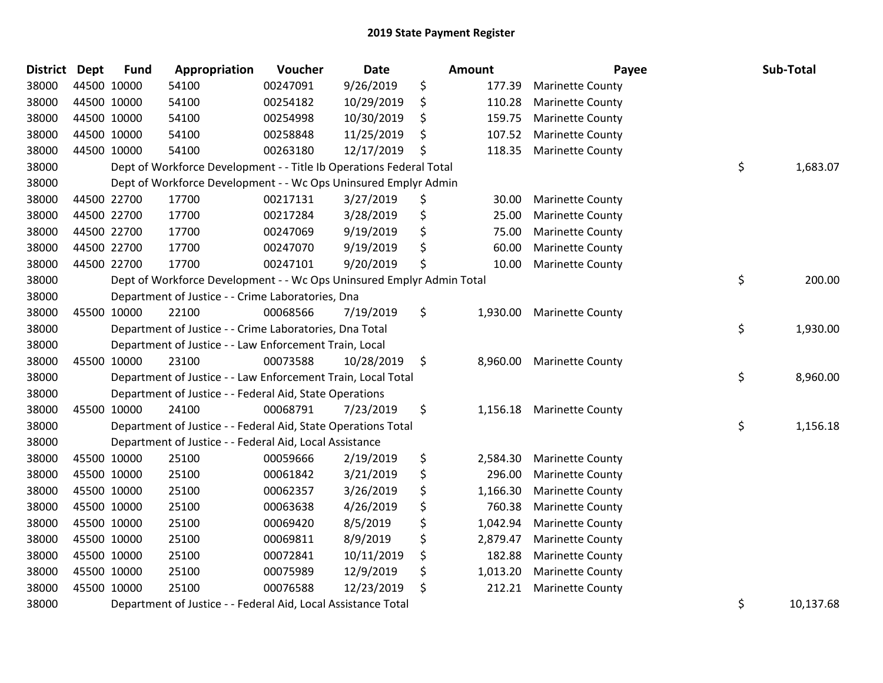| <b>District Dept</b> |             | <b>Fund</b> | Appropriation                                                         | Voucher  | <b>Date</b> | <b>Amount</b>  | Payee                   | Sub-Total       |
|----------------------|-------------|-------------|-----------------------------------------------------------------------|----------|-------------|----------------|-------------------------|-----------------|
| 38000                | 44500 10000 |             | 54100                                                                 | 00247091 | 9/26/2019   | \$<br>177.39   | <b>Marinette County</b> |                 |
| 38000                | 44500 10000 |             | 54100                                                                 | 00254182 | 10/29/2019  | \$<br>110.28   | <b>Marinette County</b> |                 |
| 38000                | 44500 10000 |             | 54100                                                                 | 00254998 | 10/30/2019  | \$<br>159.75   | <b>Marinette County</b> |                 |
| 38000                | 44500 10000 |             | 54100                                                                 | 00258848 | 11/25/2019  | \$<br>107.52   | <b>Marinette County</b> |                 |
| 38000                | 44500 10000 |             | 54100                                                                 | 00263180 | 12/17/2019  | \$<br>118.35   | <b>Marinette County</b> |                 |
| 38000                |             |             | Dept of Workforce Development - - Title Ib Operations Federal Total   |          |             |                |                         | \$<br>1,683.07  |
| 38000                |             |             | Dept of Workforce Development - - Wc Ops Uninsured Emplyr Admin       |          |             |                |                         |                 |
| 38000                | 44500 22700 |             | 17700                                                                 | 00217131 | 3/27/2019   | \$<br>30.00    | <b>Marinette County</b> |                 |
| 38000                | 44500 22700 |             | 17700                                                                 | 00217284 | 3/28/2019   | \$<br>25.00    | <b>Marinette County</b> |                 |
| 38000                | 44500 22700 |             | 17700                                                                 | 00247069 | 9/19/2019   | \$<br>75.00    | <b>Marinette County</b> |                 |
| 38000                |             | 44500 22700 | 17700                                                                 | 00247070 | 9/19/2019   | \$<br>60.00    | <b>Marinette County</b> |                 |
| 38000                |             | 44500 22700 | 17700                                                                 | 00247101 | 9/20/2019   | \$<br>10.00    | <b>Marinette County</b> |                 |
| 38000                |             |             | Dept of Workforce Development - - Wc Ops Uninsured Emplyr Admin Total |          |             |                |                         | \$<br>200.00    |
| 38000                |             |             | Department of Justice - - Crime Laboratories, Dna                     |          |             |                |                         |                 |
| 38000                | 45500 10000 |             | 22100                                                                 | 00068566 | 7/19/2019   | \$<br>1,930.00 | <b>Marinette County</b> |                 |
| 38000                |             |             | Department of Justice - - Crime Laboratories, Dna Total               |          |             |                |                         | \$<br>1,930.00  |
| 38000                |             |             | Department of Justice - - Law Enforcement Train, Local                |          |             |                |                         |                 |
| 38000                | 45500 10000 |             | 23100                                                                 | 00073588 | 10/28/2019  | \$<br>8,960.00 | <b>Marinette County</b> |                 |
| 38000                |             |             | Department of Justice - - Law Enforcement Train, Local Total          |          |             |                |                         | \$<br>8,960.00  |
| 38000                |             |             | Department of Justice - - Federal Aid, State Operations               |          |             |                |                         |                 |
| 38000                | 45500 10000 |             | 24100                                                                 | 00068791 | 7/23/2019   | \$<br>1,156.18 | <b>Marinette County</b> |                 |
| 38000                |             |             | Department of Justice - - Federal Aid, State Operations Total         |          |             |                |                         | \$<br>1,156.18  |
| 38000                |             |             | Department of Justice - - Federal Aid, Local Assistance               |          |             |                |                         |                 |
| 38000                |             | 45500 10000 | 25100                                                                 | 00059666 | 2/19/2019   | \$<br>2,584.30 | <b>Marinette County</b> |                 |
| 38000                | 45500 10000 |             | 25100                                                                 | 00061842 | 3/21/2019   | \$<br>296.00   | <b>Marinette County</b> |                 |
| 38000                | 45500 10000 |             | 25100                                                                 | 00062357 | 3/26/2019   | \$<br>1,166.30 | <b>Marinette County</b> |                 |
| 38000                | 45500 10000 |             | 25100                                                                 | 00063638 | 4/26/2019   | \$<br>760.38   | <b>Marinette County</b> |                 |
| 38000                | 45500 10000 |             | 25100                                                                 | 00069420 | 8/5/2019    | \$<br>1,042.94 | <b>Marinette County</b> |                 |
| 38000                | 45500 10000 |             | 25100                                                                 | 00069811 | 8/9/2019    | \$<br>2,879.47 | <b>Marinette County</b> |                 |
| 38000                | 45500 10000 |             | 25100                                                                 | 00072841 | 10/11/2019  | \$<br>182.88   | <b>Marinette County</b> |                 |
| 38000                | 45500 10000 |             | 25100                                                                 | 00075989 | 12/9/2019   | \$<br>1,013.20 | <b>Marinette County</b> |                 |
| 38000                | 45500 10000 |             | 25100                                                                 | 00076588 | 12/23/2019  | \$<br>212.21   | <b>Marinette County</b> |                 |
| 38000                |             |             | Department of Justice - - Federal Aid, Local Assistance Total         |          |             |                |                         | \$<br>10,137.68 |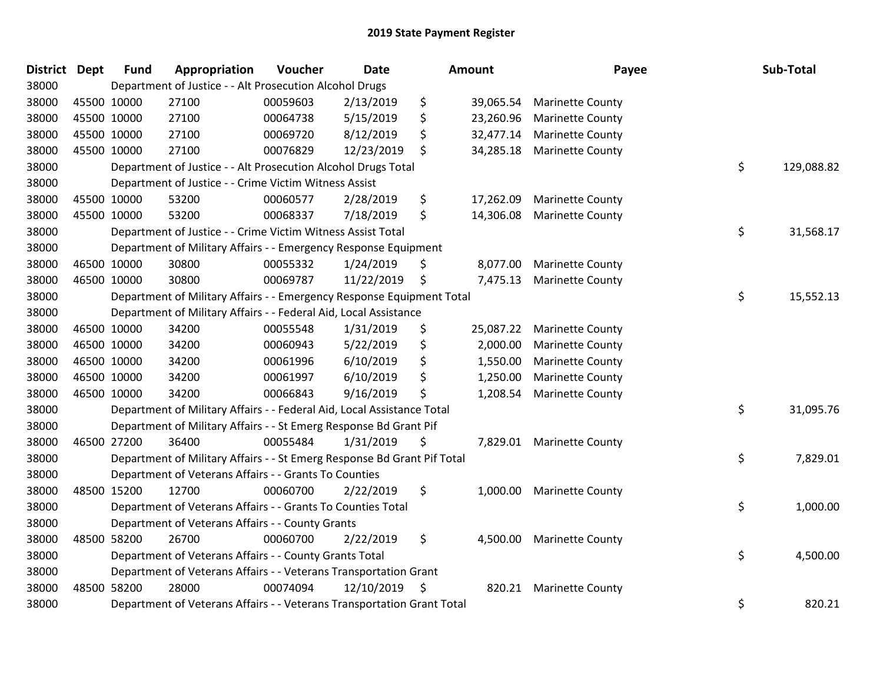| District Dept |             | <b>Fund</b> | Appropriation                                                           | Voucher  | <b>Date</b> | <b>Amount</b>   | Payee                     | Sub-Total        |
|---------------|-------------|-------------|-------------------------------------------------------------------------|----------|-------------|-----------------|---------------------------|------------------|
| 38000         |             |             | Department of Justice - - Alt Prosecution Alcohol Drugs                 |          |             |                 |                           |                  |
| 38000         |             | 45500 10000 | 27100                                                                   | 00059603 | 2/13/2019   | \$<br>39,065.54 | <b>Marinette County</b>   |                  |
| 38000         | 45500 10000 |             | 27100                                                                   | 00064738 | 5/15/2019   | \$<br>23,260.96 | <b>Marinette County</b>   |                  |
| 38000         |             | 45500 10000 | 27100                                                                   | 00069720 | 8/12/2019   | \$<br>32,477.14 | <b>Marinette County</b>   |                  |
| 38000         |             | 45500 10000 | 27100                                                                   | 00076829 | 12/23/2019  | \$<br>34,285.18 | <b>Marinette County</b>   |                  |
| 38000         |             |             | Department of Justice - - Alt Prosecution Alcohol Drugs Total           |          |             |                 |                           | \$<br>129,088.82 |
| 38000         |             |             | Department of Justice - - Crime Victim Witness Assist                   |          |             |                 |                           |                  |
| 38000         |             | 45500 10000 | 53200                                                                   | 00060577 | 2/28/2019   | \$<br>17,262.09 | <b>Marinette County</b>   |                  |
| 38000         |             | 45500 10000 | 53200                                                                   | 00068337 | 7/18/2019   | \$<br>14,306.08 | <b>Marinette County</b>   |                  |
| 38000         |             |             | Department of Justice - - Crime Victim Witness Assist Total             |          |             |                 |                           | \$<br>31,568.17  |
| 38000         |             |             | Department of Military Affairs - - Emergency Response Equipment         |          |             |                 |                           |                  |
| 38000         |             | 46500 10000 | 30800                                                                   | 00055332 | 1/24/2019   | \$<br>8,077.00  | <b>Marinette County</b>   |                  |
| 38000         |             | 46500 10000 | 30800                                                                   | 00069787 | 11/22/2019  | \$<br>7,475.13  | <b>Marinette County</b>   |                  |
| 38000         |             |             | Department of Military Affairs - - Emergency Response Equipment Total   |          |             |                 |                           | \$<br>15,552.13  |
| 38000         |             |             | Department of Military Affairs - - Federal Aid, Local Assistance        |          |             |                 |                           |                  |
| 38000         |             | 46500 10000 | 34200                                                                   | 00055548 | 1/31/2019   | \$<br>25,087.22 | <b>Marinette County</b>   |                  |
| 38000         |             | 46500 10000 | 34200                                                                   | 00060943 | 5/22/2019   | \$<br>2,000.00  | <b>Marinette County</b>   |                  |
| 38000         | 46500 10000 |             | 34200                                                                   | 00061996 | 6/10/2019   | \$<br>1,550.00  | <b>Marinette County</b>   |                  |
| 38000         |             | 46500 10000 | 34200                                                                   | 00061997 | 6/10/2019   | \$<br>1,250.00  | <b>Marinette County</b>   |                  |
| 38000         |             | 46500 10000 | 34200                                                                   | 00066843 | 9/16/2019   | \$<br>1,208.54  | <b>Marinette County</b>   |                  |
| 38000         |             |             | Department of Military Affairs - - Federal Aid, Local Assistance Total  |          |             |                 |                           | \$<br>31,095.76  |
| 38000         |             |             | Department of Military Affairs - - St Emerg Response Bd Grant Pif       |          |             |                 |                           |                  |
| 38000         |             | 46500 27200 | 36400                                                                   | 00055484 | 1/31/2019   | \$              | 7,829.01 Marinette County |                  |
| 38000         |             |             | Department of Military Affairs - - St Emerg Response Bd Grant Pif Total |          |             |                 |                           | \$<br>7,829.01   |
| 38000         |             |             | Department of Veterans Affairs - - Grants To Counties                   |          |             |                 |                           |                  |
| 38000         |             | 48500 15200 | 12700                                                                   | 00060700 | 2/22/2019   | \$<br>1,000.00  | <b>Marinette County</b>   |                  |
| 38000         |             |             | Department of Veterans Affairs - - Grants To Counties Total             |          |             |                 |                           | \$<br>1,000.00   |
| 38000         |             |             | Department of Veterans Affairs - - County Grants                        |          |             |                 |                           |                  |
| 38000         |             | 48500 58200 | 26700                                                                   | 00060700 | 2/22/2019   | \$<br>4,500.00  | <b>Marinette County</b>   |                  |
| 38000         |             |             | Department of Veterans Affairs - - County Grants Total                  |          |             |                 |                           | \$<br>4,500.00   |
| 38000         |             |             | Department of Veterans Affairs - - Veterans Transportation Grant        |          |             |                 |                           |                  |
| 38000         |             | 48500 58200 | 28000                                                                   | 00074094 | 12/10/2019  | \$<br>820.21    | <b>Marinette County</b>   |                  |
| 38000         |             |             | Department of Veterans Affairs - - Veterans Transportation Grant Total  |          |             |                 |                           | \$<br>820.21     |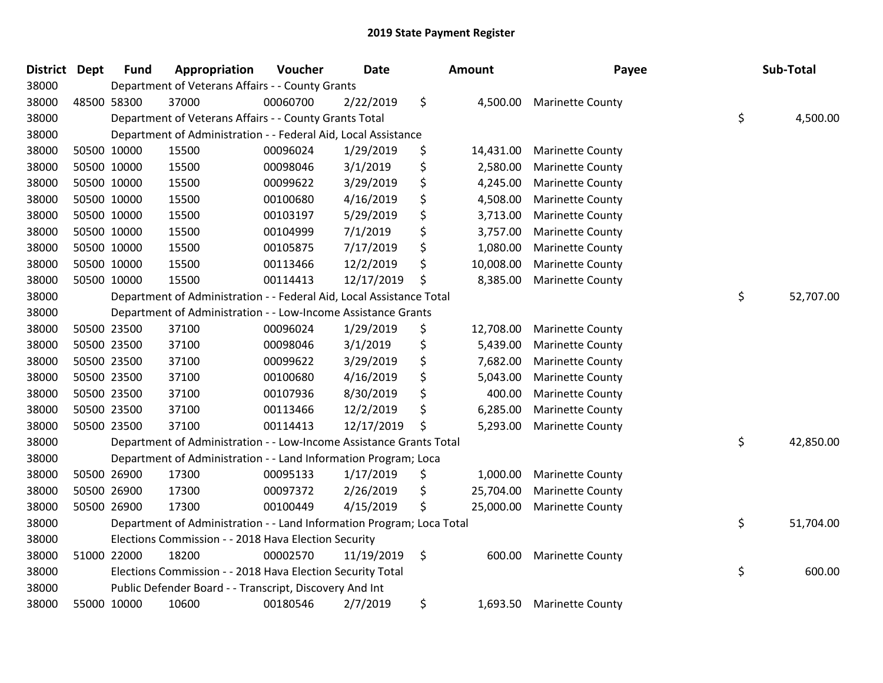| <b>District</b> | <b>Dept</b> | <b>Fund</b> | Appropriation                                                         | Voucher  | Date       | Amount          | Payee                   | Sub-Total       |
|-----------------|-------------|-------------|-----------------------------------------------------------------------|----------|------------|-----------------|-------------------------|-----------------|
| 38000           |             |             | Department of Veterans Affairs - - County Grants                      |          |            |                 |                         |                 |
| 38000           |             | 48500 58300 | 37000                                                                 | 00060700 | 2/22/2019  | \$<br>4,500.00  | <b>Marinette County</b> |                 |
| 38000           |             |             | Department of Veterans Affairs - - County Grants Total                |          |            |                 |                         | \$<br>4,500.00  |
| 38000           |             |             | Department of Administration - - Federal Aid, Local Assistance        |          |            |                 |                         |                 |
| 38000           |             | 50500 10000 | 15500                                                                 | 00096024 | 1/29/2019  | \$<br>14,431.00 | <b>Marinette County</b> |                 |
| 38000           |             | 50500 10000 | 15500                                                                 | 00098046 | 3/1/2019   | \$<br>2,580.00  | <b>Marinette County</b> |                 |
| 38000           | 50500 10000 |             | 15500                                                                 | 00099622 | 3/29/2019  | \$<br>4,245.00  | <b>Marinette County</b> |                 |
| 38000           | 50500 10000 |             | 15500                                                                 | 00100680 | 4/16/2019  | \$<br>4,508.00  | <b>Marinette County</b> |                 |
| 38000           | 50500 10000 |             | 15500                                                                 | 00103197 | 5/29/2019  | \$<br>3,713.00  | <b>Marinette County</b> |                 |
| 38000           |             | 50500 10000 | 15500                                                                 | 00104999 | 7/1/2019   | \$<br>3,757.00  | <b>Marinette County</b> |                 |
| 38000           |             | 50500 10000 | 15500                                                                 | 00105875 | 7/17/2019  | \$<br>1,080.00  | <b>Marinette County</b> |                 |
| 38000           |             | 50500 10000 | 15500                                                                 | 00113466 | 12/2/2019  | \$<br>10,008.00 | <b>Marinette County</b> |                 |
| 38000           |             | 50500 10000 | 15500                                                                 | 00114413 | 12/17/2019 | \$<br>8,385.00  | <b>Marinette County</b> |                 |
| 38000           |             |             | Department of Administration - - Federal Aid, Local Assistance Total  |          |            |                 |                         | \$<br>52,707.00 |
| 38000           |             |             | Department of Administration - - Low-Income Assistance Grants         |          |            |                 |                         |                 |
| 38000           |             | 50500 23500 | 37100                                                                 | 00096024 | 1/29/2019  | \$<br>12,708.00 | <b>Marinette County</b> |                 |
| 38000           | 50500 23500 |             | 37100                                                                 | 00098046 | 3/1/2019   | \$<br>5,439.00  | <b>Marinette County</b> |                 |
| 38000           | 50500 23500 |             | 37100                                                                 | 00099622 | 3/29/2019  | \$<br>7,682.00  | <b>Marinette County</b> |                 |
| 38000           | 50500 23500 |             | 37100                                                                 | 00100680 | 4/16/2019  | \$<br>5,043.00  | <b>Marinette County</b> |                 |
| 38000           |             | 50500 23500 | 37100                                                                 | 00107936 | 8/30/2019  | \$<br>400.00    | <b>Marinette County</b> |                 |
| 38000           |             | 50500 23500 | 37100                                                                 | 00113466 | 12/2/2019  | \$<br>6,285.00  | <b>Marinette County</b> |                 |
| 38000           |             | 50500 23500 | 37100                                                                 | 00114413 | 12/17/2019 | \$<br>5,293.00  | <b>Marinette County</b> |                 |
| 38000           |             |             | Department of Administration - - Low-Income Assistance Grants Total   |          |            |                 |                         | \$<br>42,850.00 |
| 38000           |             |             | Department of Administration - - Land Information Program; Loca       |          |            |                 |                         |                 |
| 38000           |             | 50500 26900 | 17300                                                                 | 00095133 | 1/17/2019  | \$<br>1,000.00  | <b>Marinette County</b> |                 |
| 38000           |             | 50500 26900 | 17300                                                                 | 00097372 | 2/26/2019  | \$<br>25,704.00 | <b>Marinette County</b> |                 |
| 38000           |             | 50500 26900 | 17300                                                                 | 00100449 | 4/15/2019  | \$<br>25,000.00 | <b>Marinette County</b> |                 |
| 38000           |             |             | Department of Administration - - Land Information Program; Loca Total |          |            |                 |                         | \$<br>51,704.00 |
| 38000           |             |             | Elections Commission - - 2018 Hava Election Security                  |          |            |                 |                         |                 |
| 38000           |             | 51000 22000 | 18200                                                                 | 00002570 | 11/19/2019 | \$<br>600.00    | <b>Marinette County</b> |                 |
| 38000           |             |             | Elections Commission - - 2018 Hava Election Security Total            |          |            |                 |                         | \$<br>600.00    |
| 38000           |             |             | Public Defender Board - - Transcript, Discovery And Int               |          |            |                 |                         |                 |
| 38000           |             | 55000 10000 | 10600                                                                 | 00180546 | 2/7/2019   | \$<br>1,693.50  | <b>Marinette County</b> |                 |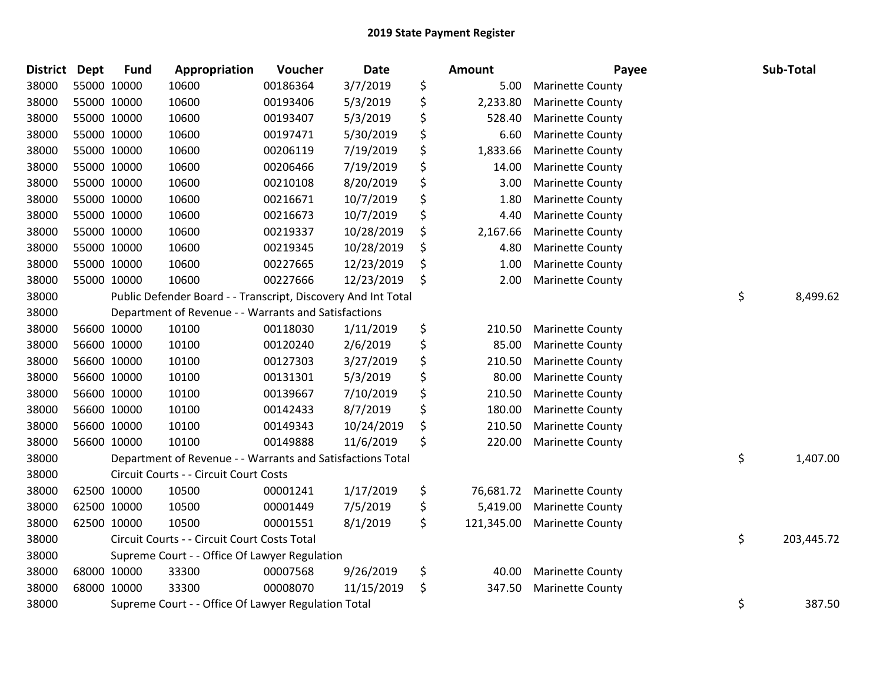| <b>District</b> | Dept | <b>Fund</b> | Appropriation                                                 | Voucher  | Date       | Amount           | Payee                   | Sub-Total        |
|-----------------|------|-------------|---------------------------------------------------------------|----------|------------|------------------|-------------------------|------------------|
| 38000           |      | 55000 10000 | 10600                                                         | 00186364 | 3/7/2019   | \$<br>5.00       | Marinette County        |                  |
| 38000           |      | 55000 10000 | 10600                                                         | 00193406 | 5/3/2019   | \$<br>2,233.80   | <b>Marinette County</b> |                  |
| 38000           |      | 55000 10000 | 10600                                                         | 00193407 | 5/3/2019   | \$<br>528.40     | <b>Marinette County</b> |                  |
| 38000           |      | 55000 10000 | 10600                                                         | 00197471 | 5/30/2019  | \$<br>6.60       | <b>Marinette County</b> |                  |
| 38000           |      | 55000 10000 | 10600                                                         | 00206119 | 7/19/2019  | \$<br>1,833.66   | <b>Marinette County</b> |                  |
| 38000           |      | 55000 10000 | 10600                                                         | 00206466 | 7/19/2019  | \$<br>14.00      | <b>Marinette County</b> |                  |
| 38000           |      | 55000 10000 | 10600                                                         | 00210108 | 8/20/2019  | \$<br>3.00       | <b>Marinette County</b> |                  |
| 38000           |      | 55000 10000 | 10600                                                         | 00216671 | 10/7/2019  | \$<br>1.80       | <b>Marinette County</b> |                  |
| 38000           |      | 55000 10000 | 10600                                                         | 00216673 | 10/7/2019  | \$<br>4.40       | <b>Marinette County</b> |                  |
| 38000           |      | 55000 10000 | 10600                                                         | 00219337 | 10/28/2019 | \$<br>2,167.66   | <b>Marinette County</b> |                  |
| 38000           |      | 55000 10000 | 10600                                                         | 00219345 | 10/28/2019 | \$<br>4.80       | <b>Marinette County</b> |                  |
| 38000           |      | 55000 10000 | 10600                                                         | 00227665 | 12/23/2019 | \$<br>1.00       | <b>Marinette County</b> |                  |
| 38000           |      | 55000 10000 | 10600                                                         | 00227666 | 12/23/2019 | \$<br>2.00       | <b>Marinette County</b> |                  |
| 38000           |      |             | Public Defender Board - - Transcript, Discovery And Int Total |          |            |                  |                         | \$<br>8,499.62   |
| 38000           |      |             | Department of Revenue - - Warrants and Satisfactions          |          |            |                  |                         |                  |
| 38000           |      | 56600 10000 | 10100                                                         | 00118030 | 1/11/2019  | \$<br>210.50     | <b>Marinette County</b> |                  |
| 38000           |      | 56600 10000 | 10100                                                         | 00120240 | 2/6/2019   | \$<br>85.00      | <b>Marinette County</b> |                  |
| 38000           |      | 56600 10000 | 10100                                                         | 00127303 | 3/27/2019  | \$<br>210.50     | <b>Marinette County</b> |                  |
| 38000           |      | 56600 10000 | 10100                                                         | 00131301 | 5/3/2019   | \$<br>80.00      | <b>Marinette County</b> |                  |
| 38000           |      | 56600 10000 | 10100                                                         | 00139667 | 7/10/2019  | \$<br>210.50     | <b>Marinette County</b> |                  |
| 38000           |      | 56600 10000 | 10100                                                         | 00142433 | 8/7/2019   | \$<br>180.00     | <b>Marinette County</b> |                  |
| 38000           |      | 56600 10000 | 10100                                                         | 00149343 | 10/24/2019 | \$<br>210.50     | <b>Marinette County</b> |                  |
| 38000           |      | 56600 10000 | 10100                                                         | 00149888 | 11/6/2019  | \$<br>220.00     | <b>Marinette County</b> |                  |
| 38000           |      |             | Department of Revenue - - Warrants and Satisfactions Total    |          |            |                  |                         | \$<br>1,407.00   |
| 38000           |      |             | Circuit Courts - - Circuit Court Costs                        |          |            |                  |                         |                  |
| 38000           |      | 62500 10000 | 10500                                                         | 00001241 | 1/17/2019  | \$<br>76,681.72  | <b>Marinette County</b> |                  |
| 38000           |      | 62500 10000 | 10500                                                         | 00001449 | 7/5/2019   | \$<br>5,419.00   | <b>Marinette County</b> |                  |
| 38000           |      | 62500 10000 | 10500                                                         | 00001551 | 8/1/2019   | \$<br>121,345.00 | <b>Marinette County</b> |                  |
| 38000           |      |             | Circuit Courts - - Circuit Court Costs Total                  |          |            |                  |                         | \$<br>203,445.72 |
| 38000           |      |             | Supreme Court - - Office Of Lawyer Regulation                 |          |            |                  |                         |                  |
| 38000           |      | 68000 10000 | 33300                                                         | 00007568 | 9/26/2019  | \$<br>40.00      | <b>Marinette County</b> |                  |
| 38000           |      | 68000 10000 | 33300                                                         | 00008070 | 11/15/2019 | \$<br>347.50     | <b>Marinette County</b> |                  |
| 38000           |      |             | Supreme Court - - Office Of Lawyer Regulation Total           |          |            |                  |                         | \$<br>387.50     |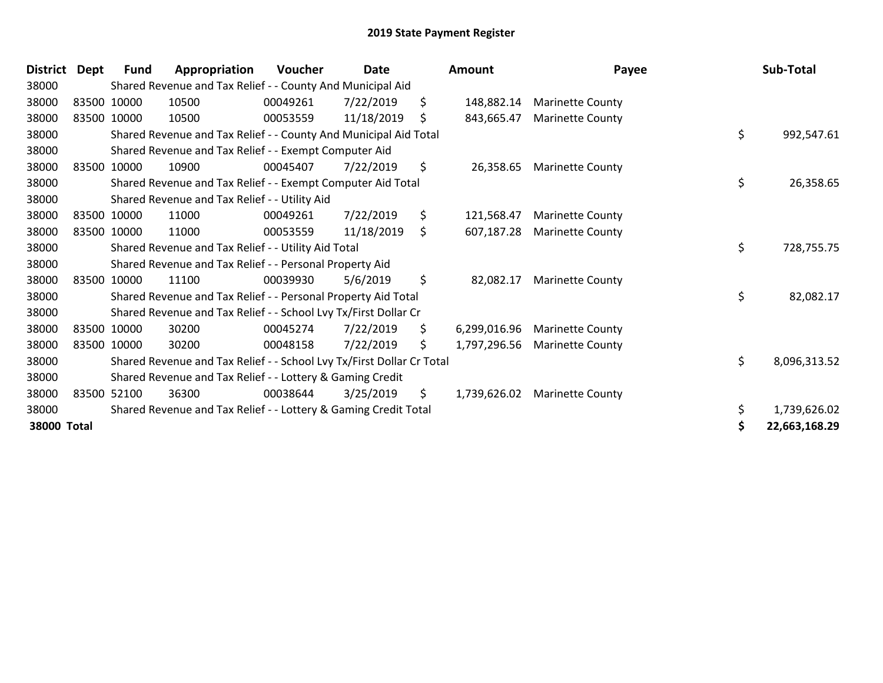| <b>District</b> | Dept | Fund        | Appropriation                                                         | <b>Voucher</b> | Date       |     | <b>Amount</b> | Payee                   | Sub-Total          |
|-----------------|------|-------------|-----------------------------------------------------------------------|----------------|------------|-----|---------------|-------------------------|--------------------|
| 38000           |      |             | Shared Revenue and Tax Relief - - County And Municipal Aid            |                |            |     |               |                         |                    |
| 38000           |      | 83500 10000 | 10500                                                                 | 00049261       | 7/22/2019  | \$  | 148,882.14    | <b>Marinette County</b> |                    |
| 38000           |      | 83500 10000 | 10500                                                                 | 00053559       | 11/18/2019 | \$  | 843,665.47    | <b>Marinette County</b> |                    |
| 38000           |      |             | Shared Revenue and Tax Relief - - County And Municipal Aid Total      |                |            |     |               |                         | \$<br>992,547.61   |
| 38000           |      |             | Shared Revenue and Tax Relief - - Exempt Computer Aid                 |                |            |     |               |                         |                    |
| 38000           |      | 83500 10000 | 10900                                                                 | 00045407       | 7/22/2019  | \$  | 26,358.65     | <b>Marinette County</b> |                    |
| 38000           |      |             | Shared Revenue and Tax Relief - - Exempt Computer Aid Total           |                |            |     |               |                         | \$<br>26,358.65    |
| 38000           |      |             | Shared Revenue and Tax Relief - - Utility Aid                         |                |            |     |               |                         |                    |
| 38000           |      | 83500 10000 | 11000                                                                 | 00049261       | 7/22/2019  | \$  | 121,568.47    | <b>Marinette County</b> |                    |
| 38000           |      | 83500 10000 | 11000                                                                 | 00053559       | 11/18/2019 | \$  | 607,187.28    | <b>Marinette County</b> |                    |
| 38000           |      |             | Shared Revenue and Tax Relief - - Utility Aid Total                   |                |            |     |               |                         | \$<br>728,755.75   |
| 38000           |      |             | Shared Revenue and Tax Relief - - Personal Property Aid               |                |            |     |               |                         |                    |
| 38000           |      | 83500 10000 | 11100                                                                 | 00039930       | 5/6/2019   | \$  | 82,082.17     | <b>Marinette County</b> |                    |
| 38000           |      |             | Shared Revenue and Tax Relief - - Personal Property Aid Total         |                |            |     |               |                         | \$<br>82,082.17    |
| 38000           |      |             | Shared Revenue and Tax Relief - - School Lvy Tx/First Dollar Cr       |                |            |     |               |                         |                    |
| 38000           |      | 83500 10000 | 30200                                                                 | 00045274       | 7/22/2019  | \$. | 6,299,016.96  | <b>Marinette County</b> |                    |
| 38000           |      | 83500 10000 | 30200                                                                 | 00048158       | 7/22/2019  | \$. | 1,797,296.56  | <b>Marinette County</b> |                    |
| 38000           |      |             | Shared Revenue and Tax Relief - - School Lvy Tx/First Dollar Cr Total |                |            |     |               |                         | \$<br>8,096,313.52 |
| 38000           |      |             | Shared Revenue and Tax Relief - - Lottery & Gaming Credit             |                |            |     |               |                         |                    |
| 38000           |      | 83500 52100 | 36300                                                                 | 00038644       | 3/25/2019  | \$  | 1,739,626.02  | <b>Marinette County</b> |                    |
| 38000           |      |             | Shared Revenue and Tax Relief - - Lottery & Gaming Credit Total       |                |            |     |               |                         | \$<br>1,739,626.02 |
| 38000 Total     |      |             |                                                                       |                |            |     |               |                         | 22,663,168.29      |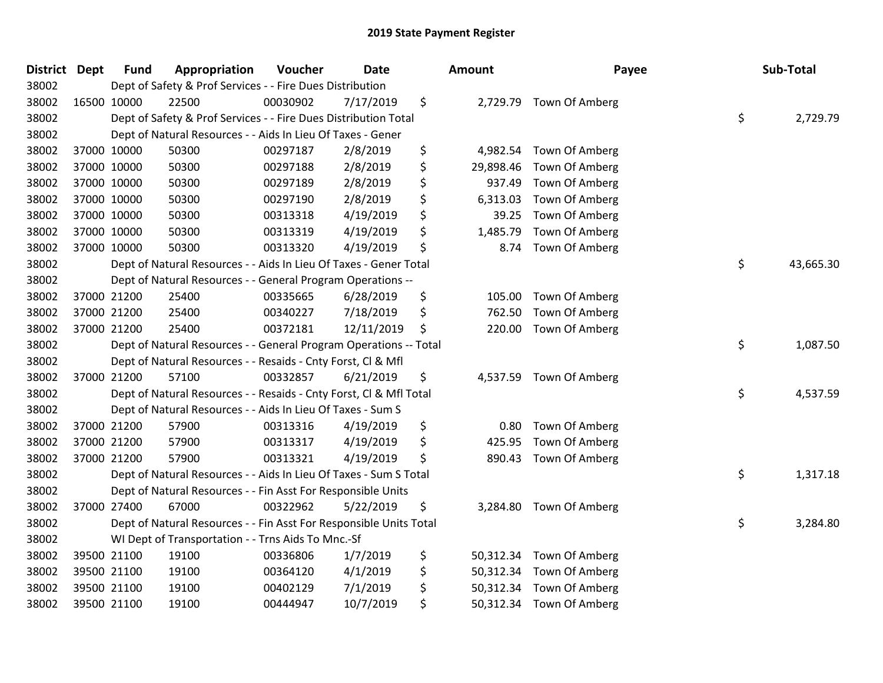| District Dept |             | <b>Fund</b> | Appropriation                                                      | Voucher  | <b>Date</b> | Amount          | Payee                    | Sub-Total       |
|---------------|-------------|-------------|--------------------------------------------------------------------|----------|-------------|-----------------|--------------------------|-----------------|
| 38002         |             |             | Dept of Safety & Prof Services - - Fire Dues Distribution          |          |             |                 |                          |                 |
| 38002         | 16500 10000 |             | 22500                                                              | 00030902 | 7/17/2019   | \$              | 2,729.79 Town Of Amberg  |                 |
| 38002         |             |             | Dept of Safety & Prof Services - - Fire Dues Distribution Total    |          |             |                 |                          | \$<br>2,729.79  |
| 38002         |             |             | Dept of Natural Resources - - Aids In Lieu Of Taxes - Gener        |          |             |                 |                          |                 |
| 38002         | 37000 10000 |             | 50300                                                              | 00297187 | 2/8/2019    | \$<br>4,982.54  | Town Of Amberg           |                 |
| 38002         | 37000 10000 |             | 50300                                                              | 00297188 | 2/8/2019    | \$<br>29,898.46 | Town Of Amberg           |                 |
| 38002         | 37000 10000 |             | 50300                                                              | 00297189 | 2/8/2019    | \$<br>937.49    | Town Of Amberg           |                 |
| 38002         | 37000 10000 |             | 50300                                                              | 00297190 | 2/8/2019    | \$<br>6,313.03  | Town Of Amberg           |                 |
| 38002         | 37000 10000 |             | 50300                                                              | 00313318 | 4/19/2019   | \$<br>39.25     | Town Of Amberg           |                 |
| 38002         | 37000 10000 |             | 50300                                                              | 00313319 | 4/19/2019   | \$<br>1,485.79  | Town Of Amberg           |                 |
| 38002         | 37000 10000 |             | 50300                                                              | 00313320 | 4/19/2019   | \$<br>8.74      | Town Of Amberg           |                 |
| 38002         |             |             | Dept of Natural Resources - - Aids In Lieu Of Taxes - Gener Total  |          |             |                 |                          | \$<br>43,665.30 |
| 38002         |             |             | Dept of Natural Resources - - General Program Operations --        |          |             |                 |                          |                 |
| 38002         | 37000 21200 |             | 25400                                                              | 00335665 | 6/28/2019   | \$<br>105.00    | Town Of Amberg           |                 |
| 38002         | 37000 21200 |             | 25400                                                              | 00340227 | 7/18/2019   | \$<br>762.50    | Town Of Amberg           |                 |
| 38002         | 37000 21200 |             | 25400                                                              | 00372181 | 12/11/2019  | \$<br>220.00    | Town Of Amberg           |                 |
| 38002         |             |             | Dept of Natural Resources - - General Program Operations -- Total  |          |             |                 |                          | \$<br>1,087.50  |
| 38002         |             |             | Dept of Natural Resources - - Resaids - Cnty Forst, Cl & Mfl       |          |             |                 |                          |                 |
| 38002         | 37000 21200 |             | 57100                                                              | 00332857 | 6/21/2019   | \$              | 4,537.59 Town Of Amberg  |                 |
| 38002         |             |             | Dept of Natural Resources - - Resaids - Cnty Forst, Cl & Mfl Total |          |             |                 |                          | \$<br>4,537.59  |
| 38002         |             |             | Dept of Natural Resources - - Aids In Lieu Of Taxes - Sum S        |          |             |                 |                          |                 |
| 38002         | 37000 21200 |             | 57900                                                              | 00313316 | 4/19/2019   | \$<br>0.80      | Town Of Amberg           |                 |
| 38002         | 37000 21200 |             | 57900                                                              | 00313317 | 4/19/2019   | \$<br>425.95    | Town Of Amberg           |                 |
| 38002         | 37000 21200 |             | 57900                                                              | 00313321 | 4/19/2019   | \$<br>890.43    | Town Of Amberg           |                 |
| 38002         |             |             | Dept of Natural Resources - - Aids In Lieu Of Taxes - Sum S Total  |          |             |                 |                          | \$<br>1,317.18  |
| 38002         |             |             | Dept of Natural Resources - - Fin Asst For Responsible Units       |          |             |                 |                          |                 |
| 38002         | 37000 27400 |             | 67000                                                              | 00322962 | 5/22/2019   | \$<br>3,284.80  | Town Of Amberg           |                 |
| 38002         |             |             | Dept of Natural Resources - - Fin Asst For Responsible Units Total |          |             |                 |                          | \$<br>3,284.80  |
| 38002         |             |             | WI Dept of Transportation - - Trns Aids To Mnc.-Sf                 |          |             |                 |                          |                 |
| 38002         | 39500 21100 |             | 19100                                                              | 00336806 | 1/7/2019    | \$              | 50,312.34 Town Of Amberg |                 |
| 38002         | 39500 21100 |             | 19100                                                              | 00364120 | 4/1/2019    | \$<br>50,312.34 | Town Of Amberg           |                 |
| 38002         | 39500 21100 |             | 19100                                                              | 00402129 | 7/1/2019    | \$<br>50,312.34 | Town Of Amberg           |                 |
| 38002         |             | 39500 21100 | 19100                                                              | 00444947 | 10/7/2019   | \$              | 50,312.34 Town Of Amberg |                 |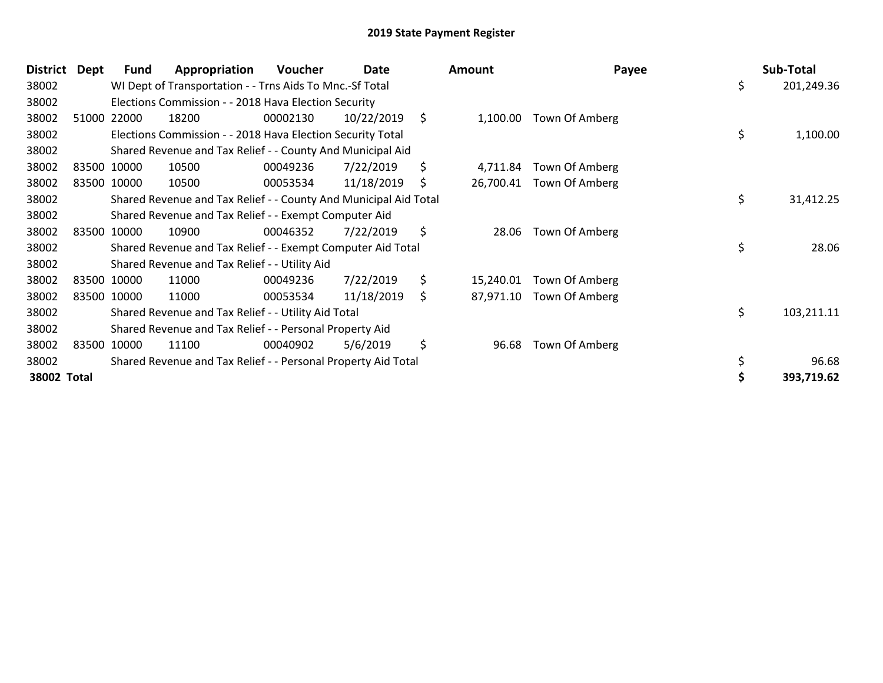| <b>District</b> | Dept | Fund        | Appropriation                                                    | Voucher  | Date       | Amount          | Payee          | Sub-Total        |
|-----------------|------|-------------|------------------------------------------------------------------|----------|------------|-----------------|----------------|------------------|
| 38002           |      |             | WI Dept of Transportation - - Trns Aids To Mnc.-Sf Total         |          |            |                 |                | \$<br>201,249.36 |
| 38002           |      |             | Elections Commission - - 2018 Hava Election Security             |          |            |                 |                |                  |
| 38002           |      | 51000 22000 | 18200                                                            | 00002130 | 10/22/2019 | \$<br>1,100.00  | Town Of Amberg |                  |
| 38002           |      |             | Elections Commission - - 2018 Hava Election Security Total       |          |            |                 |                | \$<br>1,100.00   |
| 38002           |      |             | Shared Revenue and Tax Relief - - County And Municipal Aid       |          |            |                 |                |                  |
| 38002           |      | 83500 10000 | 10500                                                            | 00049236 | 7/22/2019  | \$<br>4,711.84  | Town Of Amberg |                  |
| 38002           |      | 83500 10000 | 10500                                                            | 00053534 | 11/18/2019 | \$<br>26,700.41 | Town Of Amberg |                  |
| 38002           |      |             | Shared Revenue and Tax Relief - - County And Municipal Aid Total |          |            |                 |                | \$<br>31,412.25  |
| 38002           |      |             | Shared Revenue and Tax Relief - - Exempt Computer Aid            |          |            |                 |                |                  |
| 38002           |      | 83500 10000 | 10900                                                            | 00046352 | 7/22/2019  | \$<br>28.06     | Town Of Amberg |                  |
| 38002           |      |             | Shared Revenue and Tax Relief - - Exempt Computer Aid Total      |          |            |                 |                | \$<br>28.06      |
| 38002           |      |             | Shared Revenue and Tax Relief - - Utility Aid                    |          |            |                 |                |                  |
| 38002           |      | 83500 10000 | 11000                                                            | 00049236 | 7/22/2019  | \$<br>15,240.01 | Town Of Amberg |                  |
| 38002           |      | 83500 10000 | 11000                                                            | 00053534 | 11/18/2019 | \$<br>87,971.10 | Town Of Amberg |                  |
| 38002           |      |             | Shared Revenue and Tax Relief - - Utility Aid Total              |          |            |                 |                | \$<br>103,211.11 |
| 38002           |      |             | Shared Revenue and Tax Relief - - Personal Property Aid          |          |            |                 |                |                  |
| 38002           |      | 83500 10000 | 11100                                                            | 00040902 | 5/6/2019   | \$<br>96.68     | Town Of Amberg |                  |
| 38002           |      |             | Shared Revenue and Tax Relief - - Personal Property Aid Total    |          |            |                 |                | \$<br>96.68      |
| 38002 Total     |      |             |                                                                  |          |            |                 |                | 393,719.62       |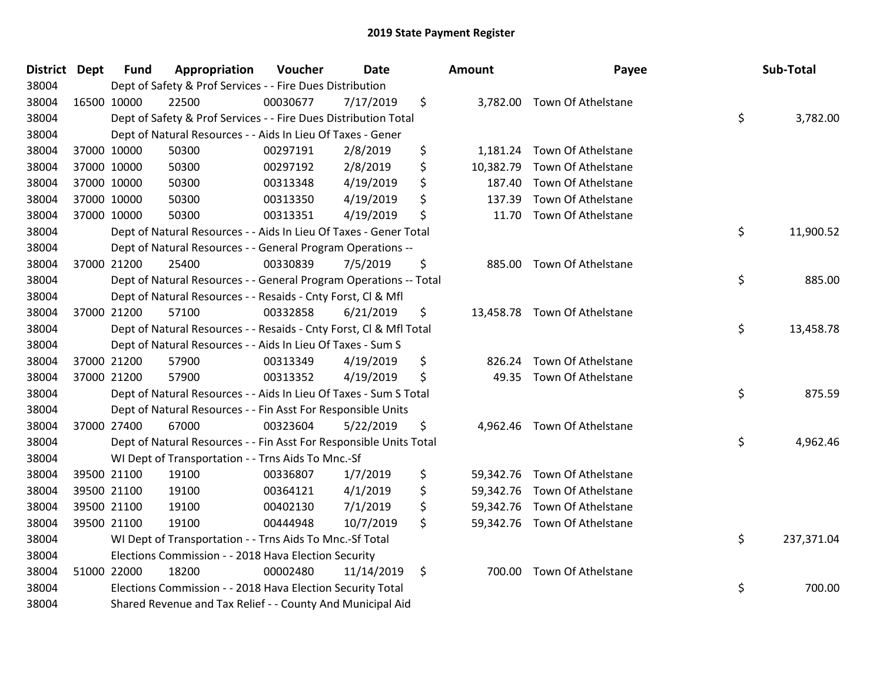| District Dept | <b>Fund</b> | Appropriation                                                      | Voucher  | <b>Date</b> | <b>Amount</b>   | Payee                        | Sub-Total        |
|---------------|-------------|--------------------------------------------------------------------|----------|-------------|-----------------|------------------------------|------------------|
| 38004         |             | Dept of Safety & Prof Services - - Fire Dues Distribution          |          |             |                 |                              |                  |
| 38004         | 16500 10000 | 22500                                                              | 00030677 | 7/17/2019   | \$              | 3,782.00 Town Of Athelstane  |                  |
| 38004         |             | Dept of Safety & Prof Services - - Fire Dues Distribution Total    |          |             |                 |                              | \$<br>3,782.00   |
| 38004         |             | Dept of Natural Resources - - Aids In Lieu Of Taxes - Gener        |          |             |                 |                              |                  |
| 38004         | 37000 10000 | 50300                                                              | 00297191 | 2/8/2019    | \$<br>1,181.24  | Town Of Athelstane           |                  |
| 38004         | 37000 10000 | 50300                                                              | 00297192 | 2/8/2019    | \$<br>10,382.79 | Town Of Athelstane           |                  |
| 38004         | 37000 10000 | 50300                                                              | 00313348 | 4/19/2019   | \$<br>187.40    | Town Of Athelstane           |                  |
| 38004         | 37000 10000 | 50300                                                              | 00313350 | 4/19/2019   | \$<br>137.39    | Town Of Athelstane           |                  |
| 38004         | 37000 10000 | 50300                                                              | 00313351 | 4/19/2019   | \$<br>11.70     | Town Of Athelstane           |                  |
| 38004         |             | Dept of Natural Resources - - Aids In Lieu Of Taxes - Gener Total  |          |             |                 |                              | \$<br>11,900.52  |
| 38004         |             | Dept of Natural Resources - - General Program Operations --        |          |             |                 |                              |                  |
| 38004         | 37000 21200 | 25400                                                              | 00330839 | 7/5/2019    | \$              | 885.00 Town Of Athelstane    |                  |
| 38004         |             | Dept of Natural Resources - - General Program Operations -- Total  |          |             |                 |                              | \$<br>885.00     |
| 38004         |             | Dept of Natural Resources - - Resaids - Cnty Forst, Cl & Mfl       |          |             |                 |                              |                  |
| 38004         | 37000 21200 | 57100                                                              | 00332858 | 6/21/2019   | \$              | 13,458.78 Town Of Athelstane |                  |
| 38004         |             | Dept of Natural Resources - - Resaids - Cnty Forst, CI & Mfl Total |          |             |                 |                              | \$<br>13,458.78  |
| 38004         |             | Dept of Natural Resources - - Aids In Lieu Of Taxes - Sum S        |          |             |                 |                              |                  |
| 38004         | 37000 21200 | 57900                                                              | 00313349 | 4/19/2019   | \$<br>826.24    | Town Of Athelstane           |                  |
| 38004         | 37000 21200 | 57900                                                              | 00313352 | 4/19/2019   | \$<br>49.35     | Town Of Athelstane           |                  |
| 38004         |             | Dept of Natural Resources - - Aids In Lieu Of Taxes - Sum S Total  |          |             |                 |                              | \$<br>875.59     |
| 38004         |             | Dept of Natural Resources - - Fin Asst For Responsible Units       |          |             |                 |                              |                  |
| 38004         | 37000 27400 | 67000                                                              | 00323604 | 5/22/2019   | \$              | 4,962.46 Town Of Athelstane  |                  |
| 38004         |             | Dept of Natural Resources - - Fin Asst For Responsible Units Total |          |             |                 |                              | \$<br>4,962.46   |
| 38004         |             | WI Dept of Transportation - - Trns Aids To Mnc.-Sf                 |          |             |                 |                              |                  |
| 38004         | 39500 21100 | 19100                                                              | 00336807 | 1/7/2019    | \$<br>59,342.76 | <b>Town Of Athelstane</b>    |                  |
| 38004         | 39500 21100 | 19100                                                              | 00364121 | 4/1/2019    | \$<br>59,342.76 | Town Of Athelstane           |                  |
| 38004         | 39500 21100 | 19100                                                              | 00402130 | 7/1/2019    | \$<br>59,342.76 | Town Of Athelstane           |                  |
| 38004         | 39500 21100 | 19100                                                              | 00444948 | 10/7/2019   | \$              | 59,342.76 Town Of Athelstane |                  |
| 38004         |             | WI Dept of Transportation - - Trns Aids To Mnc.-Sf Total           |          |             |                 |                              | \$<br>237,371.04 |
| 38004         |             | Elections Commission - - 2018 Hava Election Security               |          |             |                 |                              |                  |
| 38004         | 51000 22000 | 18200                                                              | 00002480 | 11/14/2019  | \$              | 700.00 Town Of Athelstane    |                  |
| 38004         |             | Elections Commission - - 2018 Hava Election Security Total         |          |             |                 |                              | \$<br>700.00     |
| 38004         |             | Shared Revenue and Tax Relief - - County And Municipal Aid         |          |             |                 |                              |                  |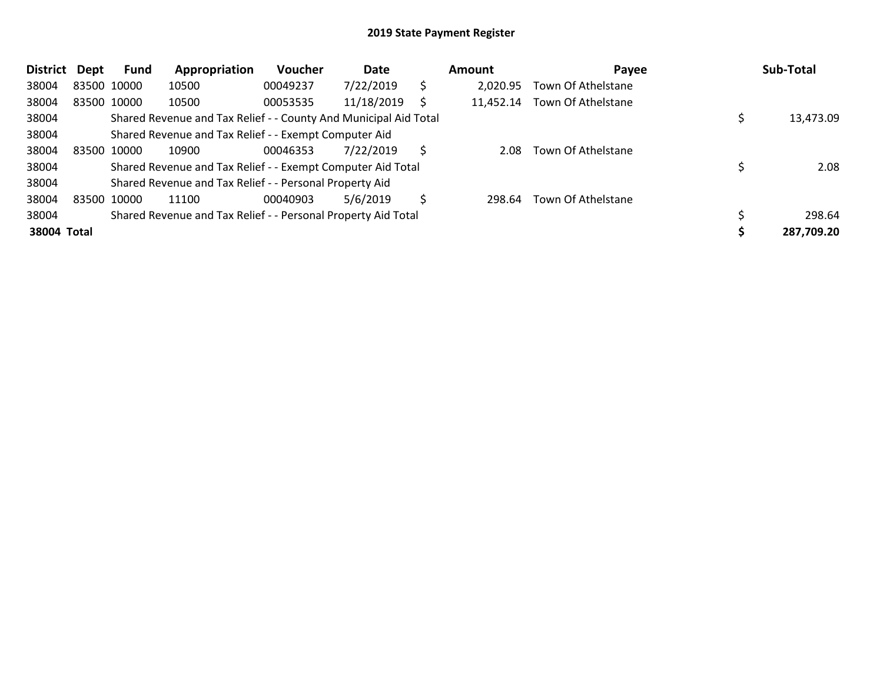| <b>District</b> | Dept        | Fund        | Appropriation                                                    | <b>Voucher</b> | Date       |    | Amount    | Payee              | Sub-Total  |
|-----------------|-------------|-------------|------------------------------------------------------------------|----------------|------------|----|-----------|--------------------|------------|
| 38004           |             | 83500 10000 | 10500                                                            | 00049237       | 7/22/2019  | \$ | 2.020.95  | Town Of Athelstane |            |
| 38004           |             | 83500 10000 | 10500                                                            | 00053535       | 11/18/2019 |    | 11,452.14 | Town Of Athelstane |            |
| 38004           |             |             | Shared Revenue and Tax Relief - - County And Municipal Aid Total |                |            |    |           |                    | 13,473.09  |
| 38004           |             |             | Shared Revenue and Tax Relief - - Exempt Computer Aid            |                |            |    |           |                    |            |
| 38004           |             | 83500 10000 | 10900                                                            | 00046353       | 7/22/2019  | S  | 2.08      | Town Of Athelstane |            |
| 38004           |             |             | Shared Revenue and Tax Relief - - Exempt Computer Aid Total      |                |            |    |           |                    | 2.08       |
| 38004           |             |             | Shared Revenue and Tax Relief - - Personal Property Aid          |                |            |    |           |                    |            |
| 38004           | 83500 10000 |             | 11100                                                            | 00040903       | 5/6/2019   | Ś  | 298.64    | Town Of Athelstane |            |
| 38004           |             |             | Shared Revenue and Tax Relief - - Personal Property Aid Total    |                |            |    |           |                    | 298.64     |
| 38004 Total     |             |             |                                                                  |                |            |    |           |                    | 287,709.20 |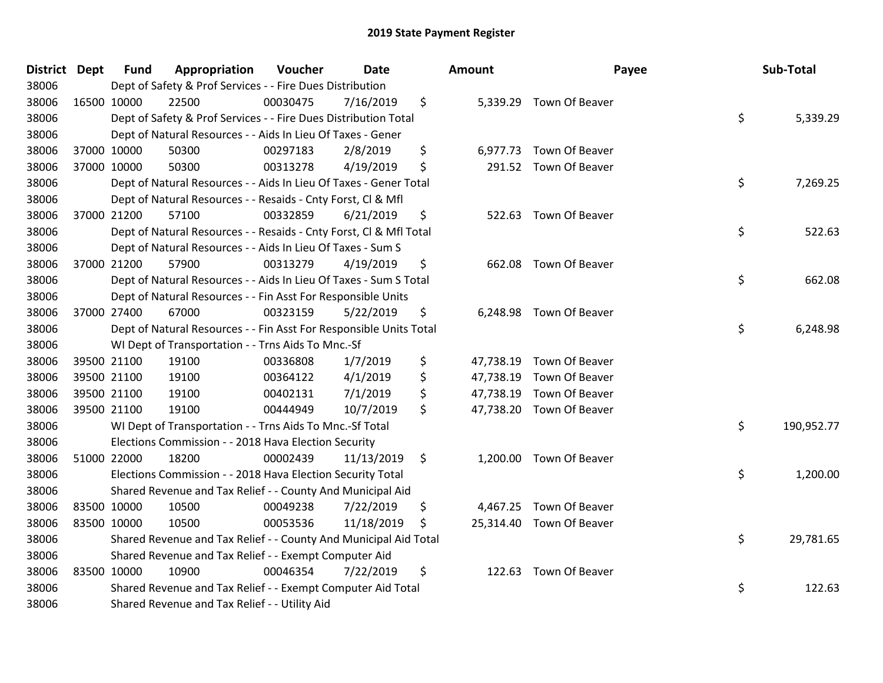| District Dept |             | <b>Fund</b> | Appropriation                                                      | Voucher  | <b>Date</b> |     | <b>Amount</b> | Payee                    | Sub-Total        |
|---------------|-------------|-------------|--------------------------------------------------------------------|----------|-------------|-----|---------------|--------------------------|------------------|
| 38006         |             |             | Dept of Safety & Prof Services - - Fire Dues Distribution          |          |             |     |               |                          |                  |
| 38006         |             | 16500 10000 | 22500                                                              | 00030475 | 7/16/2019   | \$  |               | 5,339.29 Town Of Beaver  |                  |
| 38006         |             |             | Dept of Safety & Prof Services - - Fire Dues Distribution Total    |          |             |     |               |                          | \$<br>5,339.29   |
| 38006         |             |             | Dept of Natural Resources - - Aids In Lieu Of Taxes - Gener        |          |             |     |               |                          |                  |
| 38006         |             | 37000 10000 | 50300                                                              | 00297183 | 2/8/2019    | \$  |               | 6,977.73 Town Of Beaver  |                  |
| 38006         |             | 37000 10000 | 50300                                                              | 00313278 | 4/19/2019   | \$  |               | 291.52 Town Of Beaver    |                  |
| 38006         |             |             | Dept of Natural Resources - - Aids In Lieu Of Taxes - Gener Total  |          |             |     |               |                          | \$<br>7,269.25   |
| 38006         |             |             | Dept of Natural Resources - - Resaids - Cnty Forst, Cl & Mfl       |          |             |     |               |                          |                  |
| 38006         |             | 37000 21200 | 57100                                                              | 00332859 | 6/21/2019   | \$  |               | 522.63 Town Of Beaver    |                  |
| 38006         |             |             | Dept of Natural Resources - - Resaids - Cnty Forst, Cl & Mfl Total |          |             |     |               |                          | \$<br>522.63     |
| 38006         |             |             | Dept of Natural Resources - - Aids In Lieu Of Taxes - Sum S        |          |             |     |               |                          |                  |
| 38006         |             | 37000 21200 | 57900                                                              | 00313279 | 4/19/2019   | \$  |               | 662.08 Town Of Beaver    |                  |
| 38006         |             |             | Dept of Natural Resources - - Aids In Lieu Of Taxes - Sum S Total  |          |             |     |               |                          | \$<br>662.08     |
| 38006         |             |             | Dept of Natural Resources - - Fin Asst For Responsible Units       |          |             |     |               |                          |                  |
| 38006         |             | 37000 27400 | 67000                                                              | 00323159 | 5/22/2019   | \$  |               | 6,248.98 Town Of Beaver  |                  |
| 38006         |             |             | Dept of Natural Resources - - Fin Asst For Responsible Units Total |          |             |     |               |                          | \$<br>6,248.98   |
| 38006         |             |             | WI Dept of Transportation - - Trns Aids To Mnc.-Sf                 |          |             |     |               |                          |                  |
| 38006         |             | 39500 21100 | 19100                                                              | 00336808 | 1/7/2019    | \$  |               | 47,738.19 Town Of Beaver |                  |
| 38006         |             | 39500 21100 | 19100                                                              | 00364122 | 4/1/2019    | \$  |               | 47,738.19 Town Of Beaver |                  |
| 38006         |             | 39500 21100 | 19100                                                              | 00402131 | 7/1/2019    | \$  |               | 47,738.19 Town Of Beaver |                  |
| 38006         |             | 39500 21100 | 19100                                                              | 00444949 | 10/7/2019   | \$  |               | 47,738.20 Town Of Beaver |                  |
| 38006         |             |             | WI Dept of Transportation - - Trns Aids To Mnc.-Sf Total           |          |             |     |               |                          | \$<br>190,952.77 |
| 38006         |             |             | Elections Commission - - 2018 Hava Election Security               |          |             |     |               |                          |                  |
| 38006         |             | 51000 22000 | 18200                                                              | 00002439 | 11/13/2019  | \$  |               | 1,200.00 Town Of Beaver  |                  |
| 38006         |             |             | Elections Commission - - 2018 Hava Election Security Total         |          |             |     |               |                          | \$<br>1,200.00   |
| 38006         |             |             | Shared Revenue and Tax Relief - - County And Municipal Aid         |          |             |     |               |                          |                  |
| 38006         |             | 83500 10000 | 10500                                                              | 00049238 | 7/22/2019   | \$  |               | 4,467.25 Town Of Beaver  |                  |
| 38006         | 83500 10000 |             | 10500                                                              | 00053536 | 11/18/2019  | \$. |               | 25,314.40 Town Of Beaver |                  |
| 38006         |             |             | Shared Revenue and Tax Relief - - County And Municipal Aid Total   |          |             |     |               |                          | \$<br>29,781.65  |
| 38006         |             |             | Shared Revenue and Tax Relief - - Exempt Computer Aid              |          |             |     |               |                          |                  |
| 38006         |             | 83500 10000 | 10900                                                              | 00046354 | 7/22/2019   | \$  |               | 122.63 Town Of Beaver    |                  |
| 38006         |             |             | Shared Revenue and Tax Relief - - Exempt Computer Aid Total        |          |             |     |               |                          | \$<br>122.63     |
| 38006         |             |             | Shared Revenue and Tax Relief - - Utility Aid                      |          |             |     |               |                          |                  |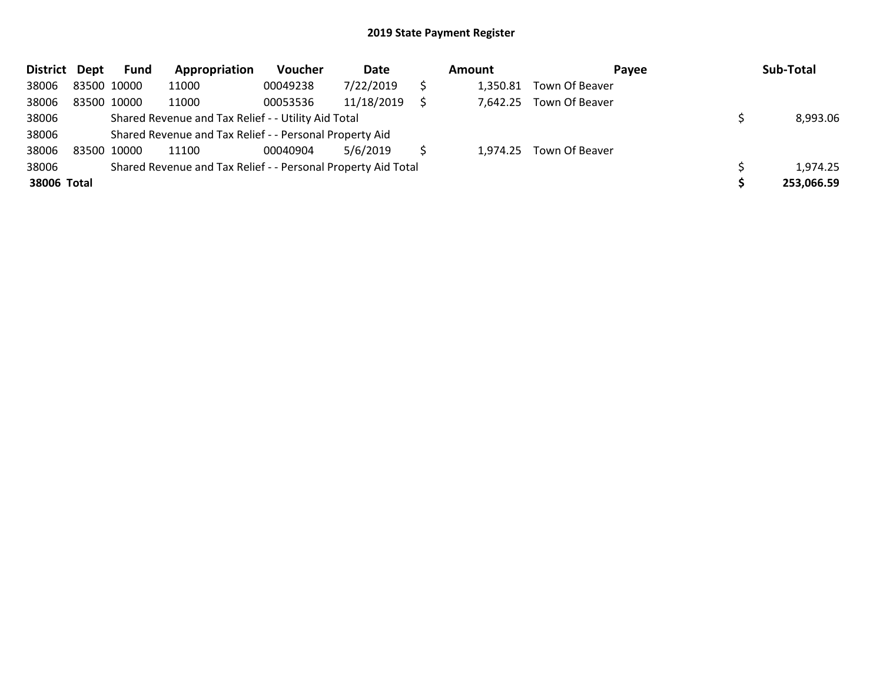| District Dept |             | <b>Fund</b> | Appropriation                                                 | Voucher  | Date       | <b>Amount</b> | Payee                   | Sub-Total  |
|---------------|-------------|-------------|---------------------------------------------------------------|----------|------------|---------------|-------------------------|------------|
| 38006         | 83500 10000 |             | 11000                                                         | 00049238 | 7/22/2019  | 1,350.81      | Town Of Beaver          |            |
| 38006         | 83500 10000 |             | 11000                                                         | 00053536 | 11/18/2019 | 7,642.25      | Town Of Beaver          |            |
| 38006         |             |             | Shared Revenue and Tax Relief - - Utility Aid Total           |          |            |               |                         | 8,993.06   |
| 38006         |             |             | Shared Revenue and Tax Relief - - Personal Property Aid       |          |            |               |                         |            |
| 38006         | 83500 10000 |             | 11100                                                         | 00040904 | 5/6/2019   |               | 1,974.25 Town Of Beaver |            |
| 38006         |             |             | Shared Revenue and Tax Relief - - Personal Property Aid Total |          |            |               |                         | 1,974.25   |
| 38006 Total   |             |             |                                                               |          |            |               |                         | 253,066.59 |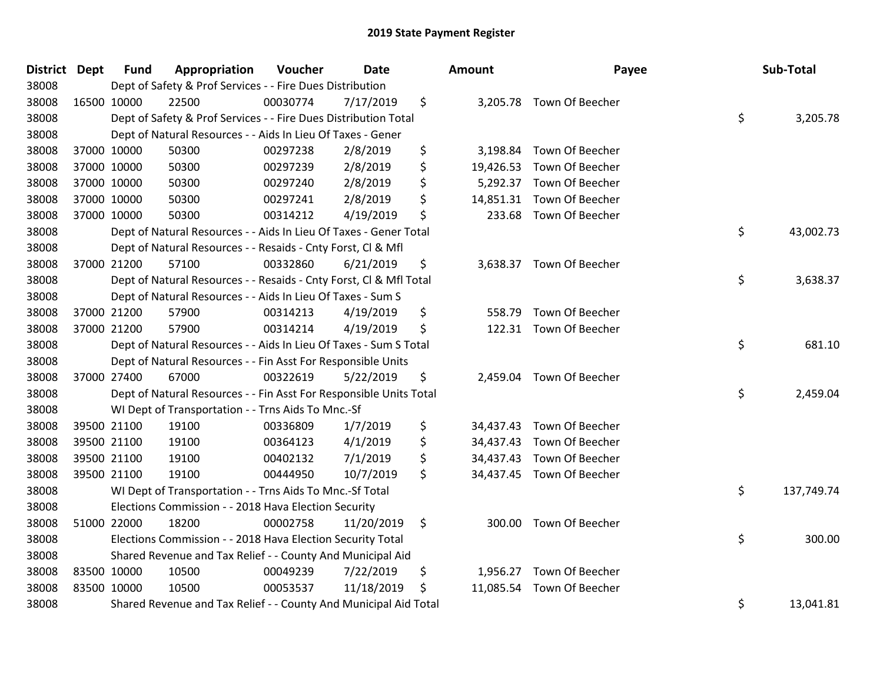| District Dept |             | <b>Fund</b> | Appropriation                                                      | Voucher  | <b>Date</b> | Amount       | Payee                     | Sub-Total        |
|---------------|-------------|-------------|--------------------------------------------------------------------|----------|-------------|--------------|---------------------------|------------------|
| 38008         |             |             | Dept of Safety & Prof Services - - Fire Dues Distribution          |          |             |              |                           |                  |
| 38008         | 16500 10000 |             | 22500                                                              | 00030774 | 7/17/2019   | \$           | 3,205.78 Town Of Beecher  |                  |
| 38008         |             |             | Dept of Safety & Prof Services - - Fire Dues Distribution Total    |          |             |              |                           | \$<br>3,205.78   |
| 38008         |             |             | Dept of Natural Resources - - Aids In Lieu Of Taxes - Gener        |          |             |              |                           |                  |
| 38008         | 37000 10000 |             | 50300                                                              | 00297238 | 2/8/2019    | \$           | 3,198.84 Town Of Beecher  |                  |
| 38008         |             | 37000 10000 | 50300                                                              | 00297239 | 2/8/2019    | \$           | 19,426.53 Town Of Beecher |                  |
| 38008         |             | 37000 10000 | 50300                                                              | 00297240 | 2/8/2019    | \$           | 5,292.37 Town Of Beecher  |                  |
| 38008         | 37000 10000 |             | 50300                                                              | 00297241 | 2/8/2019    | \$           | 14,851.31 Town Of Beecher |                  |
| 38008         | 37000 10000 |             | 50300                                                              | 00314212 | 4/19/2019   | \$           | 233.68 Town Of Beecher    |                  |
| 38008         |             |             | Dept of Natural Resources - - Aids In Lieu Of Taxes - Gener Total  |          |             |              |                           | \$<br>43,002.73  |
| 38008         |             |             | Dept of Natural Resources - - Resaids - Cnty Forst, Cl & Mfl       |          |             |              |                           |                  |
| 38008         | 37000 21200 |             | 57100                                                              | 00332860 | 6/21/2019   | \$           | 3,638.37 Town Of Beecher  |                  |
| 38008         |             |             | Dept of Natural Resources - - Resaids - Cnty Forst, CI & Mfl Total |          |             |              |                           | \$<br>3,638.37   |
| 38008         |             |             | Dept of Natural Resources - - Aids In Lieu Of Taxes - Sum S        |          |             |              |                           |                  |
| 38008         | 37000 21200 |             | 57900                                                              | 00314213 | 4/19/2019   | \$<br>558.79 | Town Of Beecher           |                  |
| 38008         | 37000 21200 |             | 57900                                                              | 00314214 | 4/19/2019   | \$           | 122.31 Town Of Beecher    |                  |
| 38008         |             |             | Dept of Natural Resources - - Aids In Lieu Of Taxes - Sum S Total  |          |             |              |                           | \$<br>681.10     |
| 38008         |             |             | Dept of Natural Resources - - Fin Asst For Responsible Units       |          |             |              |                           |                  |
| 38008         | 37000 27400 |             | 67000                                                              | 00322619 | 5/22/2019   | \$           | 2,459.04 Town Of Beecher  |                  |
| 38008         |             |             | Dept of Natural Resources - - Fin Asst For Responsible Units Total |          |             |              |                           | \$<br>2,459.04   |
| 38008         |             |             | WI Dept of Transportation - - Trns Aids To Mnc.-Sf                 |          |             |              |                           |                  |
| 38008         |             | 39500 21100 | 19100                                                              | 00336809 | 1/7/2019    | \$           | 34,437.43 Town Of Beecher |                  |
| 38008         |             | 39500 21100 | 19100                                                              | 00364123 | 4/1/2019    | \$           | 34,437.43 Town Of Beecher |                  |
| 38008         |             | 39500 21100 | 19100                                                              | 00402132 | 7/1/2019    | \$           | 34,437.43 Town Of Beecher |                  |
| 38008         | 39500 21100 |             | 19100                                                              | 00444950 | 10/7/2019   | \$           | 34,437.45 Town Of Beecher |                  |
| 38008         |             |             | WI Dept of Transportation - - Trns Aids To Mnc.-Sf Total           |          |             |              |                           | \$<br>137,749.74 |
| 38008         |             |             | Elections Commission - - 2018 Hava Election Security               |          |             |              |                           |                  |
| 38008         |             | 51000 22000 | 18200                                                              | 00002758 | 11/20/2019  | \$           | 300.00 Town Of Beecher    |                  |
| 38008         |             |             | Elections Commission - - 2018 Hava Election Security Total         |          |             |              |                           | \$<br>300.00     |
| 38008         |             |             | Shared Revenue and Tax Relief - - County And Municipal Aid         |          |             |              |                           |                  |
| 38008         | 83500 10000 |             | 10500                                                              | 00049239 | 7/22/2019   | \$           | 1,956.27 Town Of Beecher  |                  |
| 38008         | 83500 10000 |             | 10500                                                              | 00053537 | 11/18/2019  | \$           | 11,085.54 Town Of Beecher |                  |
| 38008         |             |             | Shared Revenue and Tax Relief - - County And Municipal Aid Total   |          |             |              |                           | \$<br>13,041.81  |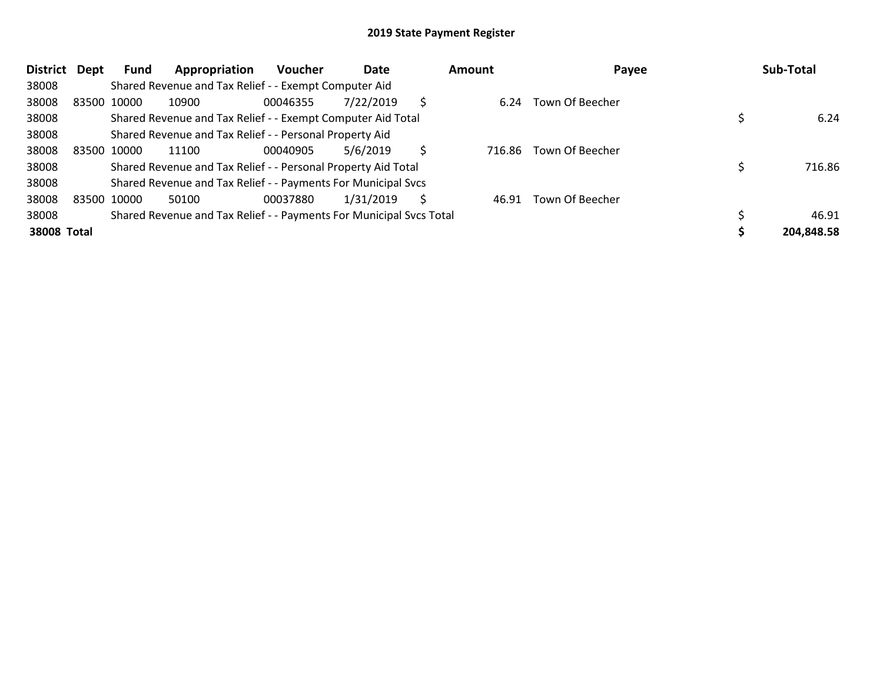| <b>District</b>    | Dept | Fund        | Appropriation                                                       | <b>Voucher</b> | Date      |    | Amount | Payee           | Sub-Total  |
|--------------------|------|-------------|---------------------------------------------------------------------|----------------|-----------|----|--------|-----------------|------------|
| 38008              |      |             | Shared Revenue and Tax Relief - - Exempt Computer Aid               |                |           |    |        |                 |            |
| 38008              |      | 83500 10000 | 10900                                                               | 00046355       | 7/22/2019 | \$ | 6.24   | Town Of Beecher |            |
| 38008              |      |             | Shared Revenue and Tax Relief - - Exempt Computer Aid Total         |                |           |    |        |                 | 6.24       |
| 38008              |      |             | Shared Revenue and Tax Relief - - Personal Property Aid             |                |           |    |        |                 |            |
| 38008              |      | 83500 10000 | 11100                                                               | 00040905       | 5/6/2019  | Ś. | 716.86 | Town Of Beecher |            |
| 38008              |      |             | Shared Revenue and Tax Relief - - Personal Property Aid Total       |                |           |    |        |                 | 716.86     |
| 38008              |      |             | Shared Revenue and Tax Relief - - Payments For Municipal Svcs       |                |           |    |        |                 |            |
| 38008              |      | 83500 10000 | 50100                                                               | 00037880       | 1/31/2019 | Ś. | 46.91  | Town Of Beecher |            |
| 38008              |      |             | Shared Revenue and Tax Relief - - Payments For Municipal Svcs Total |                |           |    |        |                 | 46.91      |
| <b>38008 Total</b> |      |             |                                                                     |                |           |    |        |                 | 204,848.58 |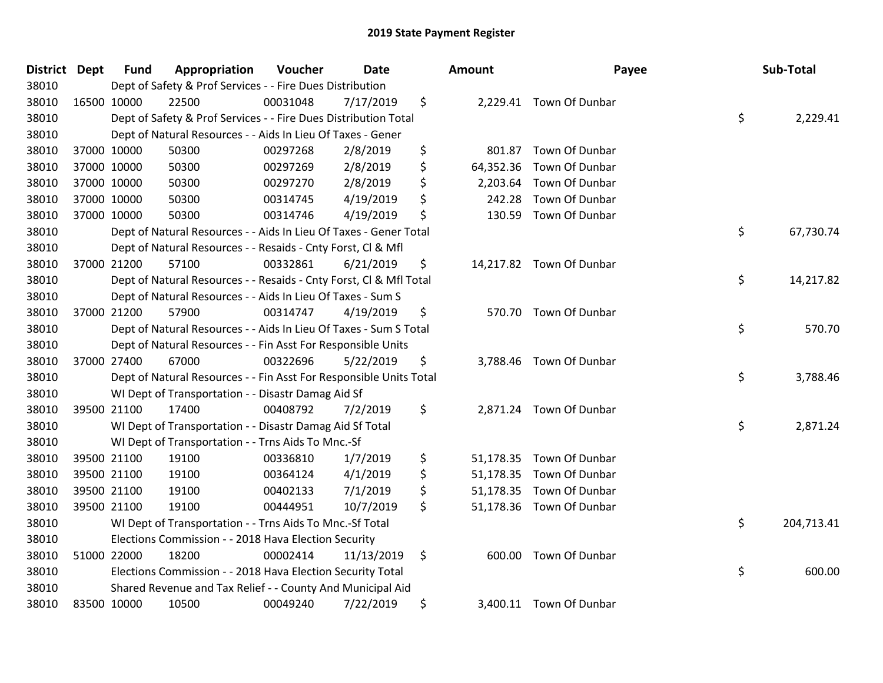| District Dept |             | <b>Fund</b> | Appropriation                                                      | Voucher  | Date       | Amount          | Payee                    | Sub-Total        |
|---------------|-------------|-------------|--------------------------------------------------------------------|----------|------------|-----------------|--------------------------|------------------|
| 38010         |             |             | Dept of Safety & Prof Services - - Fire Dues Distribution          |          |            |                 |                          |                  |
| 38010         |             | 16500 10000 | 22500                                                              | 00031048 | 7/17/2019  | \$              | 2,229.41 Town Of Dunbar  |                  |
| 38010         |             |             | Dept of Safety & Prof Services - - Fire Dues Distribution Total    |          |            |                 |                          | \$<br>2,229.41   |
| 38010         |             |             | Dept of Natural Resources - - Aids In Lieu Of Taxes - Gener        |          |            |                 |                          |                  |
| 38010         |             | 37000 10000 | 50300                                                              | 00297268 | 2/8/2019   | \$<br>801.87    | Town Of Dunbar           |                  |
| 38010         |             | 37000 10000 | 50300                                                              | 00297269 | 2/8/2019   | \$<br>64,352.36 | Town Of Dunbar           |                  |
| 38010         |             | 37000 10000 | 50300                                                              | 00297270 | 2/8/2019   | \$<br>2,203.64  | Town Of Dunbar           |                  |
| 38010         |             | 37000 10000 | 50300                                                              | 00314745 | 4/19/2019  | \$<br>242.28    | Town Of Dunbar           |                  |
| 38010         | 37000 10000 |             | 50300                                                              | 00314746 | 4/19/2019  | \$<br>130.59    | Town Of Dunbar           |                  |
| 38010         |             |             | Dept of Natural Resources - - Aids In Lieu Of Taxes - Gener Total  |          |            |                 |                          | \$<br>67,730.74  |
| 38010         |             |             | Dept of Natural Resources - - Resaids - Cnty Forst, Cl & Mfl       |          |            |                 |                          |                  |
| 38010         |             | 37000 21200 | 57100                                                              | 00332861 | 6/21/2019  | \$              | 14,217.82 Town Of Dunbar |                  |
| 38010         |             |             | Dept of Natural Resources - - Resaids - Cnty Forst, Cl & Mfl Total |          |            |                 |                          | \$<br>14,217.82  |
| 38010         |             |             | Dept of Natural Resources - - Aids In Lieu Of Taxes - Sum S        |          |            |                 |                          |                  |
| 38010         |             | 37000 21200 | 57900                                                              | 00314747 | 4/19/2019  | \$              | 570.70 Town Of Dunbar    |                  |
| 38010         |             |             | Dept of Natural Resources - - Aids In Lieu Of Taxes - Sum S Total  |          |            |                 |                          | \$<br>570.70     |
| 38010         |             |             | Dept of Natural Resources - - Fin Asst For Responsible Units       |          |            |                 |                          |                  |
| 38010         |             | 37000 27400 | 67000                                                              | 00322696 | 5/22/2019  | \$<br>3,788.46  | Town Of Dunbar           |                  |
| 38010         |             |             | Dept of Natural Resources - - Fin Asst For Responsible Units Total |          |            |                 |                          | \$<br>3,788.46   |
| 38010         |             |             | WI Dept of Transportation - - Disastr Damag Aid Sf                 |          |            |                 |                          |                  |
| 38010         |             | 39500 21100 | 17400                                                              | 00408792 | 7/2/2019   | \$              | 2,871.24 Town Of Dunbar  |                  |
| 38010         |             |             | WI Dept of Transportation - - Disastr Damag Aid Sf Total           |          |            |                 |                          | \$<br>2,871.24   |
| 38010         |             |             | WI Dept of Transportation - - Trns Aids To Mnc.-Sf                 |          |            |                 |                          |                  |
| 38010         |             | 39500 21100 | 19100                                                              | 00336810 | 1/7/2019   | \$              | 51,178.35 Town Of Dunbar |                  |
| 38010         |             | 39500 21100 | 19100                                                              | 00364124 | 4/1/2019   | \$              | 51,178.35 Town Of Dunbar |                  |
| 38010         |             | 39500 21100 | 19100                                                              | 00402133 | 7/1/2019   | \$              | 51,178.35 Town Of Dunbar |                  |
| 38010         |             | 39500 21100 | 19100                                                              | 00444951 | 10/7/2019  | \$              | 51,178.36 Town Of Dunbar |                  |
| 38010         |             |             | WI Dept of Transportation - - Trns Aids To Mnc.-Sf Total           |          |            |                 |                          | \$<br>204,713.41 |
| 38010         |             |             | Elections Commission - - 2018 Hava Election Security               |          |            |                 |                          |                  |
| 38010         |             | 51000 22000 | 18200                                                              | 00002414 | 11/13/2019 | \$              | 600.00 Town Of Dunbar    |                  |
| 38010         |             |             | Elections Commission - - 2018 Hava Election Security Total         |          |            |                 |                          | \$<br>600.00     |
| 38010         |             |             | Shared Revenue and Tax Relief - - County And Municipal Aid         |          |            |                 |                          |                  |
| 38010         |             | 83500 10000 | 10500                                                              | 00049240 | 7/22/2019  | \$              | 3,400.11 Town Of Dunbar  |                  |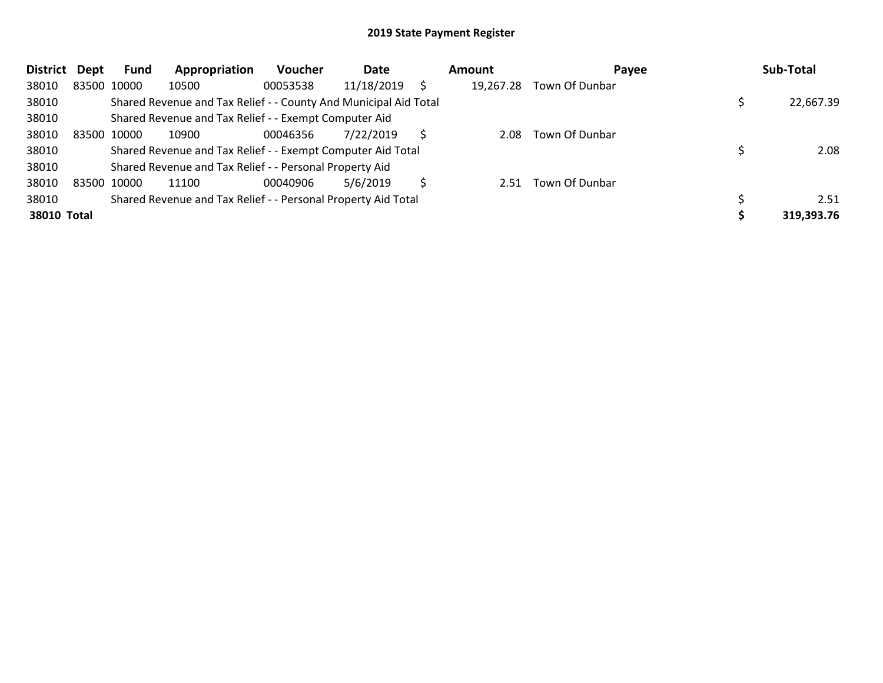| <b>District</b> | Dept | Fund        | Appropriation                                                    | <b>Voucher</b> | Date       |   | Amount    | Pavee          | Sub-Total  |
|-----------------|------|-------------|------------------------------------------------------------------|----------------|------------|---|-----------|----------------|------------|
| 38010           |      | 83500 10000 | 10500                                                            | 00053538       | 11/18/2019 |   | 19,267.28 | Town Of Dunbar |            |
| 38010           |      |             | Shared Revenue and Tax Relief - - County And Municipal Aid Total |                |            |   |           |                | 22,667.39  |
| 38010           |      |             | Shared Revenue and Tax Relief - - Exempt Computer Aid            |                |            |   |           |                |            |
| 38010           |      | 83500 10000 | 10900                                                            | 00046356       | 7/22/2019  | Ŝ | 2.08      | Town Of Dunbar |            |
| 38010           |      |             | Shared Revenue and Tax Relief - - Exempt Computer Aid Total      |                |            |   |           |                | 2.08       |
| 38010           |      |             | Shared Revenue and Tax Relief - - Personal Property Aid          |                |            |   |           |                |            |
| 38010           |      | 83500 10000 | 11100                                                            | 00040906       | 5/6/2019   |   | 2.51      | Town Of Dunbar |            |
| 38010           |      |             | Shared Revenue and Tax Relief - - Personal Property Aid Total    |                |            |   |           |                | 2.51       |
| 38010 Total     |      |             |                                                                  |                |            |   |           |                | 319,393.76 |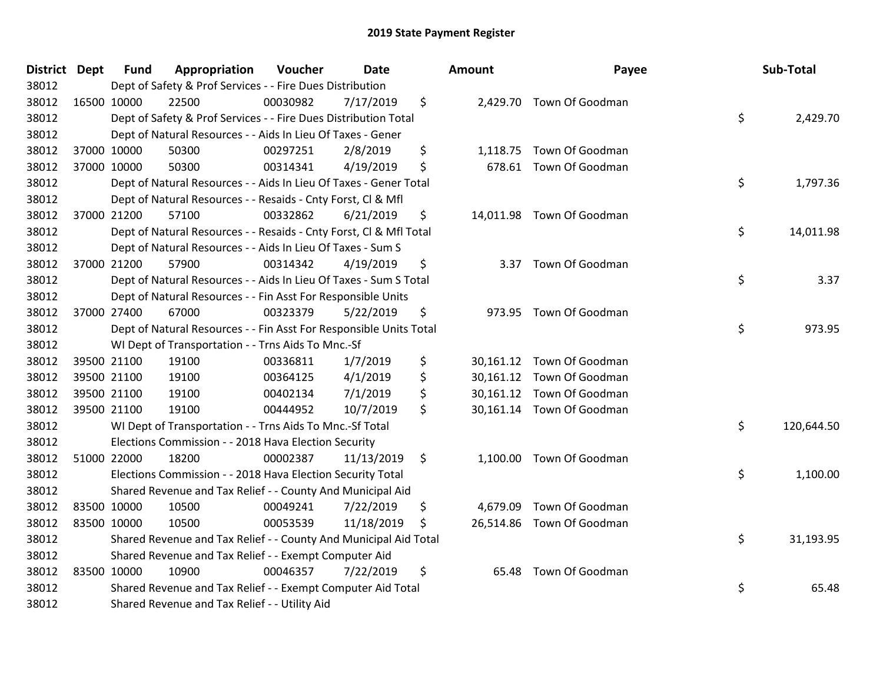| <b>District Dept</b> | <b>Fund</b> | Appropriation                                                      | Voucher  | <b>Date</b> | <b>Amount</b>  | Payee                     | Sub-Total        |
|----------------------|-------------|--------------------------------------------------------------------|----------|-------------|----------------|---------------------------|------------------|
| 38012                |             | Dept of Safety & Prof Services - - Fire Dues Distribution          |          |             |                |                           |                  |
| 38012                | 16500 10000 | 22500                                                              | 00030982 | 7/17/2019   | \$             | 2,429.70 Town Of Goodman  |                  |
| 38012                |             | Dept of Safety & Prof Services - - Fire Dues Distribution Total    |          |             |                |                           | \$<br>2,429.70   |
| 38012                |             | Dept of Natural Resources - - Aids In Lieu Of Taxes - Gener        |          |             |                |                           |                  |
| 38012                | 37000 10000 | 50300                                                              | 00297251 | 2/8/2019    | \$<br>1,118.75 | Town Of Goodman           |                  |
| 38012                | 37000 10000 | 50300                                                              | 00314341 | 4/19/2019   | \$             | 678.61 Town Of Goodman    |                  |
| 38012                |             | Dept of Natural Resources - - Aids In Lieu Of Taxes - Gener Total  |          |             |                |                           | \$<br>1,797.36   |
| 38012                |             | Dept of Natural Resources - - Resaids - Cnty Forst, Cl & Mfl       |          |             |                |                           |                  |
| 38012                | 37000 21200 | 57100                                                              | 00332862 | 6/21/2019   | \$             | 14,011.98 Town Of Goodman |                  |
| 38012                |             | Dept of Natural Resources - - Resaids - Cnty Forst, Cl & Mfl Total |          |             |                |                           | \$<br>14,011.98  |
| 38012                |             | Dept of Natural Resources - - Aids In Lieu Of Taxes - Sum S        |          |             |                |                           |                  |
| 38012                | 37000 21200 | 57900                                                              | 00314342 | 4/19/2019   | \$<br>3.37     | Town Of Goodman           |                  |
| 38012                |             | Dept of Natural Resources - - Aids In Lieu Of Taxes - Sum S Total  |          |             |                |                           | \$<br>3.37       |
| 38012                |             | Dept of Natural Resources - - Fin Asst For Responsible Units       |          |             |                |                           |                  |
| 38012                | 37000 27400 | 67000                                                              | 00323379 | 5/22/2019   | \$             | 973.95 Town Of Goodman    |                  |
| 38012                |             | Dept of Natural Resources - - Fin Asst For Responsible Units Total |          |             |                |                           | \$<br>973.95     |
| 38012                |             | WI Dept of Transportation - - Trns Aids To Mnc.-Sf                 |          |             |                |                           |                  |
| 38012                | 39500 21100 | 19100                                                              | 00336811 | 1/7/2019    | \$             | 30,161.12 Town Of Goodman |                  |
| 38012                | 39500 21100 | 19100                                                              | 00364125 | 4/1/2019    | \$             | 30,161.12 Town Of Goodman |                  |
| 38012                | 39500 21100 | 19100                                                              | 00402134 | 7/1/2019    | \$             | 30,161.12 Town Of Goodman |                  |
| 38012                | 39500 21100 | 19100                                                              | 00444952 | 10/7/2019   | \$             | 30,161.14 Town Of Goodman |                  |
| 38012                |             | WI Dept of Transportation - - Trns Aids To Mnc.-Sf Total           |          |             |                |                           | \$<br>120,644.50 |
| 38012                |             | Elections Commission - - 2018 Hava Election Security               |          |             |                |                           |                  |
| 38012                | 51000 22000 | 18200                                                              | 00002387 | 11/13/2019  | \$             | 1,100.00 Town Of Goodman  |                  |
| 38012                |             | Elections Commission - - 2018 Hava Election Security Total         |          |             |                |                           | \$<br>1,100.00   |
| 38012                |             | Shared Revenue and Tax Relief - - County And Municipal Aid         |          |             |                |                           |                  |
| 38012                | 83500 10000 | 10500                                                              | 00049241 | 7/22/2019   | \$<br>4,679.09 | Town Of Goodman           |                  |
| 38012                | 83500 10000 | 10500                                                              | 00053539 | 11/18/2019  | \$             | 26,514.86 Town Of Goodman |                  |
| 38012                |             | Shared Revenue and Tax Relief - - County And Municipal Aid Total   |          |             |                |                           | \$<br>31,193.95  |
| 38012                |             | Shared Revenue and Tax Relief - - Exempt Computer Aid              |          |             |                |                           |                  |
| 38012                | 83500 10000 | 10900                                                              | 00046357 | 7/22/2019   | \$<br>65.48    | Town Of Goodman           |                  |
| 38012                |             | Shared Revenue and Tax Relief - - Exempt Computer Aid Total        |          |             |                |                           | \$<br>65.48      |
| 38012                |             | Shared Revenue and Tax Relief - - Utility Aid                      |          |             |                |                           |                  |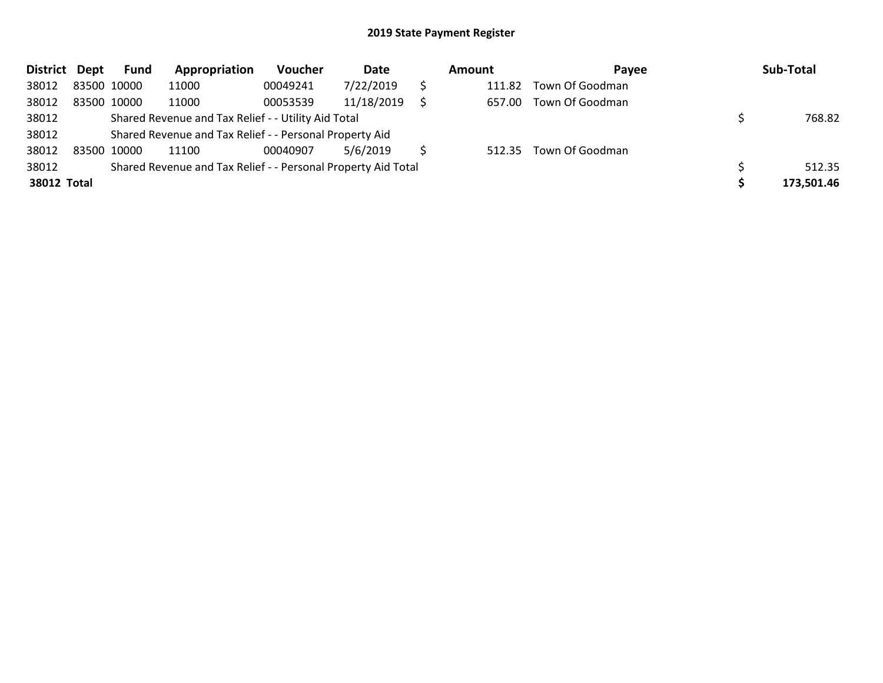| District Dept |             | <b>Fund</b> | Appropriation                                                 | Voucher  | Date       | Amount | <b>Pavee</b>    | Sub-Total  |
|---------------|-------------|-------------|---------------------------------------------------------------|----------|------------|--------|-----------------|------------|
| 38012         | 83500 10000 |             | 11000                                                         | 00049241 | 7/22/2019  | 111.82 | Town Of Goodman |            |
| 38012         | 83500 10000 |             | 11000                                                         | 00053539 | 11/18/2019 | 657.00 | Town Of Goodman |            |
| 38012         |             |             | Shared Revenue and Tax Relief - - Utility Aid Total           |          |            |        |                 | 768.82     |
| 38012         |             |             | Shared Revenue and Tax Relief - - Personal Property Aid       |          |            |        |                 |            |
| 38012         | 83500 10000 |             | 11100                                                         | 00040907 | 5/6/2019   | 512.35 | Town Of Goodman |            |
| 38012         |             |             | Shared Revenue and Tax Relief - - Personal Property Aid Total |          |            |        |                 | 512.35     |
| 38012 Total   |             |             |                                                               |          |            |        |                 | 173,501.46 |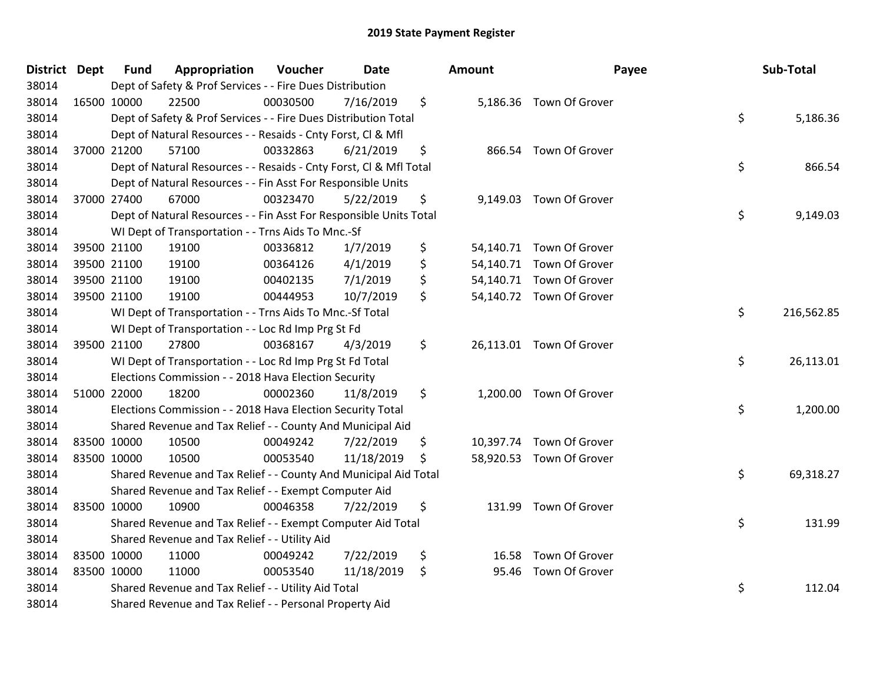| District Dept | <b>Fund</b> | Appropriation                                                      | Voucher  | <b>Date</b> | <b>Amount</b> | Payee                    | Sub-Total        |
|---------------|-------------|--------------------------------------------------------------------|----------|-------------|---------------|--------------------------|------------------|
| 38014         |             | Dept of Safety & Prof Services - - Fire Dues Distribution          |          |             |               |                          |                  |
| 38014         | 16500 10000 | 22500                                                              | 00030500 | 7/16/2019   | \$            | 5,186.36 Town Of Grover  |                  |
| 38014         |             | Dept of Safety & Prof Services - - Fire Dues Distribution Total    |          |             |               |                          | \$<br>5,186.36   |
| 38014         |             | Dept of Natural Resources - - Resaids - Cnty Forst, Cl & Mfl       |          |             |               |                          |                  |
| 38014         | 37000 21200 | 57100                                                              | 00332863 | 6/21/2019   | \$            | 866.54 Town Of Grover    |                  |
| 38014         |             | Dept of Natural Resources - - Resaids - Cnty Forst, Cl & Mfl Total |          |             |               |                          | \$<br>866.54     |
| 38014         |             | Dept of Natural Resources - - Fin Asst For Responsible Units       |          |             |               |                          |                  |
| 38014         | 37000 27400 | 67000                                                              | 00323470 | 5/22/2019   | \$            | 9,149.03 Town Of Grover  |                  |
| 38014         |             | Dept of Natural Resources - - Fin Asst For Responsible Units Total |          |             |               |                          | \$<br>9,149.03   |
| 38014         |             | WI Dept of Transportation - - Trns Aids To Mnc.-Sf                 |          |             |               |                          |                  |
| 38014         | 39500 21100 | 19100                                                              | 00336812 | 1/7/2019    | \$            | 54,140.71 Town Of Grover |                  |
| 38014         | 39500 21100 | 19100                                                              | 00364126 | 4/1/2019    | \$            | 54,140.71 Town Of Grover |                  |
| 38014         | 39500 21100 | 19100                                                              | 00402135 | 7/1/2019    | \$            | 54,140.71 Town Of Grover |                  |
| 38014         | 39500 21100 | 19100                                                              | 00444953 | 10/7/2019   | \$            | 54,140.72 Town Of Grover |                  |
| 38014         |             | WI Dept of Transportation - - Trns Aids To Mnc.-Sf Total           |          |             |               |                          | \$<br>216,562.85 |
| 38014         |             | WI Dept of Transportation - - Loc Rd Imp Prg St Fd                 |          |             |               |                          |                  |
| 38014         | 39500 21100 | 27800                                                              | 00368167 | 4/3/2019    | \$            | 26,113.01 Town Of Grover |                  |
| 38014         |             | WI Dept of Transportation - - Loc Rd Imp Prg St Fd Total           |          |             |               |                          | \$<br>26,113.01  |
| 38014         |             | Elections Commission - - 2018 Hava Election Security               |          |             |               |                          |                  |
| 38014         | 51000 22000 | 18200                                                              | 00002360 | 11/8/2019   | \$            | 1,200.00 Town Of Grover  |                  |
| 38014         |             | Elections Commission - - 2018 Hava Election Security Total         |          |             |               |                          | \$<br>1,200.00   |
| 38014         |             | Shared Revenue and Tax Relief - - County And Municipal Aid         |          |             |               |                          |                  |
| 38014         | 83500 10000 | 10500                                                              | 00049242 | 7/22/2019   | \$            | 10,397.74 Town Of Grover |                  |
| 38014         | 83500 10000 | 10500                                                              | 00053540 | 11/18/2019  | \$            | 58,920.53 Town Of Grover |                  |
| 38014         |             | Shared Revenue and Tax Relief - - County And Municipal Aid Total   |          |             |               |                          | \$<br>69,318.27  |
| 38014         |             | Shared Revenue and Tax Relief - - Exempt Computer Aid              |          |             |               |                          |                  |
| 38014         | 83500 10000 | 10900                                                              | 00046358 | 7/22/2019   | \$            | 131.99 Town Of Grover    |                  |
| 38014         |             | Shared Revenue and Tax Relief - - Exempt Computer Aid Total        |          |             |               |                          | \$<br>131.99     |
| 38014         |             | Shared Revenue and Tax Relief - - Utility Aid                      |          |             |               |                          |                  |
| 38014         | 83500 10000 | 11000                                                              | 00049242 | 7/22/2019   | \$            | 16.58 Town Of Grover     |                  |
| 38014         | 83500 10000 | 11000                                                              | 00053540 | 11/18/2019  | \$            | 95.46 Town Of Grover     |                  |
| 38014         |             | Shared Revenue and Tax Relief - - Utility Aid Total                |          |             |               |                          | \$<br>112.04     |
| 38014         |             | Shared Revenue and Tax Relief - - Personal Property Aid            |          |             |               |                          |                  |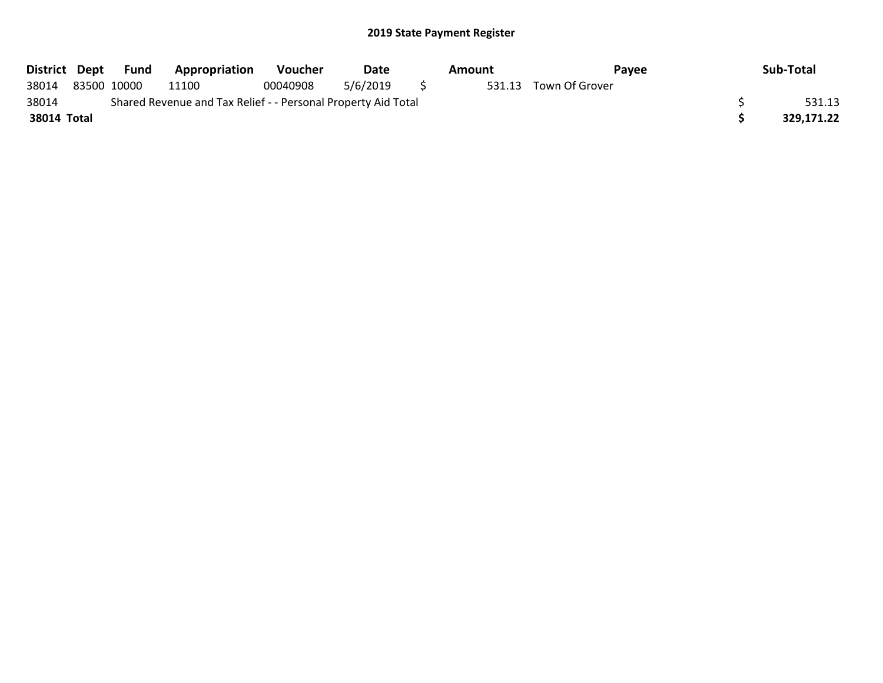|             | District Dept Fund | <b>Appropriation</b>                                          | <b>Voucher</b> | Date     | Amount | Pavee                 | Sub-Total  |
|-------------|--------------------|---------------------------------------------------------------|----------------|----------|--------|-----------------------|------------|
| 38014       | 83500 10000        | 11100                                                         | 00040908       | 5/6/2019 |        | 531.13 Town Of Grover |            |
| 38014       |                    | Shared Revenue and Tax Relief - - Personal Property Aid Total |                |          |        |                       | 531.13     |
| 38014 Total |                    |                                                               |                |          |        |                       | 329,171.22 |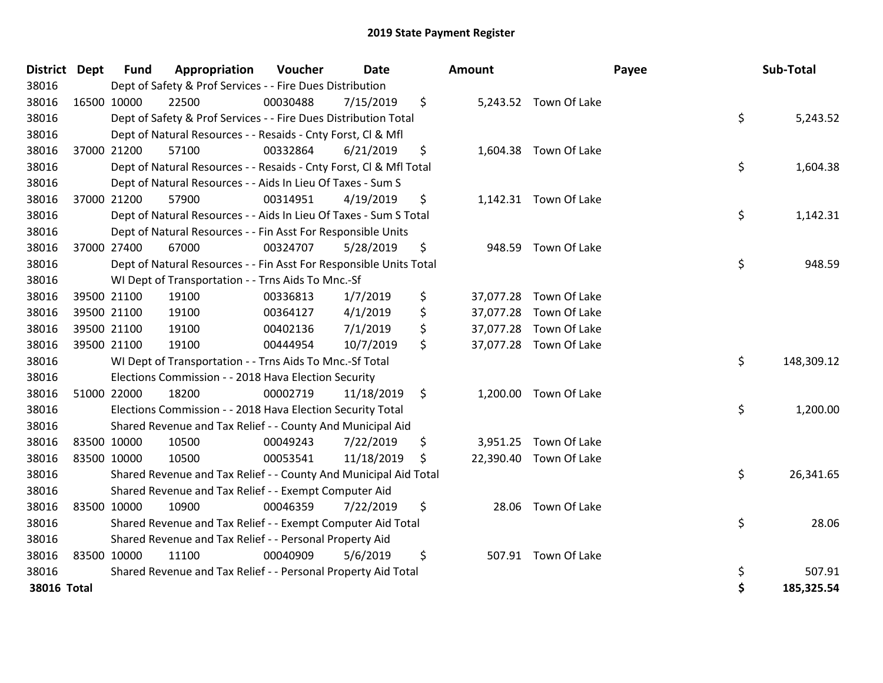| <b>District</b> | <b>Dept</b> | <b>Fund</b> | Appropriation                                                      | Voucher  | <b>Date</b> |     | <b>Amount</b> |                        | Payee | Sub-Total  |
|-----------------|-------------|-------------|--------------------------------------------------------------------|----------|-------------|-----|---------------|------------------------|-------|------------|
| 38016           |             |             | Dept of Safety & Prof Services - - Fire Dues Distribution          |          |             |     |               |                        |       |            |
| 38016           | 16500 10000 |             | 22500                                                              | 00030488 | 7/15/2019   | \$  |               | 5,243.52 Town Of Lake  |       |            |
| 38016           |             |             | Dept of Safety & Prof Services - - Fire Dues Distribution Total    |          |             |     |               |                        | \$    | 5,243.52   |
| 38016           |             |             | Dept of Natural Resources - - Resaids - Cnty Forst, Cl & Mfl       |          |             |     |               |                        |       |            |
| 38016           |             | 37000 21200 | 57100                                                              | 00332864 | 6/21/2019   | \$  |               | 1,604.38 Town Of Lake  |       |            |
| 38016           |             |             | Dept of Natural Resources - - Resaids - Cnty Forst, Cl & Mfl Total |          |             |     |               |                        | \$    | 1,604.38   |
| 38016           |             |             | Dept of Natural Resources - - Aids In Lieu Of Taxes - Sum S        |          |             |     |               |                        |       |            |
| 38016           | 37000 21200 |             | 57900                                                              | 00314951 | 4/19/2019   | \$  |               | 1,142.31 Town Of Lake  |       |            |
| 38016           |             |             | Dept of Natural Resources - - Aids In Lieu Of Taxes - Sum S Total  |          |             |     |               |                        | \$    | 1,142.31   |
| 38016           |             |             | Dept of Natural Resources - - Fin Asst For Responsible Units       |          |             |     |               |                        |       |            |
| 38016           |             | 37000 27400 | 67000                                                              | 00324707 | 5/28/2019   | \$  | 948.59        | Town Of Lake           |       |            |
| 38016           |             |             | Dept of Natural Resources - - Fin Asst For Responsible Units Total |          |             |     |               |                        | \$    | 948.59     |
| 38016           |             |             | WI Dept of Transportation - - Trns Aids To Mnc.-Sf                 |          |             |     |               |                        |       |            |
| 38016           |             | 39500 21100 | 19100                                                              | 00336813 | 1/7/2019    | \$  |               | 37,077.28 Town Of Lake |       |            |
| 38016           |             | 39500 21100 | 19100                                                              | 00364127 | 4/1/2019    | \$  |               | 37,077.28 Town Of Lake |       |            |
| 38016           |             | 39500 21100 | 19100                                                              | 00402136 | 7/1/2019    | \$  |               | 37,077.28 Town Of Lake |       |            |
| 38016           |             | 39500 21100 | 19100                                                              | 00444954 | 10/7/2019   | \$  |               | 37,077.28 Town Of Lake |       |            |
| 38016           |             |             | WI Dept of Transportation - - Trns Aids To Mnc.-Sf Total           |          |             |     |               |                        | \$    | 148,309.12 |
| 38016           |             |             | Elections Commission - - 2018 Hava Election Security               |          |             |     |               |                        |       |            |
| 38016           |             | 51000 22000 | 18200                                                              | 00002719 | 11/18/2019  | \$  |               | 1,200.00 Town Of Lake  |       |            |
| 38016           |             |             | Elections Commission - - 2018 Hava Election Security Total         |          |             |     |               |                        | \$    | 1,200.00   |
| 38016           |             |             | Shared Revenue and Tax Relief - - County And Municipal Aid         |          |             |     |               |                        |       |            |
| 38016           |             | 83500 10000 | 10500                                                              | 00049243 | 7/22/2019   | \$  |               | 3,951.25 Town Of Lake  |       |            |
| 38016           | 83500 10000 |             | 10500                                                              | 00053541 | 11/18/2019  | \$. |               | 22,390.40 Town Of Lake |       |            |
| 38016           |             |             | Shared Revenue and Tax Relief - - County And Municipal Aid Total   |          |             |     |               |                        | \$    | 26,341.65  |
| 38016           |             |             | Shared Revenue and Tax Relief - - Exempt Computer Aid              |          |             |     |               |                        |       |            |
| 38016           | 83500 10000 |             | 10900                                                              | 00046359 | 7/22/2019   | \$  | 28.06         | Town Of Lake           |       |            |
| 38016           |             |             | Shared Revenue and Tax Relief - - Exempt Computer Aid Total        |          |             |     |               |                        | \$    | 28.06      |
| 38016           |             |             | Shared Revenue and Tax Relief - - Personal Property Aid            |          |             |     |               |                        |       |            |
| 38016           | 83500 10000 |             | 11100                                                              | 00040909 | 5/6/2019    | \$  |               | 507.91 Town Of Lake    |       |            |
| 38016           |             |             | Shared Revenue and Tax Relief - - Personal Property Aid Total      |          |             |     |               |                        | \$    | 507.91     |
| 38016 Total     |             |             |                                                                    |          |             |     |               |                        | \$    | 185,325.54 |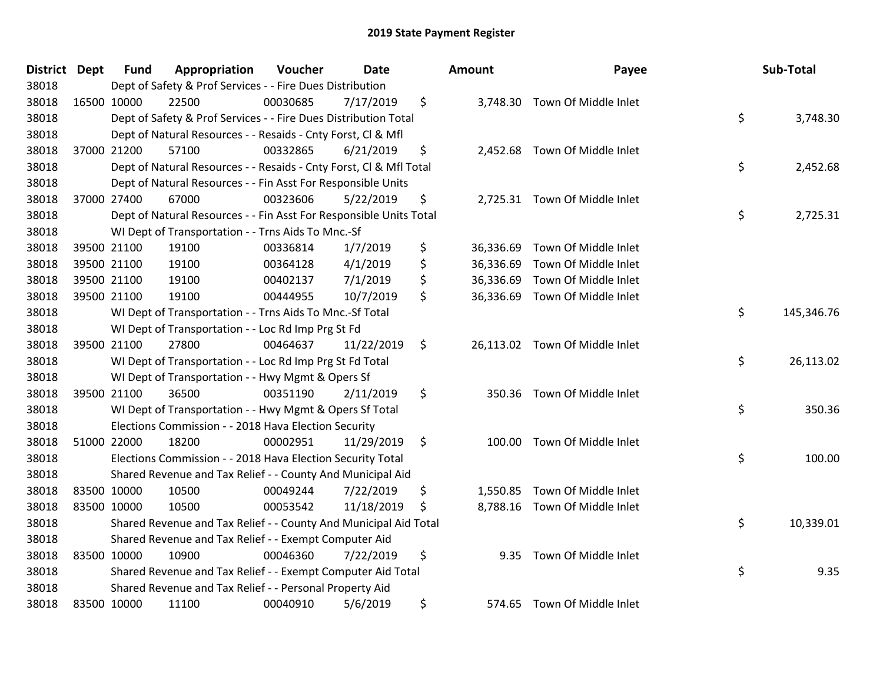| District Dept | <b>Fund</b> | Appropriation                                                      | Voucher  | <b>Date</b> | Amount          | Payee                          | Sub-Total        |
|---------------|-------------|--------------------------------------------------------------------|----------|-------------|-----------------|--------------------------------|------------------|
| 38018         |             | Dept of Safety & Prof Services - - Fire Dues Distribution          |          |             |                 |                                |                  |
| 38018         | 16500 10000 | 22500                                                              | 00030685 | 7/17/2019   | \$              | 3,748.30 Town Of Middle Inlet  |                  |
| 38018         |             | Dept of Safety & Prof Services - - Fire Dues Distribution Total    |          |             |                 |                                | \$<br>3,748.30   |
| 38018         |             | Dept of Natural Resources - - Resaids - Cnty Forst, Cl & Mfl       |          |             |                 |                                |                  |
| 38018         | 37000 21200 | 57100                                                              | 00332865 | 6/21/2019   | \$<br>2,452.68  | Town Of Middle Inlet           |                  |
| 38018         |             | Dept of Natural Resources - - Resaids - Cnty Forst, Cl & Mfl Total |          |             |                 |                                | \$<br>2,452.68   |
| 38018         |             | Dept of Natural Resources - - Fin Asst For Responsible Units       |          |             |                 |                                |                  |
| 38018         | 37000 27400 | 67000                                                              | 00323606 | 5/22/2019   | \$              | 2,725.31 Town Of Middle Inlet  |                  |
| 38018         |             | Dept of Natural Resources - - Fin Asst For Responsible Units Total |          |             |                 |                                | \$<br>2,725.31   |
| 38018         |             | WI Dept of Transportation - - Trns Aids To Mnc.-Sf                 |          |             |                 |                                |                  |
| 38018         | 39500 21100 | 19100                                                              | 00336814 | 1/7/2019    | \$<br>36,336.69 | Town Of Middle Inlet           |                  |
| 38018         | 39500 21100 | 19100                                                              | 00364128 | 4/1/2019    | \$<br>36,336.69 | Town Of Middle Inlet           |                  |
| 38018         | 39500 21100 | 19100                                                              | 00402137 | 7/1/2019    | \$              | 36,336.69 Town Of Middle Inlet |                  |
| 38018         | 39500 21100 | 19100                                                              | 00444955 | 10/7/2019   | \$              | 36,336.69 Town Of Middle Inlet |                  |
| 38018         |             | WI Dept of Transportation - - Trns Aids To Mnc.-Sf Total           |          |             |                 |                                | \$<br>145,346.76 |
| 38018         |             | WI Dept of Transportation - - Loc Rd Imp Prg St Fd                 |          |             |                 |                                |                  |
| 38018         | 39500 21100 | 27800                                                              | 00464637 | 11/22/2019  | \$<br>26,113.02 | Town Of Middle Inlet           |                  |
| 38018         |             | WI Dept of Transportation - - Loc Rd Imp Prg St Fd Total           |          |             |                 |                                | \$<br>26,113.02  |
| 38018         |             | WI Dept of Transportation - - Hwy Mgmt & Opers Sf                  |          |             |                 |                                |                  |
| 38018         | 39500 21100 | 36500                                                              | 00351190 | 2/11/2019   | \$<br>350.36    | Town Of Middle Inlet           |                  |
| 38018         |             | WI Dept of Transportation - - Hwy Mgmt & Opers Sf Total            |          |             |                 |                                | \$<br>350.36     |
| 38018         |             | Elections Commission - - 2018 Hava Election Security               |          |             |                 |                                |                  |
| 38018         | 51000 22000 | 18200                                                              | 00002951 | 11/29/2019  | \$<br>100.00    | Town Of Middle Inlet           |                  |
| 38018         |             | Elections Commission - - 2018 Hava Election Security Total         |          |             |                 |                                | \$<br>100.00     |
| 38018         |             | Shared Revenue and Tax Relief - - County And Municipal Aid         |          |             |                 |                                |                  |
| 38018         | 83500 10000 | 10500                                                              | 00049244 | 7/22/2019   | \$<br>1,550.85  | Town Of Middle Inlet           |                  |
| 38018         | 83500 10000 | 10500                                                              | 00053542 | 11/18/2019  | \$<br>8,788.16  | Town Of Middle Inlet           |                  |
| 38018         |             | Shared Revenue and Tax Relief - - County And Municipal Aid Total   |          |             |                 |                                | \$<br>10,339.01  |
| 38018         |             | Shared Revenue and Tax Relief - - Exempt Computer Aid              |          |             |                 |                                |                  |
| 38018         | 83500 10000 | 10900                                                              | 00046360 | 7/22/2019   | \$<br>9.35      | Town Of Middle Inlet           |                  |
| 38018         |             | Shared Revenue and Tax Relief - - Exempt Computer Aid Total        |          |             |                 |                                | \$<br>9.35       |
| 38018         |             | Shared Revenue and Tax Relief - - Personal Property Aid            |          |             |                 |                                |                  |
| 38018         | 83500 10000 | 11100                                                              | 00040910 | 5/6/2019    | \$<br>574.65    | Town Of Middle Inlet           |                  |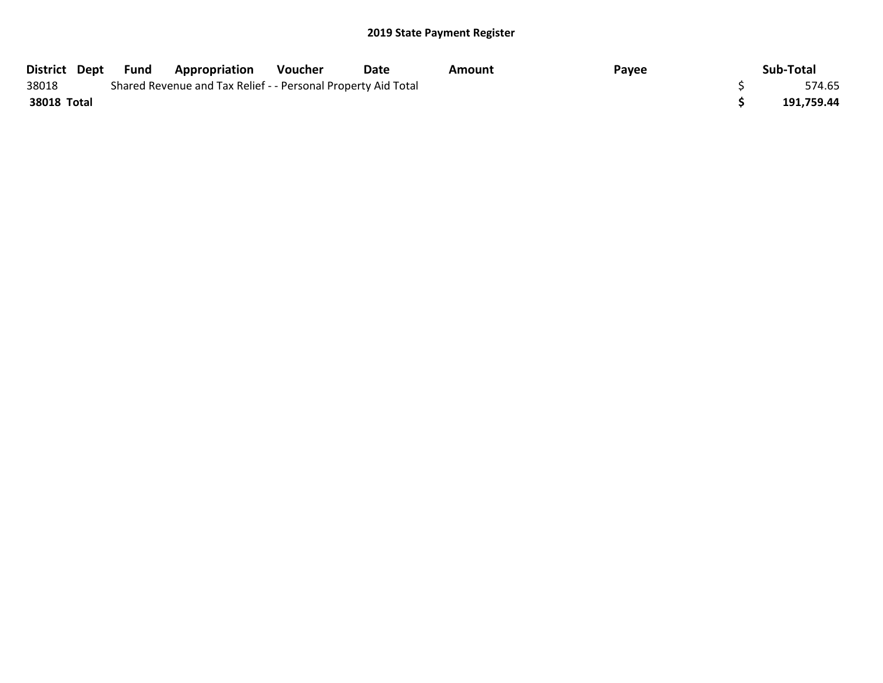|             | District Dept Fund | Appropriation                                                 | Voucher | Date | Amount | Payee | Sub-Total  |
|-------------|--------------------|---------------------------------------------------------------|---------|------|--------|-------|------------|
| 38018       |                    | Shared Revenue and Tax Relief - - Personal Property Aid Total |         |      |        |       | 574.65     |
| 38018 Total |                    |                                                               |         |      |        |       | 191,759.44 |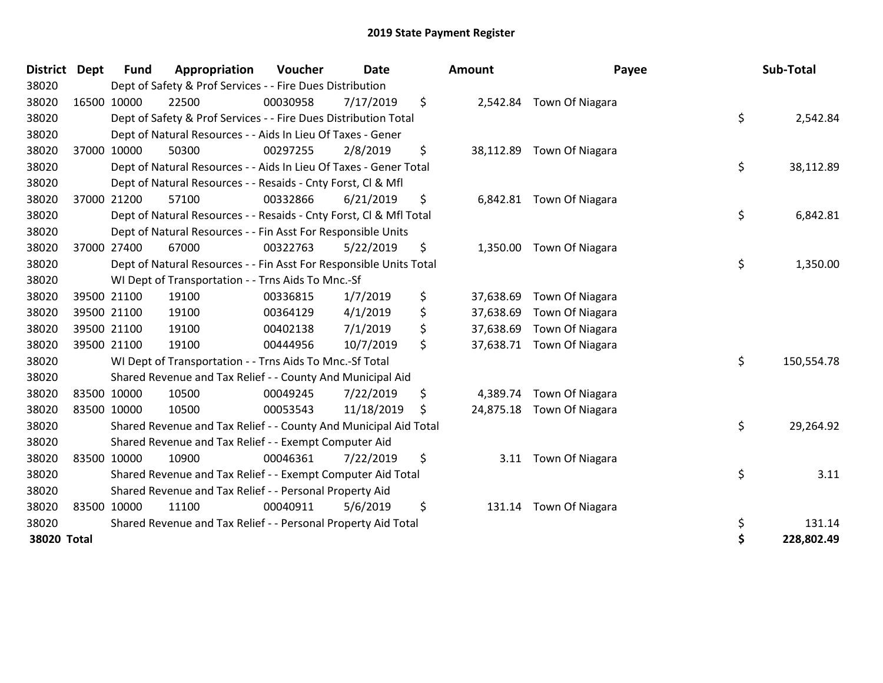| <b>District</b> | <b>Dept</b> | <b>Fund</b> | Appropriation                                                      | Voucher  | <b>Date</b> | <b>Amount</b>   | Payee                     | Sub-Total        |
|-----------------|-------------|-------------|--------------------------------------------------------------------|----------|-------------|-----------------|---------------------------|------------------|
| 38020           |             |             | Dept of Safety & Prof Services - - Fire Dues Distribution          |          |             |                 |                           |                  |
| 38020           | 16500 10000 |             | 22500                                                              | 00030958 | 7/17/2019   | \$              | 2,542.84 Town Of Niagara  |                  |
| 38020           |             |             | Dept of Safety & Prof Services - - Fire Dues Distribution Total    |          |             |                 |                           | \$<br>2,542.84   |
| 38020           |             |             | Dept of Natural Resources - - Aids In Lieu Of Taxes - Gener        |          |             |                 |                           |                  |
| 38020           |             | 37000 10000 | 50300                                                              | 00297255 | 2/8/2019    | \$              | 38,112.89 Town Of Niagara |                  |
| 38020           |             |             | Dept of Natural Resources - - Aids In Lieu Of Taxes - Gener Total  |          |             |                 |                           | \$<br>38,112.89  |
| 38020           |             |             | Dept of Natural Resources - - Resaids - Cnty Forst, CI & Mfl       |          |             |                 |                           |                  |
| 38020           | 37000 21200 |             | 57100                                                              | 00332866 | 6/21/2019   | \$              | 6,842.81 Town Of Niagara  |                  |
| 38020           |             |             | Dept of Natural Resources - - Resaids - Cnty Forst, Cl & Mfl Total |          |             |                 |                           | \$<br>6,842.81   |
| 38020           |             |             | Dept of Natural Resources - - Fin Asst For Responsible Units       |          |             |                 |                           |                  |
| 38020           |             | 37000 27400 | 67000                                                              | 00322763 | 5/22/2019   | \$<br>1,350.00  | Town Of Niagara           |                  |
| 38020           |             |             | Dept of Natural Resources - - Fin Asst For Responsible Units Total |          |             |                 |                           | \$<br>1,350.00   |
| 38020           |             |             | WI Dept of Transportation - - Trns Aids To Mnc.-Sf                 |          |             |                 |                           |                  |
| 38020           | 39500 21100 |             | 19100                                                              | 00336815 | 1/7/2019    | \$<br>37,638.69 | Town Of Niagara           |                  |
| 38020           | 39500 21100 |             | 19100                                                              | 00364129 | 4/1/2019    | \$<br>37,638.69 | Town Of Niagara           |                  |
| 38020           | 39500 21100 |             | 19100                                                              | 00402138 | 7/1/2019    | \$<br>37,638.69 | Town Of Niagara           |                  |
| 38020           | 39500 21100 |             | 19100                                                              | 00444956 | 10/7/2019   | \$<br>37,638.71 | Town Of Niagara           |                  |
| 38020           |             |             | WI Dept of Transportation - - Trns Aids To Mnc.-Sf Total           |          |             |                 |                           | \$<br>150,554.78 |
| 38020           |             |             | Shared Revenue and Tax Relief - - County And Municipal Aid         |          |             |                 |                           |                  |
| 38020           |             | 83500 10000 | 10500                                                              | 00049245 | 7/22/2019   | \$<br>4,389.74  | Town Of Niagara           |                  |
| 38020           | 83500 10000 |             | 10500                                                              | 00053543 | 11/18/2019  | \$<br>24,875.18 | Town Of Niagara           |                  |
| 38020           |             |             | Shared Revenue and Tax Relief - - County And Municipal Aid Total   |          |             |                 |                           | \$<br>29,264.92  |
| 38020           |             |             | Shared Revenue and Tax Relief - - Exempt Computer Aid              |          |             |                 |                           |                  |
| 38020           | 83500 10000 |             | 10900                                                              | 00046361 | 7/22/2019   | \$<br>3.11      | Town Of Niagara           |                  |
| 38020           |             |             | Shared Revenue and Tax Relief - - Exempt Computer Aid Total        |          |             |                 |                           | \$<br>3.11       |
| 38020           |             |             | Shared Revenue and Tax Relief - - Personal Property Aid            |          |             |                 |                           |                  |
| 38020           |             | 83500 10000 | 11100                                                              | 00040911 | 5/6/2019    | \$<br>131.14    | Town Of Niagara           |                  |
| 38020           |             |             | Shared Revenue and Tax Relief - - Personal Property Aid Total      |          |             |                 |                           | \$<br>131.14     |
| 38020 Total     |             |             |                                                                    |          |             |                 |                           | \$<br>228,802.49 |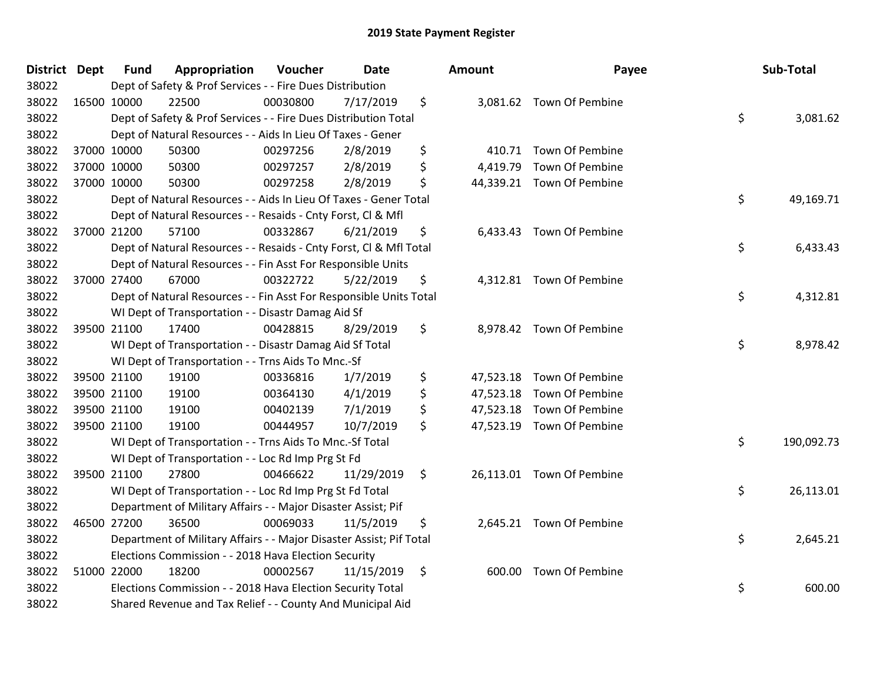| <b>District Dept</b> | <b>Fund</b> | Appropriation                                                       | Voucher  | <b>Date</b> | <b>Amount</b>   | Payee                     | Sub-Total        |
|----------------------|-------------|---------------------------------------------------------------------|----------|-------------|-----------------|---------------------------|------------------|
| 38022                |             | Dept of Safety & Prof Services - - Fire Dues Distribution           |          |             |                 |                           |                  |
| 38022                | 16500 10000 | 22500                                                               | 00030800 | 7/17/2019   | \$              | 3,081.62 Town Of Pembine  |                  |
| 38022                |             | Dept of Safety & Prof Services - - Fire Dues Distribution Total     |          |             |                 |                           | \$<br>3,081.62   |
| 38022                |             | Dept of Natural Resources - - Aids In Lieu Of Taxes - Gener         |          |             |                 |                           |                  |
| 38022                | 37000 10000 | 50300                                                               | 00297256 | 2/8/2019    | \$              | 410.71 Town Of Pembine    |                  |
| 38022                | 37000 10000 | 50300                                                               | 00297257 | 2/8/2019    | \$<br>4,419.79  | Town Of Pembine           |                  |
| 38022                | 37000 10000 | 50300                                                               | 00297258 | 2/8/2019    | \$              | 44,339.21 Town Of Pembine |                  |
| 38022                |             | Dept of Natural Resources - - Aids In Lieu Of Taxes - Gener Total   |          |             |                 |                           | \$<br>49,169.71  |
| 38022                |             | Dept of Natural Resources - - Resaids - Cnty Forst, Cl & Mfl        |          |             |                 |                           |                  |
| 38022                | 37000 21200 | 57100                                                               | 00332867 | 6/21/2019   | \$<br>6,433.43  | Town Of Pembine           |                  |
| 38022                |             | Dept of Natural Resources - - Resaids - Cnty Forst, Cl & Mfl Total  |          |             |                 |                           | \$<br>6,433.43   |
| 38022                |             | Dept of Natural Resources - - Fin Asst For Responsible Units        |          |             |                 |                           |                  |
| 38022                | 37000 27400 | 67000                                                               | 00322722 | 5/22/2019   | \$              | 4,312.81 Town Of Pembine  |                  |
| 38022                |             | Dept of Natural Resources - - Fin Asst For Responsible Units Total  |          |             |                 |                           | \$<br>4,312.81   |
| 38022                |             | WI Dept of Transportation - - Disastr Damag Aid Sf                  |          |             |                 |                           |                  |
| 38022                | 39500 21100 | 17400                                                               | 00428815 | 8/29/2019   | \$              | 8,978.42 Town Of Pembine  |                  |
| 38022                |             | WI Dept of Transportation - - Disastr Damag Aid Sf Total            |          |             |                 |                           | \$<br>8,978.42   |
| 38022                |             | WI Dept of Transportation - - Trns Aids To Mnc.-Sf                  |          |             |                 |                           |                  |
| 38022                | 39500 21100 | 19100                                                               | 00336816 | 1/7/2019    | \$              | 47,523.18 Town Of Pembine |                  |
| 38022                | 39500 21100 | 19100                                                               | 00364130 | 4/1/2019    | \$<br>47,523.18 | Town Of Pembine           |                  |
| 38022                | 39500 21100 | 19100                                                               | 00402139 | 7/1/2019    | \$              | 47,523.18 Town Of Pembine |                  |
| 38022                | 39500 21100 | 19100                                                               | 00444957 | 10/7/2019   | \$              | 47,523.19 Town Of Pembine |                  |
| 38022                |             | WI Dept of Transportation - - Trns Aids To Mnc.-Sf Total            |          |             |                 |                           | \$<br>190,092.73 |
| 38022                |             | WI Dept of Transportation - - Loc Rd Imp Prg St Fd                  |          |             |                 |                           |                  |
| 38022                | 39500 21100 | 27800                                                               | 00466622 | 11/29/2019  | \$              | 26,113.01 Town Of Pembine |                  |
| 38022                |             | WI Dept of Transportation - - Loc Rd Imp Prg St Fd Total            |          |             |                 |                           | \$<br>26,113.01  |
| 38022                |             | Department of Military Affairs - - Major Disaster Assist; Pif       |          |             |                 |                           |                  |
| 38022                | 46500 27200 | 36500                                                               | 00069033 | 11/5/2019   | \$              | 2,645.21 Town Of Pembine  |                  |
| 38022                |             | Department of Military Affairs - - Major Disaster Assist; Pif Total |          |             |                 |                           | \$<br>2,645.21   |
| 38022                |             | Elections Commission - - 2018 Hava Election Security                |          |             |                 |                           |                  |
| 38022                | 51000 22000 | 18200                                                               | 00002567 | 11/15/2019  | \$<br>600.00    | Town Of Pembine           |                  |
| 38022                |             | Elections Commission - - 2018 Hava Election Security Total          |          |             |                 |                           | \$<br>600.00     |
| 38022                |             | Shared Revenue and Tax Relief - - County And Municipal Aid          |          |             |                 |                           |                  |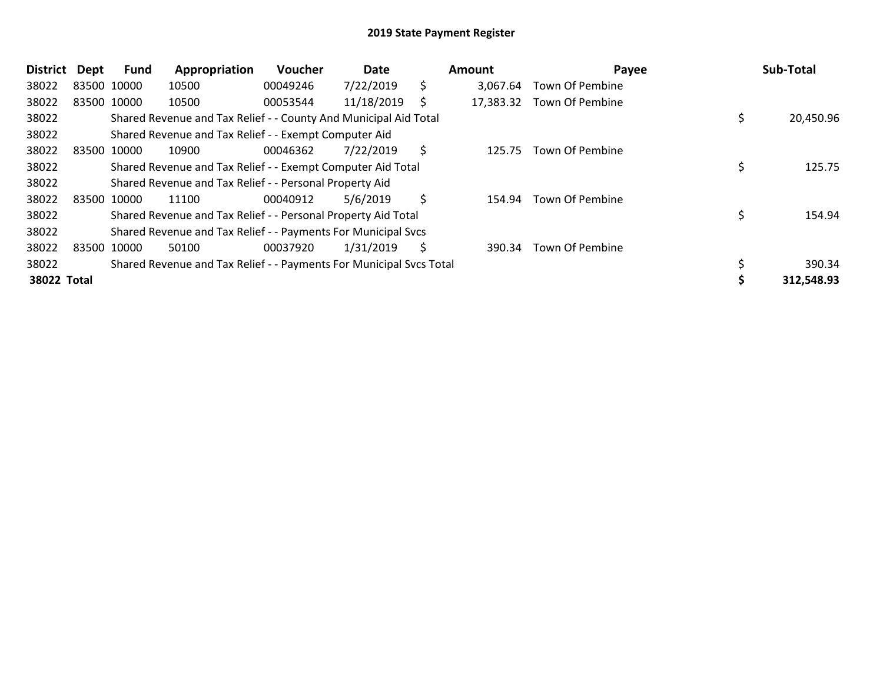| <b>District</b> | <b>Dept</b> | Fund        | Appropriation                                                       | Voucher  | Date       |    | Amount    | Payee                  | Sub-Total  |
|-----------------|-------------|-------------|---------------------------------------------------------------------|----------|------------|----|-----------|------------------------|------------|
| 38022           |             | 83500 10000 | 10500                                                               | 00049246 | 7/22/2019  | \$ | 3.067.64  | Town Of Pembine        |            |
| 38022           |             | 83500 10000 | 10500                                                               | 00053544 | 11/18/2019 | S  | 17,383.32 | Town Of Pembine        |            |
| 38022           |             |             | Shared Revenue and Tax Relief - - County And Municipal Aid Total    |          |            |    |           |                        | 20,450.96  |
| 38022           |             |             | Shared Revenue and Tax Relief - - Exempt Computer Aid               |          |            |    |           |                        |            |
| 38022           |             | 83500 10000 | 10900                                                               | 00046362 | 7/22/2019  | \$ | 125.75    | <b>Town Of Pembine</b> |            |
| 38022           |             |             | Shared Revenue and Tax Relief - - Exempt Computer Aid Total         |          |            |    |           |                        | 125.75     |
| 38022           |             |             | Shared Revenue and Tax Relief - - Personal Property Aid             |          |            |    |           |                        |            |
| 38022           |             | 83500 10000 | 11100                                                               | 00040912 | 5/6/2019   | \$ | 154.94    | <b>Town Of Pembine</b> |            |
| 38022           |             |             | Shared Revenue and Tax Relief - - Personal Property Aid Total       |          |            |    |           |                        | 154.94     |
| 38022           |             |             | Shared Revenue and Tax Relief - - Payments For Municipal Svcs       |          |            |    |           |                        |            |
| 38022           |             | 83500 10000 | 50100                                                               | 00037920 | 1/31/2019  | S  | 390.34    | <b>Town Of Pembine</b> |            |
| 38022           |             |             | Shared Revenue and Tax Relief - - Payments For Municipal Svcs Total |          |            |    |           |                        | 390.34     |
| 38022 Total     |             |             |                                                                     |          |            |    |           |                        | 312,548.93 |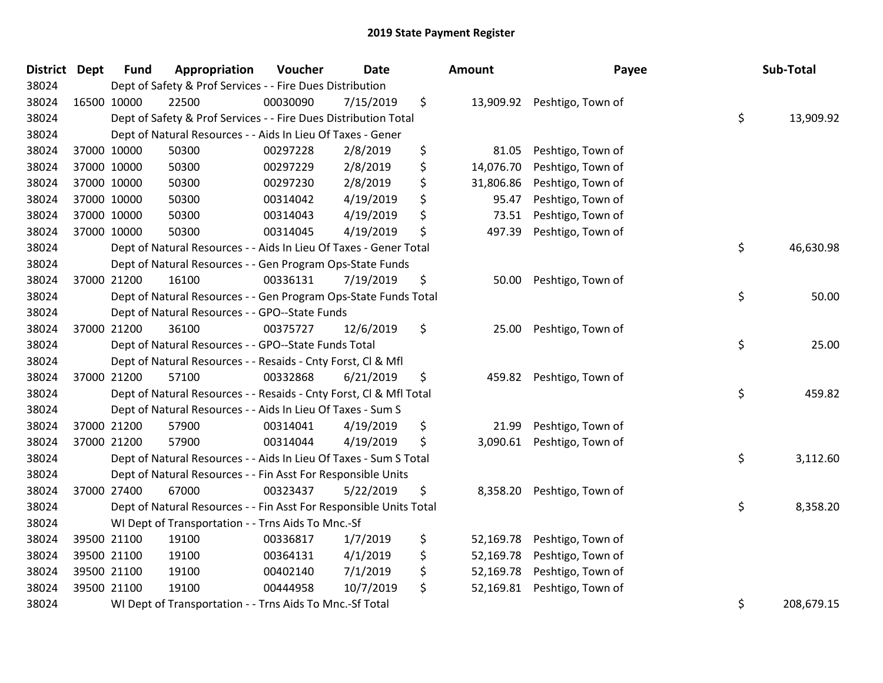| District Dept | <b>Fund</b> | Appropriation                                                      | Voucher  | <b>Date</b> | Amount          | Payee                       | Sub-Total        |
|---------------|-------------|--------------------------------------------------------------------|----------|-------------|-----------------|-----------------------------|------------------|
| 38024         |             | Dept of Safety & Prof Services - - Fire Dues Distribution          |          |             |                 |                             |                  |
| 38024         | 16500 10000 | 22500                                                              | 00030090 | 7/15/2019   | \$              | 13,909.92 Peshtigo, Town of |                  |
| 38024         |             | Dept of Safety & Prof Services - - Fire Dues Distribution Total    |          |             |                 |                             | \$<br>13,909.92  |
| 38024         |             | Dept of Natural Resources - - Aids In Lieu Of Taxes - Gener        |          |             |                 |                             |                  |
| 38024         | 37000 10000 | 50300                                                              | 00297228 | 2/8/2019    | \$<br>81.05     | Peshtigo, Town of           |                  |
| 38024         | 37000 10000 | 50300                                                              | 00297229 | 2/8/2019    | \$<br>14,076.70 | Peshtigo, Town of           |                  |
| 38024         | 37000 10000 | 50300                                                              | 00297230 | 2/8/2019    | \$<br>31,806.86 | Peshtigo, Town of           |                  |
| 38024         | 37000 10000 | 50300                                                              | 00314042 | 4/19/2019   | \$<br>95.47     | Peshtigo, Town of           |                  |
| 38024         | 37000 10000 | 50300                                                              | 00314043 | 4/19/2019   | \$<br>73.51     | Peshtigo, Town of           |                  |
| 38024         | 37000 10000 | 50300                                                              | 00314045 | 4/19/2019   | \$<br>497.39    | Peshtigo, Town of           |                  |
| 38024         |             | Dept of Natural Resources - - Aids In Lieu Of Taxes - Gener Total  |          |             |                 |                             | \$<br>46,630.98  |
| 38024         |             | Dept of Natural Resources - - Gen Program Ops-State Funds          |          |             |                 |                             |                  |
| 38024         | 37000 21200 | 16100                                                              | 00336131 | 7/19/2019   | \$<br>50.00     | Peshtigo, Town of           |                  |
| 38024         |             | Dept of Natural Resources - - Gen Program Ops-State Funds Total    |          |             |                 |                             | \$<br>50.00      |
| 38024         |             | Dept of Natural Resources - - GPO--State Funds                     |          |             |                 |                             |                  |
| 38024         | 37000 21200 | 36100                                                              | 00375727 | 12/6/2019   | \$<br>25.00     | Peshtigo, Town of           |                  |
| 38024         |             | Dept of Natural Resources - - GPO--State Funds Total               |          |             |                 |                             | \$<br>25.00      |
| 38024         |             | Dept of Natural Resources - - Resaids - Cnty Forst, Cl & Mfl       |          |             |                 |                             |                  |
| 38024         | 37000 21200 | 57100                                                              | 00332868 | 6/21/2019   | \$<br>459.82    | Peshtigo, Town of           |                  |
| 38024         |             | Dept of Natural Resources - - Resaids - Cnty Forst, Cl & Mfl Total |          |             |                 |                             | \$<br>459.82     |
| 38024         |             | Dept of Natural Resources - - Aids In Lieu Of Taxes - Sum S        |          |             |                 |                             |                  |
| 38024         | 37000 21200 | 57900                                                              | 00314041 | 4/19/2019   | \$<br>21.99     | Peshtigo, Town of           |                  |
| 38024         | 37000 21200 | 57900                                                              | 00314044 | 4/19/2019   | \$<br>3,090.61  | Peshtigo, Town of           |                  |
| 38024         |             | Dept of Natural Resources - - Aids In Lieu Of Taxes - Sum S Total  |          |             |                 |                             | \$<br>3,112.60   |
| 38024         |             | Dept of Natural Resources - - Fin Asst For Responsible Units       |          |             |                 |                             |                  |
| 38024         | 37000 27400 | 67000                                                              | 00323437 | 5/22/2019   | \$<br>8,358.20  | Peshtigo, Town of           |                  |
| 38024         |             | Dept of Natural Resources - - Fin Asst For Responsible Units Total |          |             |                 |                             | \$<br>8,358.20   |
| 38024         |             | WI Dept of Transportation - - Trns Aids To Mnc.-Sf                 |          |             |                 |                             |                  |
| 38024         | 39500 21100 | 19100                                                              | 00336817 | 1/7/2019    | \$<br>52,169.78 | Peshtigo, Town of           |                  |
| 38024         | 39500 21100 | 19100                                                              | 00364131 | 4/1/2019    | \$<br>52,169.78 | Peshtigo, Town of           |                  |
| 38024         | 39500 21100 | 19100                                                              | 00402140 | 7/1/2019    | \$<br>52,169.78 | Peshtigo, Town of           |                  |
| 38024         | 39500 21100 | 19100                                                              | 00444958 | 10/7/2019   | \$<br>52,169.81 | Peshtigo, Town of           |                  |
| 38024         |             | WI Dept of Transportation - - Trns Aids To Mnc.-Sf Total           |          |             |                 |                             | \$<br>208,679.15 |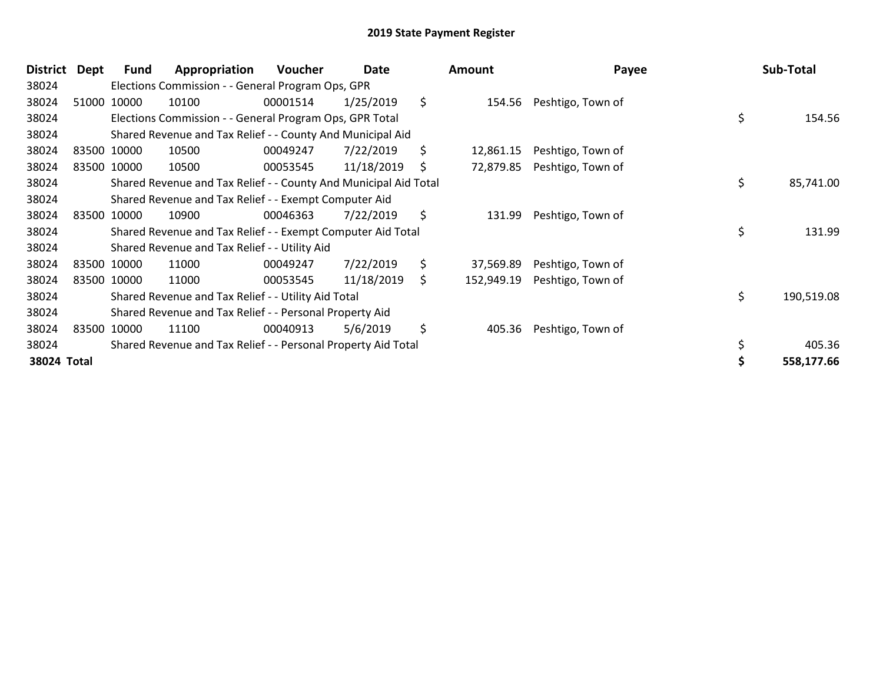| <b>District</b> | Dept | <b>Fund</b> | Appropriation                                                    | <b>Voucher</b> | Date       |     | Amount     | Payee             | Sub-Total        |
|-----------------|------|-------------|------------------------------------------------------------------|----------------|------------|-----|------------|-------------------|------------------|
| 38024           |      |             | Elections Commission - - General Program Ops, GPR                |                |            |     |            |                   |                  |
| 38024           |      | 51000 10000 | 10100                                                            | 00001514       | 1/25/2019  | \$  | 154.56     | Peshtigo, Town of |                  |
| 38024           |      |             | Elections Commission - - General Program Ops, GPR Total          |                |            |     |            |                   | \$<br>154.56     |
| 38024           |      |             | Shared Revenue and Tax Relief - - County And Municipal Aid       |                |            |     |            |                   |                  |
| 38024           |      | 83500 10000 | 10500                                                            | 00049247       | 7/22/2019  | \$. | 12,861.15  | Peshtigo, Town of |                  |
| 38024           |      | 83500 10000 | 10500                                                            | 00053545       | 11/18/2019 | \$  | 72,879.85  | Peshtigo, Town of |                  |
| 38024           |      |             | Shared Revenue and Tax Relief - - County And Municipal Aid Total |                |            |     |            |                   | \$<br>85,741.00  |
| 38024           |      |             | Shared Revenue and Tax Relief - - Exempt Computer Aid            |                |            |     |            |                   |                  |
| 38024           |      | 83500 10000 | 10900                                                            | 00046363       | 7/22/2019  | \$  | 131.99     | Peshtigo, Town of |                  |
| 38024           |      |             | Shared Revenue and Tax Relief - - Exempt Computer Aid Total      |                |            |     |            |                   | \$<br>131.99     |
| 38024           |      |             | Shared Revenue and Tax Relief - - Utility Aid                    |                |            |     |            |                   |                  |
| 38024           |      | 83500 10000 | 11000                                                            | 00049247       | 7/22/2019  | \$  | 37,569.89  | Peshtigo, Town of |                  |
| 38024           |      | 83500 10000 | 11000                                                            | 00053545       | 11/18/2019 | S.  | 152,949.19 | Peshtigo, Town of |                  |
| 38024           |      |             | Shared Revenue and Tax Relief - - Utility Aid Total              |                |            |     |            |                   | \$<br>190,519.08 |
| 38024           |      |             | Shared Revenue and Tax Relief - - Personal Property Aid          |                |            |     |            |                   |                  |
| 38024           |      | 83500 10000 | 11100                                                            | 00040913       | 5/6/2019   | \$  | 405.36     | Peshtigo, Town of |                  |
| 38024           |      |             | Shared Revenue and Tax Relief - - Personal Property Aid Total    |                |            |     |            |                   | \$<br>405.36     |
| 38024 Total     |      |             |                                                                  |                |            |     |            |                   | 558,177.66       |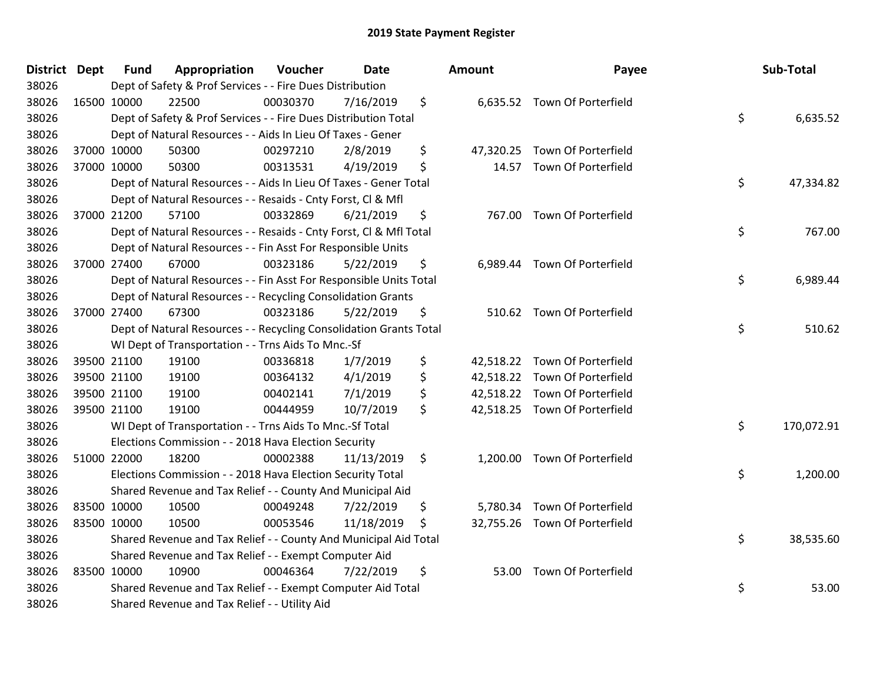| District Dept |             | <b>Fund</b> | Appropriation                                                      | Voucher  | <b>Date</b> |     | Amount | Payee                         | Sub-Total        |
|---------------|-------------|-------------|--------------------------------------------------------------------|----------|-------------|-----|--------|-------------------------------|------------------|
| 38026         |             |             | Dept of Safety & Prof Services - - Fire Dues Distribution          |          |             |     |        |                               |                  |
| 38026         |             | 16500 10000 | 22500                                                              | 00030370 | 7/16/2019   | \$  |        | 6,635.52 Town Of Porterfield  |                  |
| 38026         |             |             | Dept of Safety & Prof Services - - Fire Dues Distribution Total    |          |             |     |        |                               | \$<br>6,635.52   |
| 38026         |             |             | Dept of Natural Resources - - Aids In Lieu Of Taxes - Gener        |          |             |     |        |                               |                  |
| 38026         |             | 37000 10000 | 50300                                                              | 00297210 | 2/8/2019    | \$  |        | 47,320.25 Town Of Porterfield |                  |
| 38026         |             | 37000 10000 | 50300                                                              | 00313531 | 4/19/2019   | \$  |        | 14.57 Town Of Porterfield     |                  |
| 38026         |             |             | Dept of Natural Resources - - Aids In Lieu Of Taxes - Gener Total  |          |             |     |        |                               | \$<br>47,334.82  |
| 38026         |             |             | Dept of Natural Resources - - Resaids - Cnty Forst, CI & Mfl       |          |             |     |        |                               |                  |
| 38026         |             | 37000 21200 | 57100                                                              | 00332869 | 6/21/2019   | \$  |        | 767.00 Town Of Porterfield    |                  |
| 38026         |             |             | Dept of Natural Resources - - Resaids - Cnty Forst, Cl & Mfl Total |          |             |     |        |                               | \$<br>767.00     |
| 38026         |             |             | Dept of Natural Resources - - Fin Asst For Responsible Units       |          |             |     |        |                               |                  |
| 38026         |             | 37000 27400 | 67000                                                              | 00323186 | 5/22/2019   | \$  |        | 6,989.44 Town Of Porterfield  |                  |
| 38026         |             |             | Dept of Natural Resources - - Fin Asst For Responsible Units Total |          |             |     |        |                               | \$<br>6,989.44   |
| 38026         |             |             | Dept of Natural Resources - - Recycling Consolidation Grants       |          |             |     |        |                               |                  |
| 38026         |             | 37000 27400 | 67300                                                              | 00323186 | 5/22/2019   | \$  |        | 510.62 Town Of Porterfield    |                  |
| 38026         |             |             | Dept of Natural Resources - - Recycling Consolidation Grants Total |          |             |     |        |                               | \$<br>510.62     |
| 38026         |             |             | WI Dept of Transportation - - Trns Aids To Mnc.-Sf                 |          |             |     |        |                               |                  |
| 38026         |             | 39500 21100 | 19100                                                              | 00336818 | 1/7/2019    | \$  |        | 42,518.22 Town Of Porterfield |                  |
| 38026         |             | 39500 21100 | 19100                                                              | 00364132 | 4/1/2019    | \$  |        | 42,518.22 Town Of Porterfield |                  |
| 38026         |             | 39500 21100 | 19100                                                              | 00402141 | 7/1/2019    | \$  |        | 42,518.22 Town Of Porterfield |                  |
| 38026         |             | 39500 21100 | 19100                                                              | 00444959 | 10/7/2019   | \$  |        | 42,518.25 Town Of Porterfield |                  |
| 38026         |             |             | WI Dept of Transportation - - Trns Aids To Mnc.-Sf Total           |          |             |     |        |                               | \$<br>170,072.91 |
| 38026         |             |             | Elections Commission - - 2018 Hava Election Security               |          |             |     |        |                               |                  |
| 38026         |             | 51000 22000 | 18200                                                              | 00002388 | 11/13/2019  | \$  |        | 1,200.00 Town Of Porterfield  |                  |
| 38026         |             |             | Elections Commission - - 2018 Hava Election Security Total         |          |             |     |        |                               | \$<br>1,200.00   |
| 38026         |             |             | Shared Revenue and Tax Relief - - County And Municipal Aid         |          |             |     |        |                               |                  |
| 38026         |             | 83500 10000 | 10500                                                              | 00049248 | 7/22/2019   | \$  |        | 5,780.34 Town Of Porterfield  |                  |
| 38026         | 83500 10000 |             | 10500                                                              | 00053546 | 11/18/2019  | \$. |        | 32,755.26 Town Of Porterfield |                  |
| 38026         |             |             | Shared Revenue and Tax Relief - - County And Municipal Aid Total   |          |             |     |        |                               | \$<br>38,535.60  |
| 38026         |             |             | Shared Revenue and Tax Relief - - Exempt Computer Aid              |          |             |     |        |                               |                  |
| 38026         |             | 83500 10000 | 10900                                                              | 00046364 | 7/22/2019   | \$  |        | 53.00 Town Of Porterfield     |                  |
| 38026         |             |             | Shared Revenue and Tax Relief - - Exempt Computer Aid Total        |          |             |     |        |                               | \$<br>53.00      |
| 38026         |             |             | Shared Revenue and Tax Relief - - Utility Aid                      |          |             |     |        |                               |                  |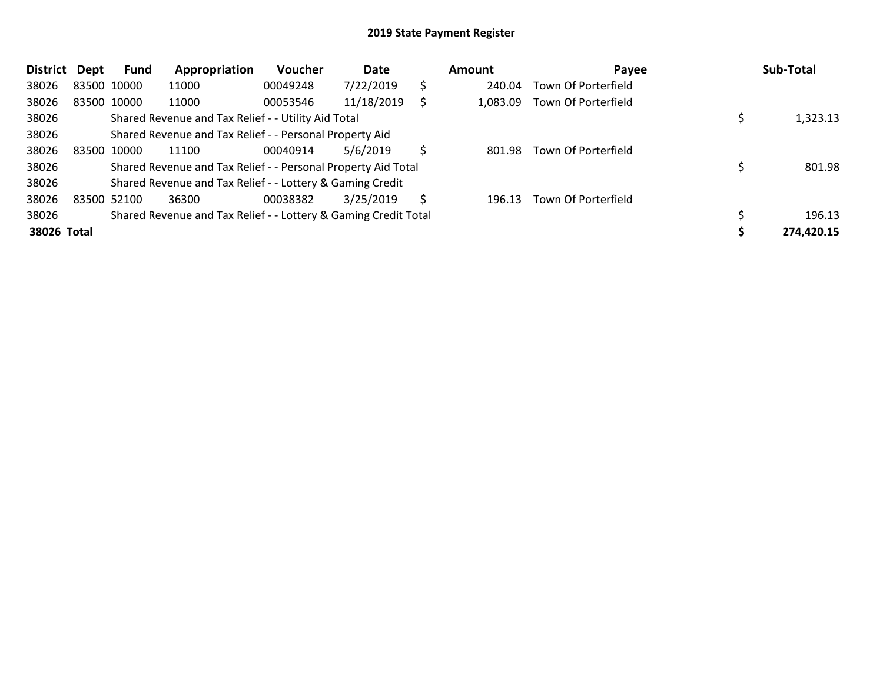| <b>District</b> | <b>Dept</b> | <b>Fund</b> | Appropriation                                                   | <b>Voucher</b> | Date       |    | Amount   | Payee               | Sub-Total  |
|-----------------|-------------|-------------|-----------------------------------------------------------------|----------------|------------|----|----------|---------------------|------------|
| 38026           | 83500 10000 |             | 11000                                                           | 00049248       | 7/22/2019  | \$ | 240.04   | Town Of Porterfield |            |
| 38026           |             | 83500 10000 | 11000                                                           | 00053546       | 11/18/2019 | Ś  | 1,083.09 | Town Of Porterfield |            |
| 38026           |             |             | Shared Revenue and Tax Relief - - Utility Aid Total             |                |            |    |          |                     | 1,323.13   |
| 38026           |             |             | Shared Revenue and Tax Relief - - Personal Property Aid         |                |            |    |          |                     |            |
| 38026           | 83500 10000 |             | 11100                                                           | 00040914       | 5/6/2019   | \$ | 801.98   | Town Of Porterfield |            |
| 38026           |             |             | Shared Revenue and Tax Relief - - Personal Property Aid Total   |                |            |    |          |                     | 801.98     |
| 38026           |             |             | Shared Revenue and Tax Relief - - Lottery & Gaming Credit       |                |            |    |          |                     |            |
| 38026           | 83500 52100 |             | 36300                                                           | 00038382       | 3/25/2019  | S  | 196.13   | Town Of Porterfield |            |
| 38026           |             |             | Shared Revenue and Tax Relief - - Lottery & Gaming Credit Total |                |            |    |          |                     | 196.13     |
| 38026 Total     |             |             |                                                                 |                |            |    |          |                     | 274,420.15 |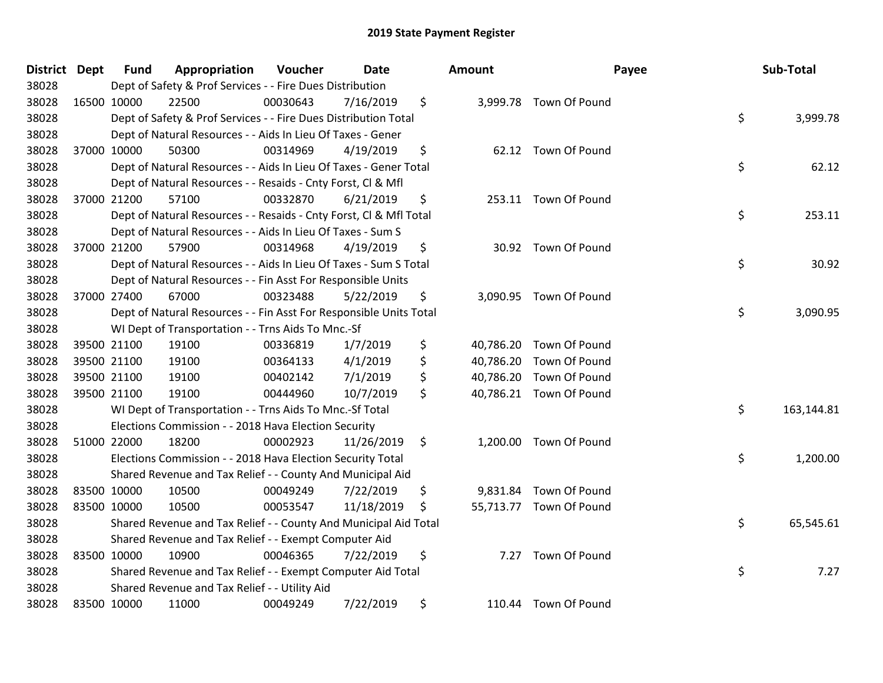| District Dept |             | <b>Fund</b> | Appropriation                                                      | Voucher  | <b>Date</b> |         | <b>Amount</b> | Payee                   | Sub-Total        |
|---------------|-------------|-------------|--------------------------------------------------------------------|----------|-------------|---------|---------------|-------------------------|------------------|
| 38028         |             |             | Dept of Safety & Prof Services - - Fire Dues Distribution          |          |             |         |               |                         |                  |
| 38028         | 16500 10000 |             | 22500                                                              | 00030643 | 7/16/2019   | \$      |               | 3,999.78 Town Of Pound  |                  |
| 38028         |             |             | Dept of Safety & Prof Services - - Fire Dues Distribution Total    |          |             |         |               |                         | \$<br>3,999.78   |
| 38028         |             |             | Dept of Natural Resources - - Aids In Lieu Of Taxes - Gener        |          |             |         |               |                         |                  |
| 38028         | 37000 10000 |             | 50300                                                              | 00314969 | 4/19/2019   | \$      |               | 62.12 Town Of Pound     |                  |
| 38028         |             |             | Dept of Natural Resources - - Aids In Lieu Of Taxes - Gener Total  |          |             |         |               |                         | \$<br>62.12      |
| 38028         |             |             | Dept of Natural Resources - - Resaids - Cnty Forst, Cl & Mfl       |          |             |         |               |                         |                  |
| 38028         | 37000 21200 |             | 57100                                                              | 00332870 | 6/21/2019   | \$      |               | 253.11 Town Of Pound    |                  |
| 38028         |             |             | Dept of Natural Resources - - Resaids - Cnty Forst, Cl & Mfl Total |          |             |         |               |                         | \$<br>253.11     |
| 38028         |             |             | Dept of Natural Resources - - Aids In Lieu Of Taxes - Sum S        |          |             |         |               |                         |                  |
| 38028         | 37000 21200 |             | 57900                                                              | 00314968 | 4/19/2019   | \$      |               | 30.92 Town Of Pound     |                  |
| 38028         |             |             | Dept of Natural Resources - - Aids In Lieu Of Taxes - Sum S Total  |          |             |         |               |                         | \$<br>30.92      |
| 38028         |             |             | Dept of Natural Resources - - Fin Asst For Responsible Units       |          |             |         |               |                         |                  |
| 38028         | 37000 27400 |             | 67000                                                              | 00323488 | 5/22/2019   | \$      |               | 3,090.95 Town Of Pound  |                  |
| 38028         |             |             | Dept of Natural Resources - - Fin Asst For Responsible Units Total |          |             |         |               |                         | \$<br>3,090.95   |
| 38028         |             |             | WI Dept of Transportation - - Trns Aids To Mnc.-Sf                 |          |             |         |               |                         |                  |
| 38028         | 39500 21100 |             | 19100                                                              | 00336819 | 1/7/2019    | \$      |               | 40,786.20 Town Of Pound |                  |
| 38028         | 39500 21100 |             | 19100                                                              | 00364133 | 4/1/2019    | \$      |               | 40,786.20 Town Of Pound |                  |
| 38028         | 39500 21100 |             | 19100                                                              | 00402142 | 7/1/2019    | \$      |               | 40,786.20 Town Of Pound |                  |
| 38028         | 39500 21100 |             | 19100                                                              | 00444960 | 10/7/2019   | \$      |               | 40,786.21 Town Of Pound |                  |
| 38028         |             |             | WI Dept of Transportation - - Trns Aids To Mnc.-Sf Total           |          |             |         |               |                         | \$<br>163,144.81 |
| 38028         |             |             | Elections Commission - - 2018 Hava Election Security               |          |             |         |               |                         |                  |
| 38028         | 51000 22000 |             | 18200                                                              | 00002923 | 11/26/2019  | $\zeta$ |               | 1,200.00 Town Of Pound  |                  |
| 38028         |             |             | Elections Commission - - 2018 Hava Election Security Total         |          |             |         |               |                         | \$<br>1,200.00   |
| 38028         |             |             | Shared Revenue and Tax Relief - - County And Municipal Aid         |          |             |         |               |                         |                  |
| 38028         | 83500 10000 |             | 10500                                                              | 00049249 | 7/22/2019   | \$      |               | 9,831.84 Town Of Pound  |                  |
| 38028         | 83500 10000 |             | 10500                                                              | 00053547 | 11/18/2019  | \$      |               | 55,713.77 Town Of Pound |                  |
| 38028         |             |             | Shared Revenue and Tax Relief - - County And Municipal Aid Total   |          |             |         |               |                         | \$<br>65,545.61  |
| 38028         |             |             | Shared Revenue and Tax Relief - - Exempt Computer Aid              |          |             |         |               |                         |                  |
| 38028         | 83500 10000 |             | 10900                                                              | 00046365 | 7/22/2019   | \$      |               | 7.27 Town Of Pound      |                  |
| 38028         |             |             | Shared Revenue and Tax Relief - - Exempt Computer Aid Total        |          |             |         |               |                         | \$<br>7.27       |
| 38028         |             |             | Shared Revenue and Tax Relief - - Utility Aid                      |          |             |         |               |                         |                  |
| 38028         | 83500 10000 |             | 11000                                                              | 00049249 | 7/22/2019   | \$      |               | 110.44 Town Of Pound    |                  |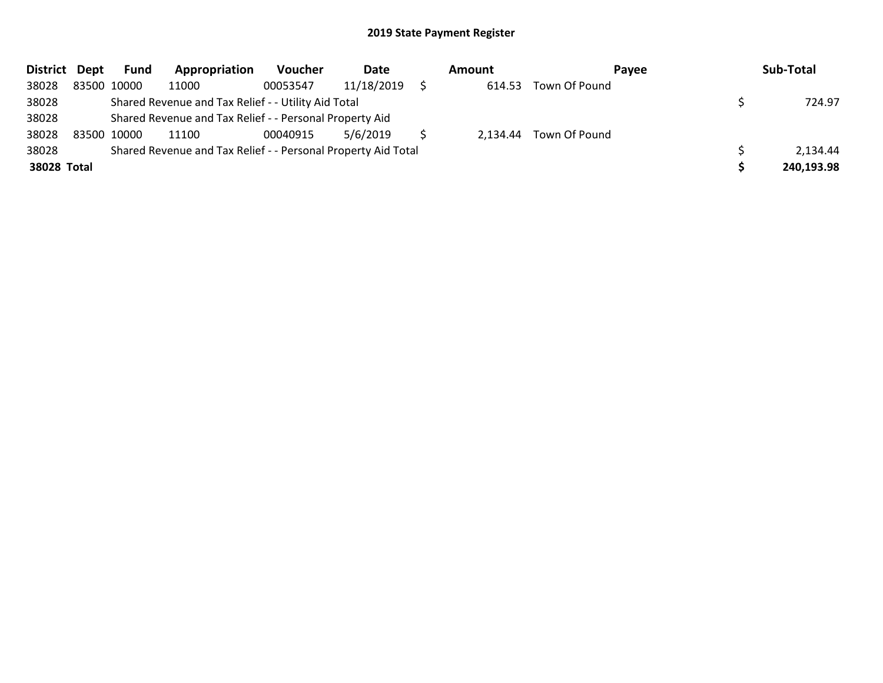| District Dept | <b>Fund</b> | Appropriation                                                 | Voucher  | Date       | Amount | Pavee                  | Sub-Total  |
|---------------|-------------|---------------------------------------------------------------|----------|------------|--------|------------------------|------------|
| 38028         | 83500 10000 | 11000                                                         | 00053547 | 11/18/2019 | 614.53 | Town Of Pound          |            |
| 38028         |             | Shared Revenue and Tax Relief - - Utility Aid Total           |          |            |        |                        | 724.97     |
| 38028         |             | Shared Revenue and Tax Relief - - Personal Property Aid       |          |            |        |                        |            |
| 38028         | 83500 10000 | 11100                                                         | 00040915 | 5/6/2019   |        | 2,134.44 Town Of Pound |            |
| 38028         |             | Shared Revenue and Tax Relief - - Personal Property Aid Total |          |            |        |                        | 2.134.44   |
| 38028 Total   |             |                                                               |          |            |        |                        | 240,193.98 |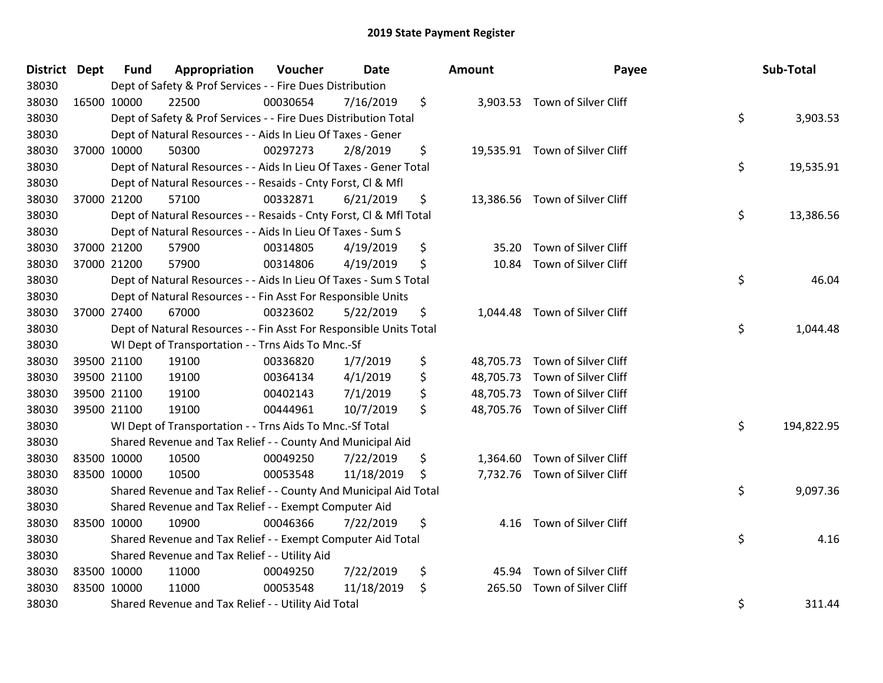| District Dept | <b>Fund</b> | Appropriation                                                      | Voucher  | <b>Date</b> | Amount         | Payee                          | Sub-Total        |
|---------------|-------------|--------------------------------------------------------------------|----------|-------------|----------------|--------------------------------|------------------|
| 38030         |             | Dept of Safety & Prof Services - - Fire Dues Distribution          |          |             |                |                                |                  |
| 38030         | 16500 10000 | 22500                                                              | 00030654 | 7/16/2019   | \$             | 3,903.53 Town of Silver Cliff  |                  |
| 38030         |             | Dept of Safety & Prof Services - - Fire Dues Distribution Total    |          |             |                |                                | \$<br>3,903.53   |
| 38030         |             | Dept of Natural Resources - - Aids In Lieu Of Taxes - Gener        |          |             |                |                                |                  |
| 38030         | 37000 10000 | 50300                                                              | 00297273 | 2/8/2019    | \$             | 19,535.91 Town of Silver Cliff |                  |
| 38030         |             | Dept of Natural Resources - - Aids In Lieu Of Taxes - Gener Total  |          |             |                |                                | \$<br>19,535.91  |
| 38030         |             | Dept of Natural Resources - - Resaids - Cnty Forst, Cl & Mfl       |          |             |                |                                |                  |
| 38030         | 37000 21200 | 57100                                                              | 00332871 | 6/21/2019   | \$             | 13,386.56 Town of Silver Cliff |                  |
| 38030         |             | Dept of Natural Resources - - Resaids - Cnty Forst, Cl & Mfl Total |          |             |                |                                | \$<br>13,386.56  |
| 38030         |             | Dept of Natural Resources - - Aids In Lieu Of Taxes - Sum S        |          |             |                |                                |                  |
| 38030         | 37000 21200 | 57900                                                              | 00314805 | 4/19/2019   | \$<br>35.20    | Town of Silver Cliff           |                  |
| 38030         | 37000 21200 | 57900                                                              | 00314806 | 4/19/2019   | \$<br>10.84    | Town of Silver Cliff           |                  |
| 38030         |             | Dept of Natural Resources - - Aids In Lieu Of Taxes - Sum S Total  |          |             |                |                                | \$<br>46.04      |
| 38030         |             | Dept of Natural Resources - - Fin Asst For Responsible Units       |          |             |                |                                |                  |
| 38030         | 37000 27400 | 67000                                                              | 00323602 | 5/22/2019   | \$<br>1,044.48 | Town of Silver Cliff           |                  |
| 38030         |             | Dept of Natural Resources - - Fin Asst For Responsible Units Total |          |             |                |                                | \$<br>1,044.48   |
| 38030         |             | WI Dept of Transportation - - Trns Aids To Mnc.-Sf                 |          |             |                |                                |                  |
| 38030         | 39500 21100 | 19100                                                              | 00336820 | 1/7/2019    | \$             | 48,705.73 Town of Silver Cliff |                  |
| 38030         | 39500 21100 | 19100                                                              | 00364134 | 4/1/2019    | \$             | 48,705.73 Town of Silver Cliff |                  |
| 38030         | 39500 21100 | 19100                                                              | 00402143 | 7/1/2019    | \$             | 48,705.73 Town of Silver Cliff |                  |
| 38030         | 39500 21100 | 19100                                                              | 00444961 | 10/7/2019   | \$             | 48,705.76 Town of Silver Cliff |                  |
| 38030         |             | WI Dept of Transportation - - Trns Aids To Mnc.-Sf Total           |          |             |                |                                | \$<br>194,822.95 |
| 38030         |             | Shared Revenue and Tax Relief - - County And Municipal Aid         |          |             |                |                                |                  |
| 38030         | 83500 10000 | 10500                                                              | 00049250 | 7/22/2019   | \$             | 1,364.60 Town of Silver Cliff  |                  |
| 38030         | 83500 10000 | 10500                                                              | 00053548 | 11/18/2019  | \$             | 7,732.76 Town of Silver Cliff  |                  |
| 38030         |             | Shared Revenue and Tax Relief - - County And Municipal Aid Total   |          |             |                |                                | \$<br>9,097.36   |
| 38030         |             | Shared Revenue and Tax Relief - - Exempt Computer Aid              |          |             |                |                                |                  |
| 38030         | 83500 10000 | 10900                                                              | 00046366 | 7/22/2019   | \$<br>4.16     | Town of Silver Cliff           |                  |
| 38030         |             | Shared Revenue and Tax Relief - - Exempt Computer Aid Total        |          |             |                |                                | \$<br>4.16       |
| 38030         |             | Shared Revenue and Tax Relief - - Utility Aid                      |          |             |                |                                |                  |
| 38030         | 83500 10000 | 11000                                                              | 00049250 | 7/22/2019   | \$<br>45.94    | Town of Silver Cliff           |                  |
| 38030         | 83500 10000 | 11000                                                              | 00053548 | 11/18/2019  | \$<br>265.50   | Town of Silver Cliff           |                  |
| 38030         |             | Shared Revenue and Tax Relief - - Utility Aid Total                |          |             |                |                                | \$<br>311.44     |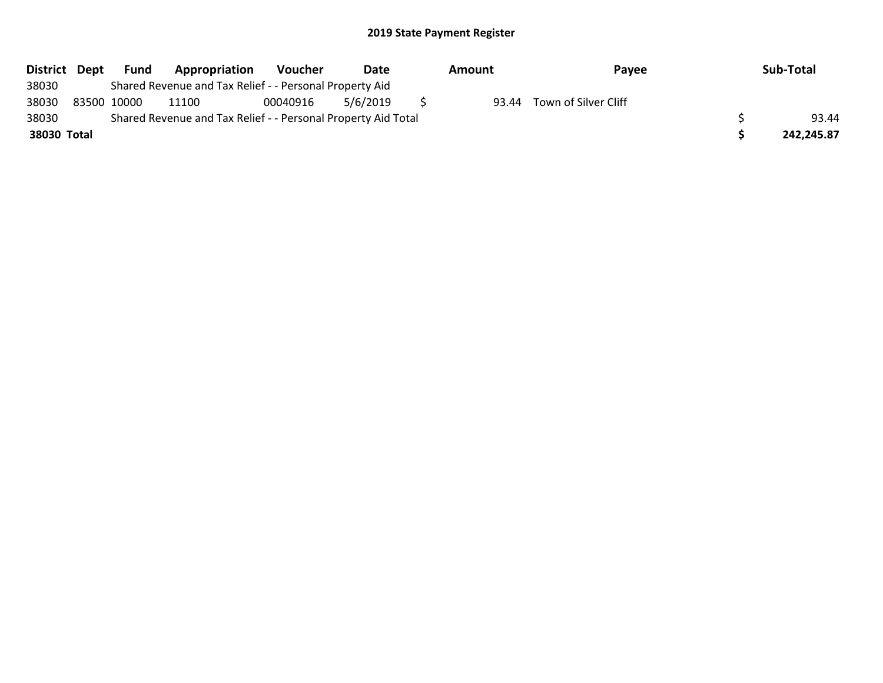| District Dept | Fund        | Appropriation                                                 | <b>Voucher</b> | Date     | Amount | Payee                | Sub-Total  |
|---------------|-------------|---------------------------------------------------------------|----------------|----------|--------|----------------------|------------|
| 38030         |             | Shared Revenue and Tax Relief - - Personal Property Aid       |                |          |        |                      |            |
| 38030         | 83500 10000 | 11100                                                         | 00040916       | 5/6/2019 | 93.44  | Town of Silver Cliff |            |
| 38030         |             | Shared Revenue and Tax Relief - - Personal Property Aid Total |                |          |        |                      | 93.44      |
| 38030 Total   |             |                                                               |                |          |        |                      | 242,245.87 |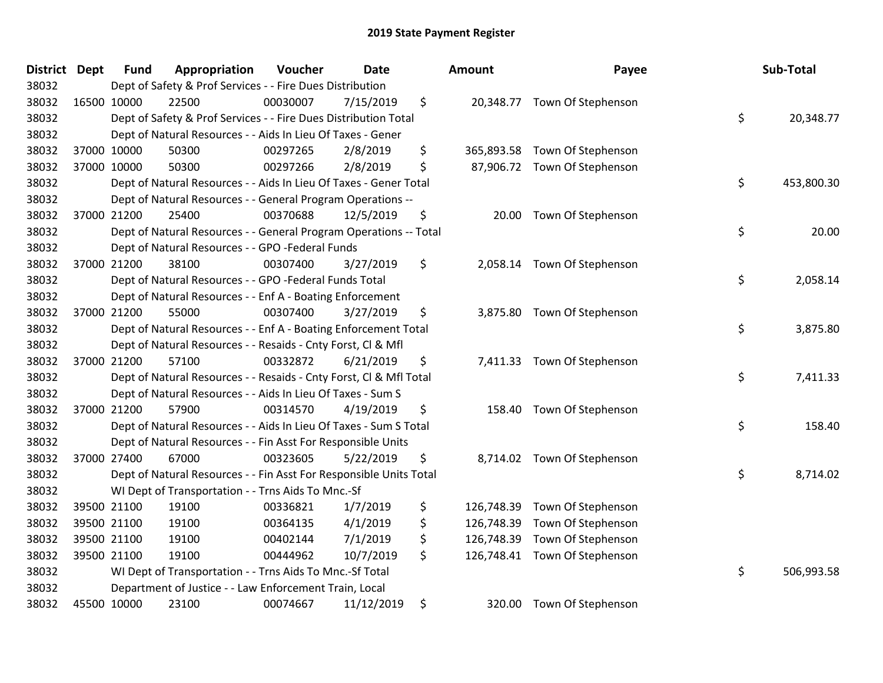| <b>District Dept</b> | <b>Fund</b> | Appropriation                                                      | Voucher  | <b>Date</b> | Amount           | Payee                         | Sub-Total        |
|----------------------|-------------|--------------------------------------------------------------------|----------|-------------|------------------|-------------------------------|------------------|
| 38032                |             | Dept of Safety & Prof Services - - Fire Dues Distribution          |          |             |                  |                               |                  |
| 38032                | 16500 10000 | 22500                                                              | 00030007 | 7/15/2019   | \$               | 20,348.77 Town Of Stephenson  |                  |
| 38032                |             | Dept of Safety & Prof Services - - Fire Dues Distribution Total    |          |             |                  |                               | \$<br>20,348.77  |
| 38032                |             | Dept of Natural Resources - - Aids In Lieu Of Taxes - Gener        |          |             |                  |                               |                  |
| 38032                | 37000 10000 | 50300                                                              | 00297265 | 2/8/2019    | \$               | 365,893.58 Town Of Stephenson |                  |
| 38032                | 37000 10000 | 50300                                                              | 00297266 | 2/8/2019    | \$               | 87,906.72 Town Of Stephenson  |                  |
| 38032                |             | Dept of Natural Resources - - Aids In Lieu Of Taxes - Gener Total  |          |             |                  |                               | \$<br>453,800.30 |
| 38032                |             | Dept of Natural Resources - - General Program Operations --        |          |             |                  |                               |                  |
| 38032                | 37000 21200 | 25400                                                              | 00370688 | 12/5/2019   | \$               | 20.00 Town Of Stephenson      |                  |
| 38032                |             | Dept of Natural Resources - - General Program Operations -- Total  |          |             |                  |                               | \$<br>20.00      |
| 38032                |             | Dept of Natural Resources - - GPO -Federal Funds                   |          |             |                  |                               |                  |
| 38032                | 37000 21200 | 38100                                                              | 00307400 | 3/27/2019   | \$               | 2,058.14 Town Of Stephenson   |                  |
| 38032                |             | Dept of Natural Resources - - GPO -Federal Funds Total             |          |             |                  |                               | \$<br>2,058.14   |
| 38032                |             | Dept of Natural Resources - - Enf A - Boating Enforcement          |          |             |                  |                               |                  |
| 38032                | 37000 21200 | 55000                                                              | 00307400 | 3/27/2019   | \$<br>3,875.80   | Town Of Stephenson            |                  |
| 38032                |             | Dept of Natural Resources - - Enf A - Boating Enforcement Total    |          |             |                  |                               | \$<br>3,875.80   |
| 38032                |             | Dept of Natural Resources - - Resaids - Cnty Forst, Cl & Mfl       |          |             |                  |                               |                  |
| 38032                | 37000 21200 | 57100                                                              | 00332872 | 6/21/2019   | \$               | 7,411.33 Town Of Stephenson   |                  |
| 38032                |             | Dept of Natural Resources - - Resaids - Cnty Forst, Cl & Mfl Total |          |             |                  |                               | \$<br>7,411.33   |
| 38032                |             | Dept of Natural Resources - - Aids In Lieu Of Taxes - Sum S        |          |             |                  |                               |                  |
| 38032                | 37000 21200 | 57900                                                              | 00314570 | 4/19/2019   | \$               | 158.40 Town Of Stephenson     |                  |
| 38032                |             | Dept of Natural Resources - - Aids In Lieu Of Taxes - Sum S Total  |          |             |                  |                               | \$<br>158.40     |
| 38032                |             | Dept of Natural Resources - - Fin Asst For Responsible Units       |          |             |                  |                               |                  |
| 38032                | 37000 27400 | 67000                                                              | 00323605 | 5/22/2019   | \$               | 8,714.02 Town Of Stephenson   |                  |
| 38032                |             | Dept of Natural Resources - - Fin Asst For Responsible Units Total |          |             |                  |                               | \$<br>8,714.02   |
| 38032                |             | WI Dept of Transportation - - Trns Aids To Mnc.-Sf                 |          |             |                  |                               |                  |
| 38032                | 39500 21100 | 19100                                                              | 00336821 | 1/7/2019    | \$<br>126,748.39 | Town Of Stephenson            |                  |
| 38032                | 39500 21100 | 19100                                                              | 00364135 | 4/1/2019    | \$<br>126,748.39 | Town Of Stephenson            |                  |
| 38032                | 39500 21100 | 19100                                                              | 00402144 | 7/1/2019    | \$<br>126,748.39 | Town Of Stephenson            |                  |
| 38032                | 39500 21100 | 19100                                                              | 00444962 | 10/7/2019   | \$               | 126,748.41 Town Of Stephenson |                  |
| 38032                |             | WI Dept of Transportation - - Trns Aids To Mnc.-Sf Total           |          |             |                  |                               | \$<br>506,993.58 |
| 38032                |             | Department of Justice - - Law Enforcement Train, Local             |          |             |                  |                               |                  |
| 38032                | 45500 10000 | 23100                                                              | 00074667 | 11/12/2019  | \$               | 320.00 Town Of Stephenson     |                  |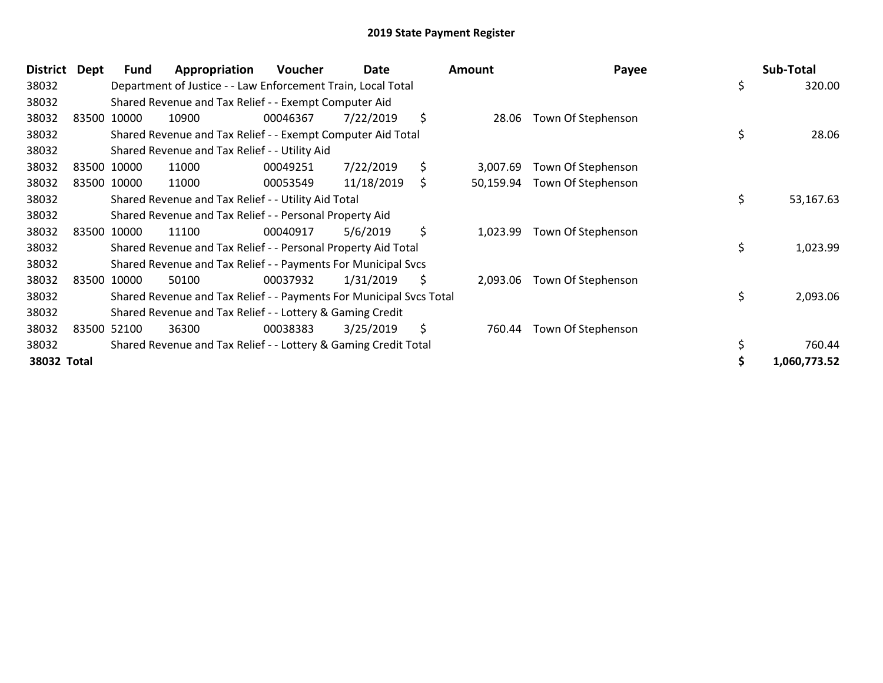| <b>District</b> | Dept | Fund        | Appropriation                                                       | Voucher  | Date       | <b>Amount</b>   | Payee              |    | Sub-Total    |
|-----------------|------|-------------|---------------------------------------------------------------------|----------|------------|-----------------|--------------------|----|--------------|
| 38032           |      |             | Department of Justice - - Law Enforcement Train, Local Total        |          |            |                 |                    | \$ | 320.00       |
| 38032           |      |             | Shared Revenue and Tax Relief - - Exempt Computer Aid               |          |            |                 |                    |    |              |
| 38032           |      | 83500 10000 | 10900                                                               | 00046367 | 7/22/2019  | \$<br>28.06     | Town Of Stephenson |    |              |
| 38032           |      |             | Shared Revenue and Tax Relief - - Exempt Computer Aid Total         |          |            |                 |                    | \$ | 28.06        |
| 38032           |      |             | Shared Revenue and Tax Relief - - Utility Aid                       |          |            |                 |                    |    |              |
| 38032           |      | 83500 10000 | 11000                                                               | 00049251 | 7/22/2019  | \$<br>3,007.69  | Town Of Stephenson |    |              |
| 38032           |      | 83500 10000 | 11000                                                               | 00053549 | 11/18/2019 | \$<br>50,159.94 | Town Of Stephenson |    |              |
| 38032           |      |             | Shared Revenue and Tax Relief - - Utility Aid Total                 |          |            |                 |                    | \$ | 53,167.63    |
| 38032           |      |             | Shared Revenue and Tax Relief - - Personal Property Aid             |          |            |                 |                    |    |              |
| 38032           |      | 83500 10000 | 11100                                                               | 00040917 | 5/6/2019   | \$<br>1,023.99  | Town Of Stephenson |    |              |
| 38032           |      |             | Shared Revenue and Tax Relief - - Personal Property Aid Total       |          |            |                 |                    | \$ | 1,023.99     |
| 38032           |      |             | Shared Revenue and Tax Relief - - Payments For Municipal Svcs       |          |            |                 |                    |    |              |
| 38032           |      | 83500 10000 | 50100                                                               | 00037932 | 1/31/2019  | \$<br>2,093.06  | Town Of Stephenson |    |              |
| 38032           |      |             | Shared Revenue and Tax Relief - - Payments For Municipal Svcs Total |          |            |                 |                    | \$ | 2,093.06     |
| 38032           |      |             | Shared Revenue and Tax Relief - - Lottery & Gaming Credit           |          |            |                 |                    |    |              |
| 38032           |      | 83500 52100 | 36300                                                               | 00038383 | 3/25/2019  | \$<br>760.44    | Town Of Stephenson |    |              |
| 38032           |      |             | Shared Revenue and Tax Relief - - Lottery & Gaming Credit Total     |          |            |                 |                    | \$ | 760.44       |
| 38032 Total     |      |             |                                                                     |          |            |                 |                    | S  | 1,060,773.52 |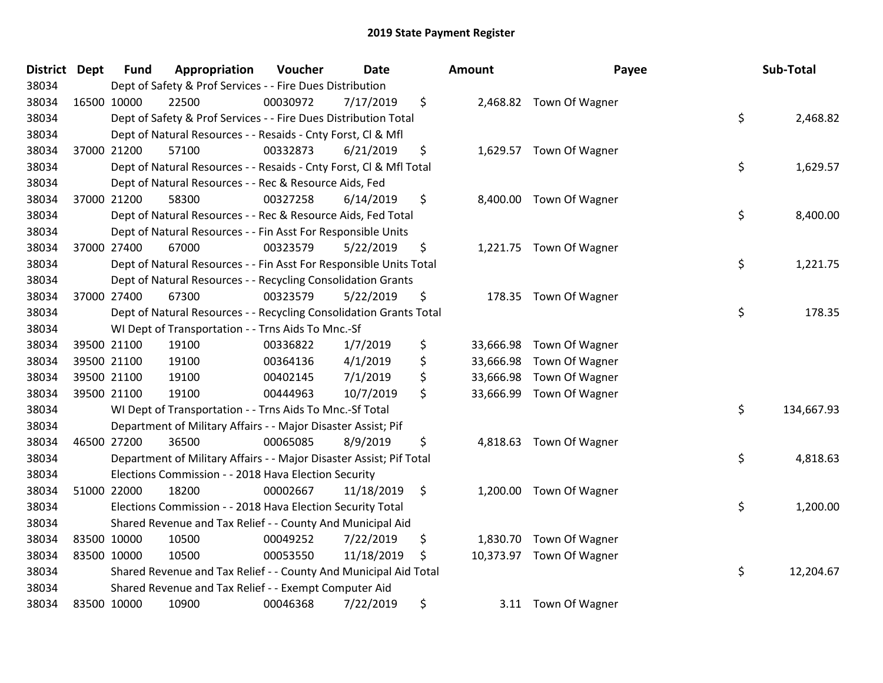| District Dept | <b>Fund</b> | Appropriation                                                       | Voucher  | Date       | <b>Amount</b>   | Payee                    | Sub-Total        |
|---------------|-------------|---------------------------------------------------------------------|----------|------------|-----------------|--------------------------|------------------|
| 38034         |             | Dept of Safety & Prof Services - - Fire Dues Distribution           |          |            |                 |                          |                  |
| 38034         | 16500 10000 | 22500                                                               | 00030972 | 7/17/2019  | \$              | 2,468.82 Town Of Wagner  |                  |
| 38034         |             | Dept of Safety & Prof Services - - Fire Dues Distribution Total     |          |            |                 |                          | \$<br>2,468.82   |
| 38034         |             | Dept of Natural Resources - - Resaids - Cnty Forst, CI & Mfl        |          |            |                 |                          |                  |
| 38034         | 37000 21200 | 57100                                                               | 00332873 | 6/21/2019  | \$              | 1,629.57 Town Of Wagner  |                  |
| 38034         |             | Dept of Natural Resources - - Resaids - Cnty Forst, CI & Mfl Total  |          |            |                 |                          | \$<br>1,629.57   |
| 38034         |             | Dept of Natural Resources - - Rec & Resource Aids, Fed              |          |            |                 |                          |                  |
| 38034         | 37000 21200 | 58300                                                               | 00327258 | 6/14/2019  | \$              | 8,400.00 Town Of Wagner  |                  |
| 38034         |             | Dept of Natural Resources - - Rec & Resource Aids, Fed Total        |          |            |                 |                          | \$<br>8,400.00   |
| 38034         |             | Dept of Natural Resources - - Fin Asst For Responsible Units        |          |            |                 |                          |                  |
| 38034         | 37000 27400 | 67000                                                               | 00323579 | 5/22/2019  | \$              | 1,221.75 Town Of Wagner  |                  |
| 38034         |             | Dept of Natural Resources - - Fin Asst For Responsible Units Total  |          |            |                 |                          | \$<br>1,221.75   |
| 38034         |             | Dept of Natural Resources - - Recycling Consolidation Grants        |          |            |                 |                          |                  |
| 38034         | 37000 27400 | 67300                                                               | 00323579 | 5/22/2019  | \$              | 178.35 Town Of Wagner    |                  |
| 38034         |             | Dept of Natural Resources - - Recycling Consolidation Grants Total  |          |            |                 |                          | \$<br>178.35     |
| 38034         |             | WI Dept of Transportation - - Trns Aids To Mnc.-Sf                  |          |            |                 |                          |                  |
| 38034         | 39500 21100 | 19100                                                               | 00336822 | 1/7/2019   | \$<br>33,666.98 | Town Of Wagner           |                  |
| 38034         | 39500 21100 | 19100                                                               | 00364136 | 4/1/2019   | \$<br>33,666.98 | Town Of Wagner           |                  |
| 38034         | 39500 21100 | 19100                                                               | 00402145 | 7/1/2019   | \$<br>33,666.98 | Town Of Wagner           |                  |
| 38034         | 39500 21100 | 19100                                                               | 00444963 | 10/7/2019  | \$              | 33,666.99 Town Of Wagner |                  |
| 38034         |             | WI Dept of Transportation - - Trns Aids To Mnc.-Sf Total            |          |            |                 |                          | \$<br>134,667.93 |
| 38034         |             | Department of Military Affairs - - Major Disaster Assist; Pif       |          |            |                 |                          |                  |
| 38034         | 46500 27200 | 36500                                                               | 00065085 | 8/9/2019   | \$              | 4,818.63 Town Of Wagner  |                  |
| 38034         |             | Department of Military Affairs - - Major Disaster Assist; Pif Total |          |            |                 |                          | \$<br>4,818.63   |
| 38034         |             | Elections Commission - - 2018 Hava Election Security                |          |            |                 |                          |                  |
| 38034         | 51000 22000 | 18200                                                               | 00002667 | 11/18/2019 | \$              | 1,200.00 Town Of Wagner  |                  |
| 38034         |             | Elections Commission - - 2018 Hava Election Security Total          |          |            |                 |                          | \$<br>1,200.00   |
| 38034         |             | Shared Revenue and Tax Relief - - County And Municipal Aid          |          |            |                 |                          |                  |
| 38034         | 83500 10000 | 10500                                                               | 00049252 | 7/22/2019  | \$              | 1,830.70 Town Of Wagner  |                  |
| 38034         | 83500 10000 | 10500                                                               | 00053550 | 11/18/2019 | \$              | 10,373.97 Town Of Wagner |                  |
| 38034         |             | Shared Revenue and Tax Relief - - County And Municipal Aid Total    |          |            |                 |                          | \$<br>12,204.67  |
| 38034         |             | Shared Revenue and Tax Relief - - Exempt Computer Aid               |          |            |                 |                          |                  |
| 38034         | 83500 10000 | 10900                                                               | 00046368 | 7/22/2019  | \$              | 3.11 Town Of Wagner      |                  |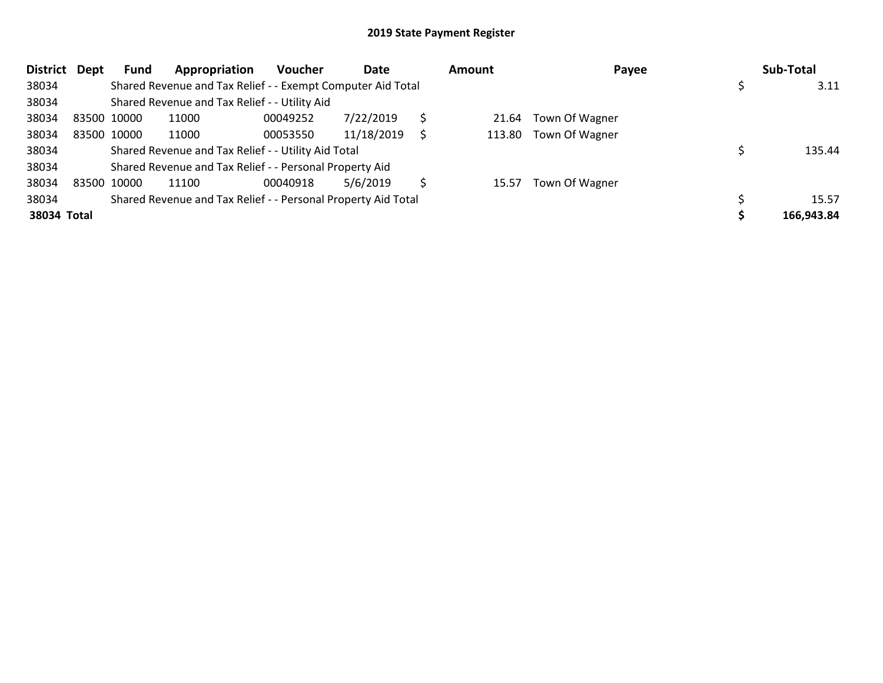| <b>District</b> | Dept | Fund        | Appropriation                                                 | <b>Voucher</b> | Date       | <b>Amount</b> | Payee                 | Sub-Total  |
|-----------------|------|-------------|---------------------------------------------------------------|----------------|------------|---------------|-----------------------|------------|
| 38034           |      |             | Shared Revenue and Tax Relief - - Exempt Computer Aid Total   |                |            |               |                       | 3.11       |
| 38034           |      |             | Shared Revenue and Tax Relief - - Utility Aid                 |                |            |               |                       |            |
| 38034           |      | 83500 10000 | 11000                                                         | 00049252       | 7/22/2019  | 21.64         | Town Of Wagner        |            |
| 38034           |      | 83500 10000 | 11000                                                         | 00053550       | 11/18/2019 |               | 113.80 Town Of Wagner |            |
| 38034           |      |             | Shared Revenue and Tax Relief - - Utility Aid Total           |                |            |               |                       | 135.44     |
| 38034           |      |             | Shared Revenue and Tax Relief - - Personal Property Aid       |                |            |               |                       |            |
| 38034           |      | 83500 10000 | 11100                                                         | 00040918       | 5/6/2019   | 15.57         | Town Of Wagner        |            |
| 38034           |      |             | Shared Revenue and Tax Relief - - Personal Property Aid Total |                |            |               |                       | 15.57      |
| 38034 Total     |      |             |                                                               |                |            |               |                       | 166,943.84 |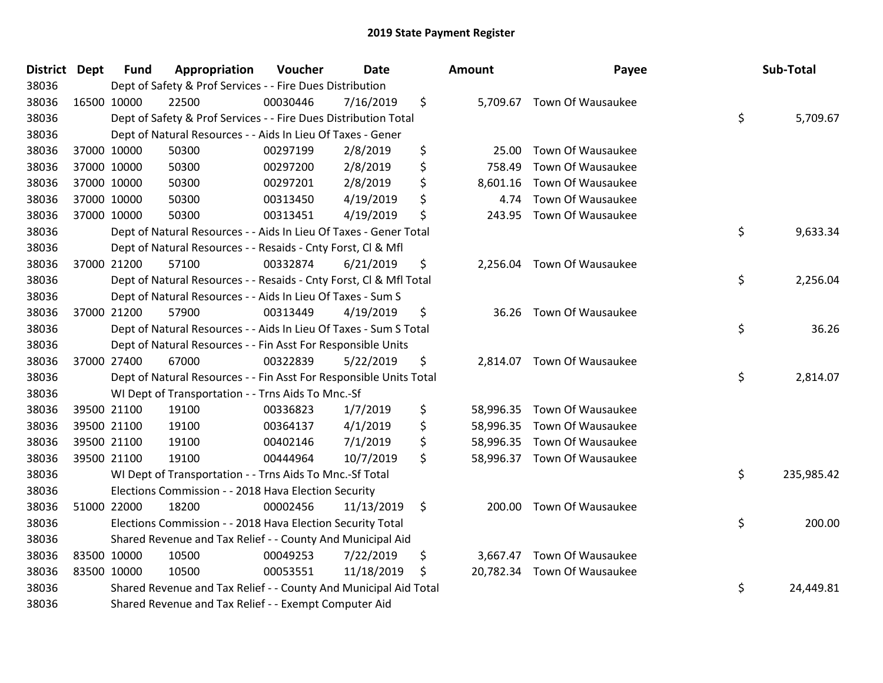| District Dept | <b>Fund</b><br>Appropriation                                       | Voucher  | <b>Date</b> |         | Amount   | Payee                       | Sub-Total        |
|---------------|--------------------------------------------------------------------|----------|-------------|---------|----------|-----------------------------|------------------|
| 38036         | Dept of Safety & Prof Services - - Fire Dues Distribution          |          |             |         |          |                             |                  |
| 38036         | 22500<br>16500 10000                                               | 00030446 | 7/16/2019   | \$      |          | 5,709.67 Town Of Wausaukee  |                  |
| 38036         | Dept of Safety & Prof Services - - Fire Dues Distribution Total    |          |             |         |          |                             | \$<br>5,709.67   |
| 38036         | Dept of Natural Resources - - Aids In Lieu Of Taxes - Gener        |          |             |         |          |                             |                  |
| 38036         | 37000 10000<br>50300                                               | 00297199 | 2/8/2019    | \$      | 25.00    | Town Of Wausaukee           |                  |
| 38036         | 37000 10000<br>50300                                               | 00297200 | 2/8/2019    | \$      | 758.49   | Town Of Wausaukee           |                  |
| 38036         | 37000 10000<br>50300                                               | 00297201 | 2/8/2019    | \$      | 8,601.16 | Town Of Wausaukee           |                  |
| 38036         | 37000 10000<br>50300                                               | 00313450 | 4/19/2019   | \$      | 4.74     | Town Of Wausaukee           |                  |
| 38036         | 37000 10000<br>50300                                               | 00313451 | 4/19/2019   | \$      | 243.95   | Town Of Wausaukee           |                  |
| 38036         | Dept of Natural Resources - - Aids In Lieu Of Taxes - Gener Total  |          |             |         |          |                             | \$<br>9,633.34   |
| 38036         | Dept of Natural Resources - - Resaids - Cnty Forst, Cl & Mfl       |          |             |         |          |                             |                  |
| 38036         | 57100<br>37000 21200                                               | 00332874 | 6/21/2019   | \$      |          | 2,256.04 Town Of Wausaukee  |                  |
| 38036         | Dept of Natural Resources - - Resaids - Cnty Forst, Cl & Mfl Total |          |             |         |          |                             | \$<br>2,256.04   |
| 38036         | Dept of Natural Resources - - Aids In Lieu Of Taxes - Sum S        |          |             |         |          |                             |                  |
| 38036         | 37000 21200<br>57900                                               | 00313449 | 4/19/2019   | \$      | 36.26    | Town Of Wausaukee           |                  |
| 38036         | Dept of Natural Resources - - Aids In Lieu Of Taxes - Sum S Total  |          |             |         |          |                             | \$<br>36.26      |
| 38036         | Dept of Natural Resources - - Fin Asst For Responsible Units       |          |             |         |          |                             |                  |
| 38036         | 67000<br>37000 27400                                               | 00322839 | 5/22/2019   | \$      | 2,814.07 | Town Of Wausaukee           |                  |
| 38036         | Dept of Natural Resources - - Fin Asst For Responsible Units Total |          |             |         |          |                             | \$<br>2,814.07   |
| 38036         | WI Dept of Transportation - - Trns Aids To Mnc.-Sf                 |          |             |         |          |                             |                  |
| 38036         | 39500 21100<br>19100                                               | 00336823 | 1/7/2019    | \$      |          | 58,996.35 Town Of Wausaukee |                  |
| 38036         | 19100<br>39500 21100                                               | 00364137 | 4/1/2019    | \$      |          | 58,996.35 Town Of Wausaukee |                  |
| 38036         | 39500 21100<br>19100                                               | 00402146 | 7/1/2019    | \$      |          | 58,996.35 Town Of Wausaukee |                  |
| 38036         | 39500 21100<br>19100                                               | 00444964 | 10/7/2019   | \$      |          | 58,996.37 Town Of Wausaukee |                  |
| 38036         | WI Dept of Transportation - - Trns Aids To Mnc.-Sf Total           |          |             |         |          |                             | \$<br>235,985.42 |
| 38036         | Elections Commission - - 2018 Hava Election Security               |          |             |         |          |                             |                  |
| 38036         | 51000 22000<br>18200                                               | 00002456 | 11/13/2019  | $\zeta$ |          | 200.00 Town Of Wausaukee    |                  |
| 38036         | Elections Commission - - 2018 Hava Election Security Total         |          |             |         |          |                             | \$<br>200.00     |
| 38036         | Shared Revenue and Tax Relief - - County And Municipal Aid         |          |             |         |          |                             |                  |
| 38036         | 83500 10000<br>10500                                               | 00049253 | 7/22/2019   | \$      | 3,667.47 | Town Of Wausaukee           |                  |
| 38036         | 83500 10000<br>10500                                               | 00053551 | 11/18/2019  | \$      |          | 20,782.34 Town Of Wausaukee |                  |
| 38036         | Shared Revenue and Tax Relief - - County And Municipal Aid Total   |          |             |         |          |                             | \$<br>24,449.81  |
| 38036         | Shared Revenue and Tax Relief - - Exempt Computer Aid              |          |             |         |          |                             |                  |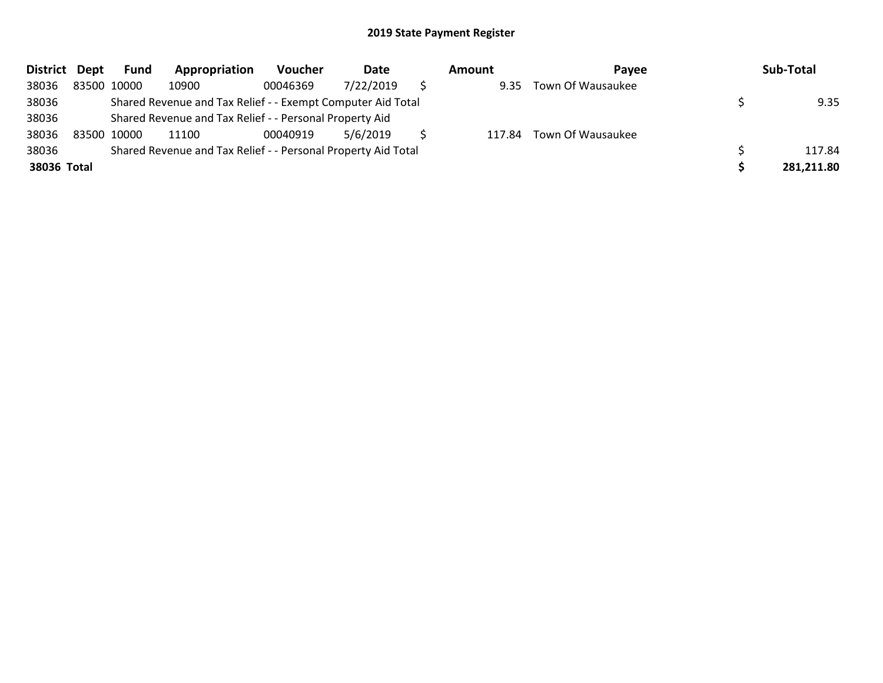| District Dept |             | Fund        | Appropriation                                                 | <b>Voucher</b> | Date      | Amount | Pavee                    | Sub-Total  |
|---------------|-------------|-------------|---------------------------------------------------------------|----------------|-----------|--------|--------------------------|------------|
| 38036         |             | 83500 10000 | 10900                                                         | 00046369       | 7/22/2019 | 9.35   | Town Of Wausaukee        |            |
| 38036         |             |             | Shared Revenue and Tax Relief - - Exempt Computer Aid Total   |                |           |        |                          | 9.35       |
| 38036         |             |             | Shared Revenue and Tax Relief - - Personal Property Aid       |                |           |        |                          |            |
| 38036         | 83500 10000 |             | 11100                                                         | 00040919       | 5/6/2019  |        | 117.84 Town Of Wausaukee |            |
| 38036         |             |             | Shared Revenue and Tax Relief - - Personal Property Aid Total |                |           |        |                          | 117.84     |
| 38036 Total   |             |             |                                                               |                |           |        |                          | 281,211.80 |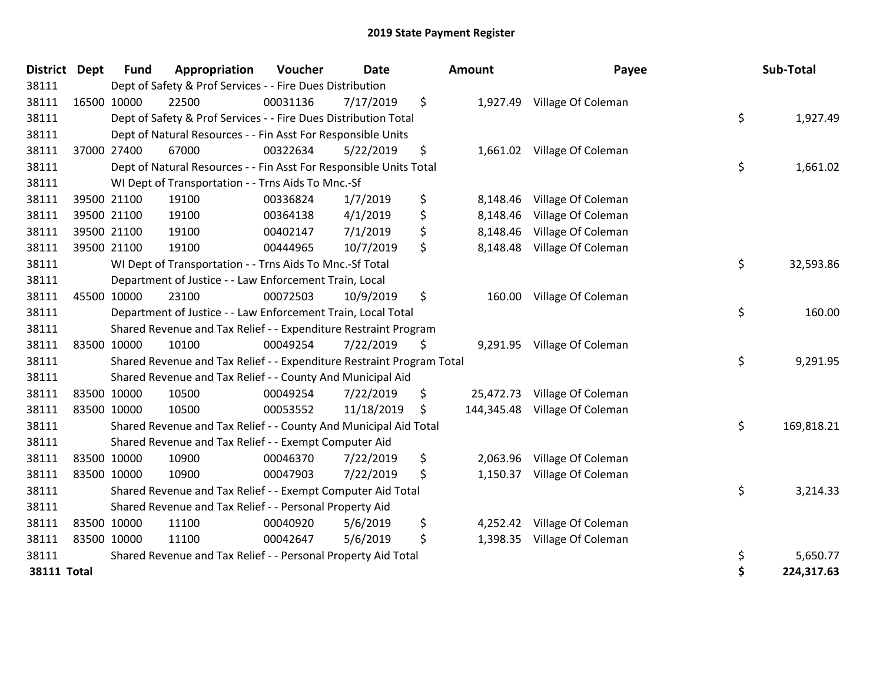| <b>District</b>    | <b>Dept</b> | <b>Fund</b> | Appropriation                                                         | Voucher  | <b>Date</b> | Amount           | Payee                       | Sub-Total        |
|--------------------|-------------|-------------|-----------------------------------------------------------------------|----------|-------------|------------------|-----------------------------|------------------|
| 38111              |             |             | Dept of Safety & Prof Services - - Fire Dues Distribution             |          |             |                  |                             |                  |
| 38111              | 16500 10000 |             | 22500                                                                 | 00031136 | 7/17/2019   | \$               | 1,927.49 Village Of Coleman |                  |
| 38111              |             |             | Dept of Safety & Prof Services - - Fire Dues Distribution Total       |          |             |                  |                             | \$<br>1,927.49   |
| 38111              |             |             | Dept of Natural Resources - - Fin Asst For Responsible Units          |          |             |                  |                             |                  |
| 38111              |             | 37000 27400 | 67000                                                                 | 00322634 | 5/22/2019   | \$               | 1,661.02 Village Of Coleman |                  |
| 38111              |             |             | Dept of Natural Resources - - Fin Asst For Responsible Units Total    |          |             |                  |                             | \$<br>1,661.02   |
| 38111              |             |             | WI Dept of Transportation - - Trns Aids To Mnc.-Sf                    |          |             |                  |                             |                  |
| 38111              |             | 39500 21100 | 19100                                                                 | 00336824 | 1/7/2019    | \$<br>8,148.46   | Village Of Coleman          |                  |
| 38111              |             | 39500 21100 | 19100                                                                 | 00364138 | 4/1/2019    | \$<br>8,148.46   | Village Of Coleman          |                  |
| 38111              |             | 39500 21100 | 19100                                                                 | 00402147 | 7/1/2019    | \$<br>8,148.46   | Village Of Coleman          |                  |
| 38111              | 39500 21100 |             | 19100                                                                 | 00444965 | 10/7/2019   | \$<br>8,148.48   | Village Of Coleman          |                  |
| 38111              |             |             | WI Dept of Transportation - - Trns Aids To Mnc.-Sf Total              |          |             |                  |                             | \$<br>32,593.86  |
| 38111              |             |             | Department of Justice - - Law Enforcement Train, Local                |          |             |                  |                             |                  |
| 38111              | 45500 10000 |             | 23100                                                                 | 00072503 | 10/9/2019   | \$<br>160.00     | Village Of Coleman          |                  |
| 38111              |             |             | Department of Justice - - Law Enforcement Train, Local Total          |          |             |                  |                             | \$<br>160.00     |
| 38111              |             |             | Shared Revenue and Tax Relief - - Expenditure Restraint Program       |          |             |                  |                             |                  |
| 38111              | 83500 10000 |             | 10100                                                                 | 00049254 | 7/22/2019   | \$               | 9,291.95 Village Of Coleman |                  |
| 38111              |             |             | Shared Revenue and Tax Relief - - Expenditure Restraint Program Total |          |             |                  |                             | \$<br>9,291.95   |
| 38111              |             |             | Shared Revenue and Tax Relief - - County And Municipal Aid            |          |             |                  |                             |                  |
| 38111              | 83500 10000 |             | 10500                                                                 | 00049254 | 7/22/2019   | \$<br>25,472.73  | Village Of Coleman          |                  |
| 38111              | 83500 10000 |             | 10500                                                                 | 00053552 | 11/18/2019  | \$<br>144,345.48 | Village Of Coleman          |                  |
| 38111              |             |             | Shared Revenue and Tax Relief - - County And Municipal Aid Total      |          |             |                  |                             | \$<br>169,818.21 |
| 38111              |             |             | Shared Revenue and Tax Relief - - Exempt Computer Aid                 |          |             |                  |                             |                  |
| 38111              | 83500 10000 |             | 10900                                                                 | 00046370 | 7/22/2019   | \$<br>2,063.96   | Village Of Coleman          |                  |
| 38111              | 83500 10000 |             | 10900                                                                 | 00047903 | 7/22/2019   | \$               | 1,150.37 Village Of Coleman |                  |
| 38111              |             |             | Shared Revenue and Tax Relief - - Exempt Computer Aid Total           |          |             |                  |                             | \$<br>3,214.33   |
| 38111              |             |             | Shared Revenue and Tax Relief - - Personal Property Aid               |          |             |                  |                             |                  |
| 38111              | 83500 10000 |             | 11100                                                                 | 00040920 | 5/6/2019    | \$               | 4,252.42 Village Of Coleman |                  |
| 38111              | 83500 10000 |             | 11100                                                                 | 00042647 | 5/6/2019    | \$<br>1,398.35   | Village Of Coleman          |                  |
| 38111              |             |             | Shared Revenue and Tax Relief - - Personal Property Aid Total         |          |             |                  |                             | \$<br>5,650.77   |
| <b>38111 Total</b> |             |             |                                                                       |          |             |                  |                             | \$<br>224,317.63 |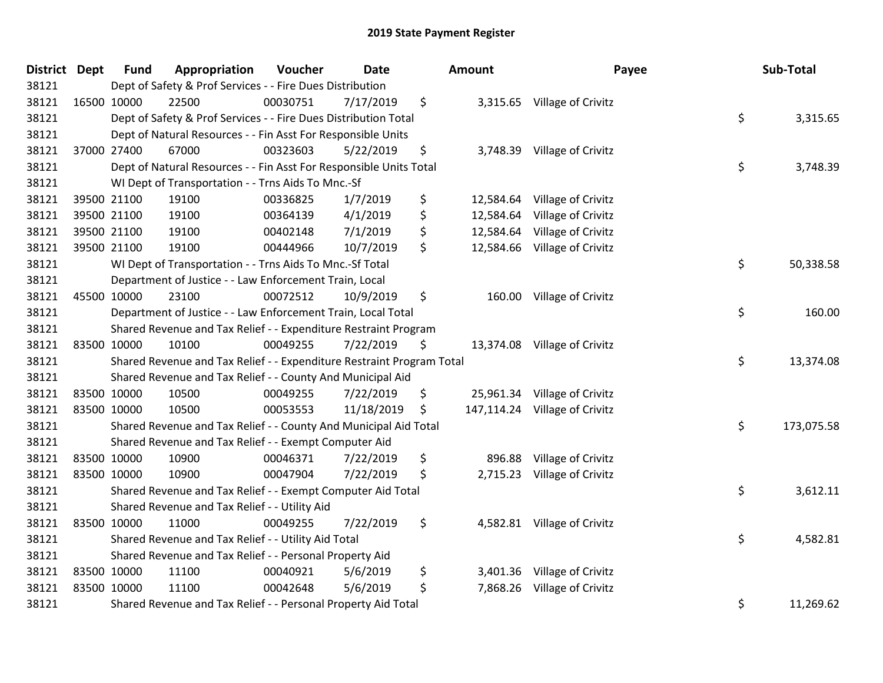| District Dept |             | <b>Fund</b> | Appropriation                                                         | Voucher  | <b>Date</b> | Amount          | Payee                         | Sub-Total        |
|---------------|-------------|-------------|-----------------------------------------------------------------------|----------|-------------|-----------------|-------------------------------|------------------|
| 38121         |             |             | Dept of Safety & Prof Services - - Fire Dues Distribution             |          |             |                 |                               |                  |
| 38121         |             | 16500 10000 | 22500                                                                 | 00030751 | 7/17/2019   | \$              | 3,315.65 Village of Crivitz   |                  |
| 38121         |             |             | Dept of Safety & Prof Services - - Fire Dues Distribution Total       |          |             |                 |                               | \$<br>3,315.65   |
| 38121         |             |             | Dept of Natural Resources - - Fin Asst For Responsible Units          |          |             |                 |                               |                  |
| 38121         |             | 37000 27400 | 67000                                                                 | 00323603 | 5/22/2019   | \$<br>3,748.39  | Village of Crivitz            |                  |
| 38121         |             |             | Dept of Natural Resources - - Fin Asst For Responsible Units Total    |          |             |                 |                               | \$<br>3,748.39   |
| 38121         |             |             | WI Dept of Transportation - - Trns Aids To Mnc.-Sf                    |          |             |                 |                               |                  |
| 38121         |             | 39500 21100 | 19100                                                                 | 00336825 | 1/7/2019    | \$<br>12,584.64 | Village of Crivitz            |                  |
| 38121         |             | 39500 21100 | 19100                                                                 | 00364139 | 4/1/2019    | \$<br>12,584.64 | Village of Crivitz            |                  |
| 38121         |             | 39500 21100 | 19100                                                                 | 00402148 | 7/1/2019    | \$<br>12,584.64 | Village of Crivitz            |                  |
| 38121         |             | 39500 21100 | 19100                                                                 | 00444966 | 10/7/2019   | \$<br>12,584.66 | Village of Crivitz            |                  |
| 38121         |             |             | WI Dept of Transportation - - Trns Aids To Mnc.-Sf Total              |          |             |                 |                               | \$<br>50,338.58  |
| 38121         |             |             | Department of Justice - - Law Enforcement Train, Local                |          |             |                 |                               |                  |
| 38121         |             | 45500 10000 | 23100                                                                 | 00072512 | 10/9/2019   | \$              | 160.00 Village of Crivitz     |                  |
| 38121         |             |             | Department of Justice - - Law Enforcement Train, Local Total          |          |             |                 |                               | \$<br>160.00     |
| 38121         |             |             | Shared Revenue and Tax Relief - - Expenditure Restraint Program       |          |             |                 |                               |                  |
| 38121         |             | 83500 10000 | 10100                                                                 | 00049255 | 7/22/2019   | \$              | 13,374.08 Village of Crivitz  |                  |
| 38121         |             |             | Shared Revenue and Tax Relief - - Expenditure Restraint Program Total |          |             |                 |                               | \$<br>13,374.08  |
| 38121         |             |             | Shared Revenue and Tax Relief - - County And Municipal Aid            |          |             |                 |                               |                  |
| 38121         |             | 83500 10000 | 10500                                                                 | 00049255 | 7/22/2019   | \$              | 25,961.34 Village of Crivitz  |                  |
| 38121         |             | 83500 10000 | 10500                                                                 | 00053553 | 11/18/2019  | \$              | 147,114.24 Village of Crivitz |                  |
| 38121         |             |             | Shared Revenue and Tax Relief - - County And Municipal Aid Total      |          |             |                 |                               | \$<br>173,075.58 |
| 38121         |             |             | Shared Revenue and Tax Relief - - Exempt Computer Aid                 |          |             |                 |                               |                  |
| 38121         | 83500 10000 |             | 10900                                                                 | 00046371 | 7/22/2019   | \$<br>896.88    | Village of Crivitz            |                  |
| 38121         |             | 83500 10000 | 10900                                                                 | 00047904 | 7/22/2019   | \$<br>2,715.23  | Village of Crivitz            |                  |
| 38121         |             |             | Shared Revenue and Tax Relief - - Exempt Computer Aid Total           |          |             |                 |                               | \$<br>3,612.11   |
| 38121         |             |             | Shared Revenue and Tax Relief - - Utility Aid                         |          |             |                 |                               |                  |
| 38121         |             | 83500 10000 | 11000                                                                 | 00049255 | 7/22/2019   | \$              | 4,582.81 Village of Crivitz   |                  |
| 38121         |             |             | Shared Revenue and Tax Relief - - Utility Aid Total                   |          |             |                 |                               | \$<br>4,582.81   |
| 38121         |             |             | Shared Revenue and Tax Relief - - Personal Property Aid               |          |             |                 |                               |                  |
| 38121         |             | 83500 10000 | 11100                                                                 | 00040921 | 5/6/2019    | \$<br>3,401.36  | Village of Crivitz            |                  |
| 38121         |             | 83500 10000 | 11100                                                                 | 00042648 | 5/6/2019    | \$<br>7,868.26  | Village of Crivitz            |                  |
| 38121         |             |             | Shared Revenue and Tax Relief - - Personal Property Aid Total         |          |             |                 |                               | \$<br>11,269.62  |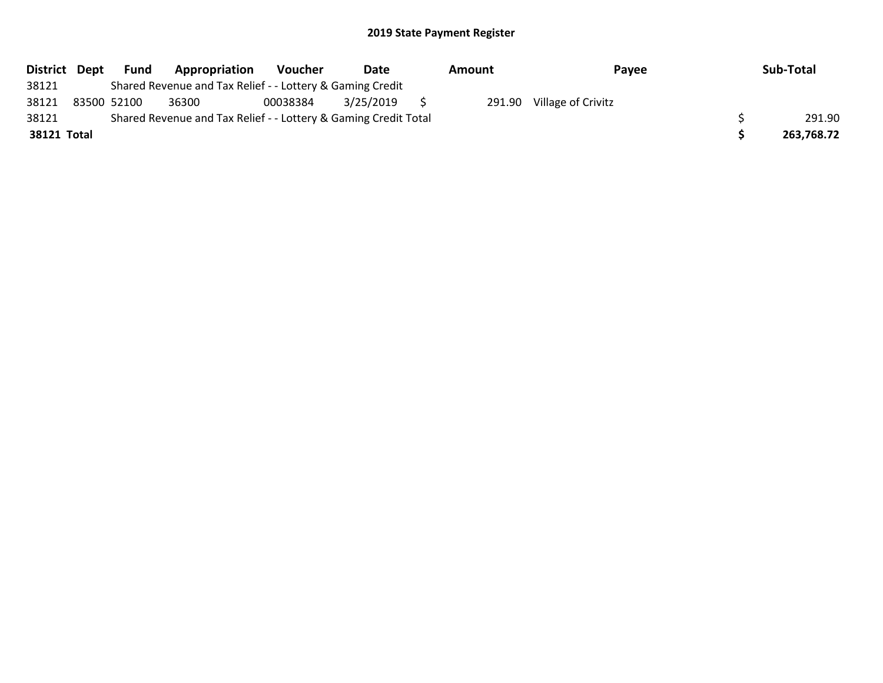| District Dept |             | Fund | Appropriation                                                   | <b>Voucher</b> | Date      | Amount | Payee              | Sub-Total  |
|---------------|-------------|------|-----------------------------------------------------------------|----------------|-----------|--------|--------------------|------------|
| 38121         |             |      | Shared Revenue and Tax Relief - - Lottery & Gaming Credit       |                |           |        |                    |            |
| 38121         | 83500 52100 |      | 36300                                                           | 00038384       | 3/25/2019 | 291.90 | Village of Crivitz |            |
| 38121         |             |      | Shared Revenue and Tax Relief - - Lottery & Gaming Credit Total |                |           |        |                    | 291.90     |
| 38121 Total   |             |      |                                                                 |                |           |        |                    | 263,768.72 |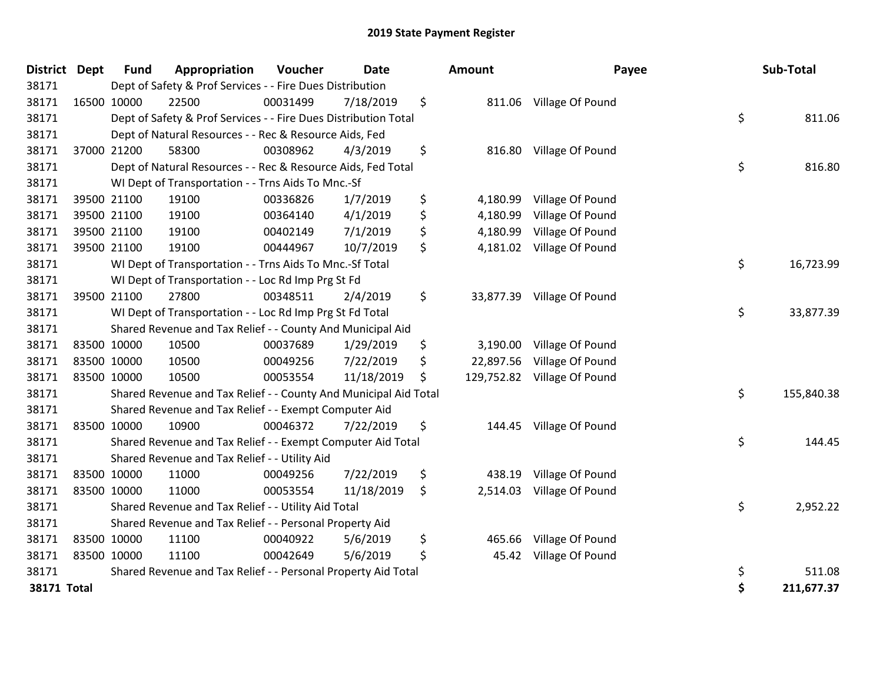| District Dept      |             | <b>Fund</b> | Appropriation                                                    | Voucher  | <b>Date</b> | Amount          | Payee                       | Sub-Total        |
|--------------------|-------------|-------------|------------------------------------------------------------------|----------|-------------|-----------------|-----------------------------|------------------|
| 38171              |             |             | Dept of Safety & Prof Services - - Fire Dues Distribution        |          |             |                 |                             |                  |
| 38171              | 16500 10000 |             | 22500                                                            | 00031499 | 7/18/2019   | \$              | 811.06 Village Of Pound     |                  |
| 38171              |             |             | Dept of Safety & Prof Services - - Fire Dues Distribution Total  |          |             |                 |                             | \$<br>811.06     |
| 38171              |             |             | Dept of Natural Resources - - Rec & Resource Aids, Fed           |          |             |                 |                             |                  |
| 38171              |             | 37000 21200 | 58300                                                            | 00308962 | 4/3/2019    | \$<br>816.80    | Village Of Pound            |                  |
| 38171              |             |             | Dept of Natural Resources - - Rec & Resource Aids, Fed Total     |          |             |                 |                             | \$<br>816.80     |
| 38171              |             |             | WI Dept of Transportation - - Trns Aids To Mnc.-Sf               |          |             |                 |                             |                  |
| 38171              |             | 39500 21100 | 19100                                                            | 00336826 | 1/7/2019    | \$<br>4,180.99  | Village Of Pound            |                  |
| 38171              |             | 39500 21100 | 19100                                                            | 00364140 | 4/1/2019    | \$<br>4,180.99  | Village Of Pound            |                  |
| 38171              |             | 39500 21100 | 19100                                                            | 00402149 | 7/1/2019    | \$<br>4,180.99  | Village Of Pound            |                  |
| 38171              |             | 39500 21100 | 19100                                                            | 00444967 | 10/7/2019   | \$<br>4,181.02  | Village Of Pound            |                  |
| 38171              |             |             | WI Dept of Transportation - - Trns Aids To Mnc.-Sf Total         |          |             |                 |                             | \$<br>16,723.99  |
| 38171              |             |             | WI Dept of Transportation - - Loc Rd Imp Prg St Fd               |          |             |                 |                             |                  |
| 38171              |             | 39500 21100 | 27800                                                            | 00348511 | 2/4/2019    | \$              | 33,877.39 Village Of Pound  |                  |
| 38171              |             |             | WI Dept of Transportation - - Loc Rd Imp Prg St Fd Total         |          |             |                 |                             | \$<br>33,877.39  |
| 38171              |             |             | Shared Revenue and Tax Relief - - County And Municipal Aid       |          |             |                 |                             |                  |
| 38171              |             | 83500 10000 | 10500                                                            | 00037689 | 1/29/2019   | \$<br>3,190.00  | Village Of Pound            |                  |
| 38171              |             | 83500 10000 | 10500                                                            | 00049256 | 7/22/2019   | \$<br>22,897.56 | Village Of Pound            |                  |
| 38171              |             | 83500 10000 | 10500                                                            | 00053554 | 11/18/2019  | \$              | 129,752.82 Village Of Pound |                  |
| 38171              |             |             | Shared Revenue and Tax Relief - - County And Municipal Aid Total |          |             |                 |                             | \$<br>155,840.38 |
| 38171              |             |             | Shared Revenue and Tax Relief - - Exempt Computer Aid            |          |             |                 |                             |                  |
| 38171              |             | 83500 10000 | 10900                                                            | 00046372 | 7/22/2019   | \$              | 144.45 Village Of Pound     |                  |
| 38171              |             |             | Shared Revenue and Tax Relief - - Exempt Computer Aid Total      |          |             |                 |                             | \$<br>144.45     |
| 38171              |             |             | Shared Revenue and Tax Relief - - Utility Aid                    |          |             |                 |                             |                  |
| 38171              |             | 83500 10000 | 11000                                                            | 00049256 | 7/22/2019   | \$<br>438.19    | Village Of Pound            |                  |
| 38171              |             | 83500 10000 | 11000                                                            | 00053554 | 11/18/2019  | \$<br>2,514.03  | Village Of Pound            |                  |
| 38171              |             |             | Shared Revenue and Tax Relief - - Utility Aid Total              |          |             |                 |                             | \$<br>2,952.22   |
| 38171              |             |             | Shared Revenue and Tax Relief - - Personal Property Aid          |          |             |                 |                             |                  |
| 38171              |             | 83500 10000 | 11100                                                            | 00040922 | 5/6/2019    | \$<br>465.66    | Village Of Pound            |                  |
| 38171              | 83500 10000 |             | 11100                                                            | 00042649 | 5/6/2019    | \$              | 45.42 Village Of Pound      |                  |
| 38171              |             |             | Shared Revenue and Tax Relief - - Personal Property Aid Total    |          |             |                 |                             | \$<br>511.08     |
| <b>38171 Total</b> |             |             |                                                                  |          |             |                 |                             | \$<br>211,677.37 |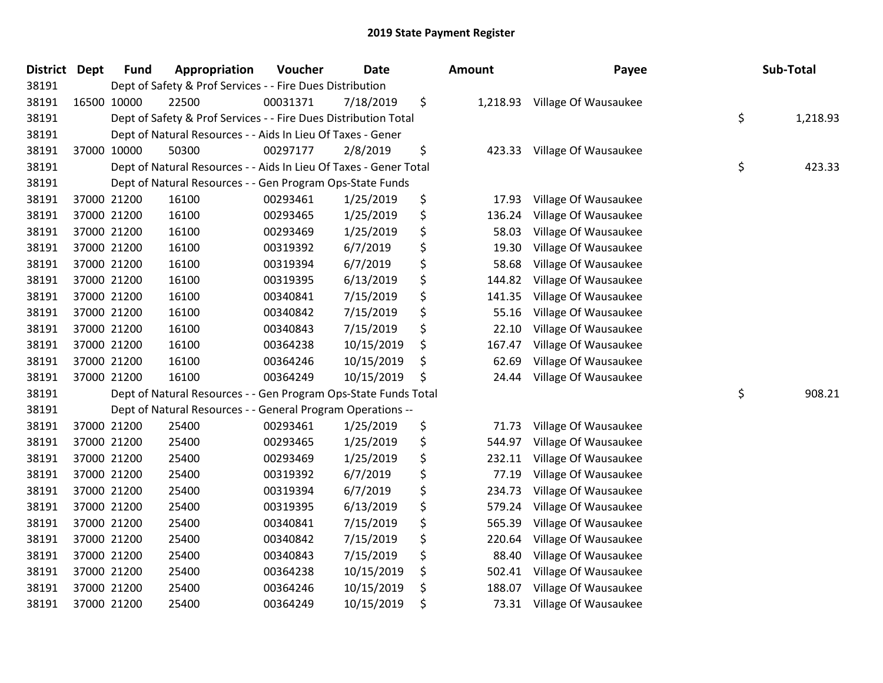| <b>District Dept</b> | <b>Fund</b> | Appropriation                                                     | Voucher  | <b>Date</b> | Amount         | Payee                | Sub-Total      |
|----------------------|-------------|-------------------------------------------------------------------|----------|-------------|----------------|----------------------|----------------|
| 38191                |             | Dept of Safety & Prof Services - - Fire Dues Distribution         |          |             |                |                      |                |
| 38191                | 16500 10000 | 22500                                                             | 00031371 | 7/18/2019   | \$<br>1,218.93 | Village Of Wausaukee |                |
| 38191                |             | Dept of Safety & Prof Services - - Fire Dues Distribution Total   |          |             |                |                      | \$<br>1,218.93 |
| 38191                |             | Dept of Natural Resources - - Aids In Lieu Of Taxes - Gener       |          |             |                |                      |                |
| 38191                | 37000 10000 | 50300                                                             | 00297177 | 2/8/2019    | \$<br>423.33   | Village Of Wausaukee |                |
| 38191                |             | Dept of Natural Resources - - Aids In Lieu Of Taxes - Gener Total |          |             |                |                      | \$<br>423.33   |
| 38191                |             | Dept of Natural Resources - - Gen Program Ops-State Funds         |          |             |                |                      |                |
| 38191                | 37000 21200 | 16100                                                             | 00293461 | 1/25/2019   | \$<br>17.93    | Village Of Wausaukee |                |
| 38191                | 37000 21200 | 16100                                                             | 00293465 | 1/25/2019   | \$<br>136.24   | Village Of Wausaukee |                |
| 38191                | 37000 21200 | 16100                                                             | 00293469 | 1/25/2019   | \$<br>58.03    | Village Of Wausaukee |                |
| 38191                | 37000 21200 | 16100                                                             | 00319392 | 6/7/2019    | \$<br>19.30    | Village Of Wausaukee |                |
| 38191                | 37000 21200 | 16100                                                             | 00319394 | 6/7/2019    | \$<br>58.68    | Village Of Wausaukee |                |
| 38191                | 37000 21200 | 16100                                                             | 00319395 | 6/13/2019   | \$<br>144.82   | Village Of Wausaukee |                |
| 38191                | 37000 21200 | 16100                                                             | 00340841 | 7/15/2019   | \$<br>141.35   | Village Of Wausaukee |                |
| 38191                | 37000 21200 | 16100                                                             | 00340842 | 7/15/2019   | \$<br>55.16    | Village Of Wausaukee |                |
| 38191                | 37000 21200 | 16100                                                             | 00340843 | 7/15/2019   | \$<br>22.10    | Village Of Wausaukee |                |
| 38191                | 37000 21200 | 16100                                                             | 00364238 | 10/15/2019  | \$<br>167.47   | Village Of Wausaukee |                |
| 38191                | 37000 21200 | 16100                                                             | 00364246 | 10/15/2019  | \$<br>62.69    | Village Of Wausaukee |                |
| 38191                | 37000 21200 | 16100                                                             | 00364249 | 10/15/2019  | \$<br>24.44    | Village Of Wausaukee |                |
| 38191                |             | Dept of Natural Resources - - Gen Program Ops-State Funds Total   |          |             |                |                      | \$<br>908.21   |
| 38191                |             | Dept of Natural Resources - - General Program Operations --       |          |             |                |                      |                |
| 38191                | 37000 21200 | 25400                                                             | 00293461 | 1/25/2019   | \$<br>71.73    | Village Of Wausaukee |                |
| 38191                | 37000 21200 | 25400                                                             | 00293465 | 1/25/2019   | \$<br>544.97   | Village Of Wausaukee |                |
| 38191                | 37000 21200 | 25400                                                             | 00293469 | 1/25/2019   | \$<br>232.11   | Village Of Wausaukee |                |
| 38191                | 37000 21200 | 25400                                                             | 00319392 | 6/7/2019    | \$<br>77.19    | Village Of Wausaukee |                |
| 38191                | 37000 21200 | 25400                                                             | 00319394 | 6/7/2019    | \$<br>234.73   | Village Of Wausaukee |                |
| 38191                | 37000 21200 | 25400                                                             | 00319395 | 6/13/2019   | \$<br>579.24   | Village Of Wausaukee |                |
| 38191                | 37000 21200 | 25400                                                             | 00340841 | 7/15/2019   | \$<br>565.39   | Village Of Wausaukee |                |
| 38191                | 37000 21200 | 25400                                                             | 00340842 | 7/15/2019   | \$<br>220.64   | Village Of Wausaukee |                |
| 38191                | 37000 21200 | 25400                                                             | 00340843 | 7/15/2019   | \$<br>88.40    | Village Of Wausaukee |                |
| 38191                | 37000 21200 | 25400                                                             | 00364238 | 10/15/2019  | \$<br>502.41   | Village Of Wausaukee |                |
| 38191                | 37000 21200 | 25400                                                             | 00364246 | 10/15/2019  | \$<br>188.07   | Village Of Wausaukee |                |
| 38191                | 37000 21200 | 25400                                                             | 00364249 | 10/15/2019  | \$<br>73.31    | Village Of Wausaukee |                |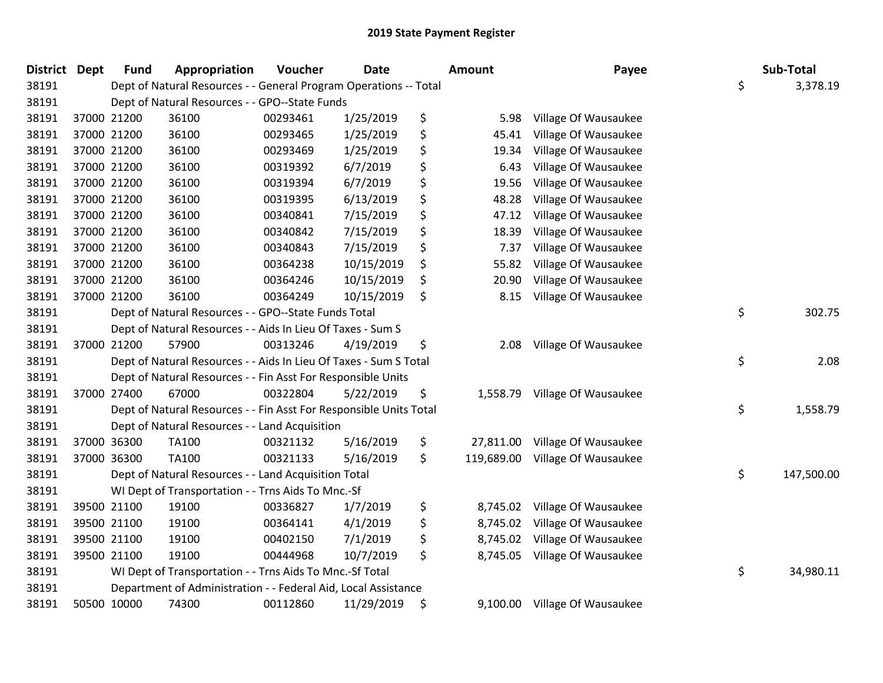| District Dept |             | <b>Fund</b> | Appropriation                                                      | Voucher  | <b>Date</b> | <b>Amount</b>    | Payee                          | Sub-Total        |
|---------------|-------------|-------------|--------------------------------------------------------------------|----------|-------------|------------------|--------------------------------|------------------|
| 38191         |             |             | Dept of Natural Resources - - General Program Operations -- Total  |          |             |                  |                                | \$<br>3,378.19   |
| 38191         |             |             | Dept of Natural Resources - - GPO--State Funds                     |          |             |                  |                                |                  |
| 38191         |             | 37000 21200 | 36100                                                              | 00293461 | 1/25/2019   | \$<br>5.98       | Village Of Wausaukee           |                  |
| 38191         |             | 37000 21200 | 36100                                                              | 00293465 | 1/25/2019   | \$<br>45.41      | Village Of Wausaukee           |                  |
| 38191         |             | 37000 21200 | 36100                                                              | 00293469 | 1/25/2019   | \$<br>19.34      | Village Of Wausaukee           |                  |
| 38191         |             | 37000 21200 | 36100                                                              | 00319392 | 6/7/2019    | \$<br>6.43       | Village Of Wausaukee           |                  |
| 38191         |             | 37000 21200 | 36100                                                              | 00319394 | 6/7/2019    | \$<br>19.56      | Village Of Wausaukee           |                  |
| 38191         |             | 37000 21200 | 36100                                                              | 00319395 | 6/13/2019   | \$<br>48.28      | Village Of Wausaukee           |                  |
| 38191         |             | 37000 21200 | 36100                                                              | 00340841 | 7/15/2019   | \$<br>47.12      | Village Of Wausaukee           |                  |
| 38191         |             | 37000 21200 | 36100                                                              | 00340842 | 7/15/2019   | \$<br>18.39      | Village Of Wausaukee           |                  |
| 38191         |             | 37000 21200 | 36100                                                              | 00340843 | 7/15/2019   | \$<br>7.37       | Village Of Wausaukee           |                  |
| 38191         |             | 37000 21200 | 36100                                                              | 00364238 | 10/15/2019  | \$<br>55.82      | Village Of Wausaukee           |                  |
| 38191         |             | 37000 21200 | 36100                                                              | 00364246 | 10/15/2019  | \$<br>20.90      | Village Of Wausaukee           |                  |
| 38191         | 37000 21200 |             | 36100                                                              | 00364249 | 10/15/2019  | \$<br>8.15       | Village Of Wausaukee           |                  |
| 38191         |             |             | Dept of Natural Resources - - GPO--State Funds Total               |          |             |                  |                                | \$<br>302.75     |
| 38191         |             |             | Dept of Natural Resources - - Aids In Lieu Of Taxes - Sum S        |          |             |                  |                                |                  |
| 38191         |             | 37000 21200 | 57900                                                              | 00313246 | 4/19/2019   | \$<br>2.08       | Village Of Wausaukee           |                  |
| 38191         |             |             | Dept of Natural Resources - - Aids In Lieu Of Taxes - Sum S Total  |          |             |                  |                                | \$<br>2.08       |
| 38191         |             |             | Dept of Natural Resources - - Fin Asst For Responsible Units       |          |             |                  |                                |                  |
| 38191         |             | 37000 27400 | 67000                                                              | 00322804 | 5/22/2019   | \$               | 1,558.79 Village Of Wausaukee  |                  |
| 38191         |             |             | Dept of Natural Resources - - Fin Asst For Responsible Units Total |          |             |                  |                                | \$<br>1,558.79   |
| 38191         |             |             | Dept of Natural Resources - - Land Acquisition                     |          |             |                  |                                |                  |
| 38191         |             | 37000 36300 | <b>TA100</b>                                                       | 00321132 | 5/16/2019   | \$               | 27,811.00 Village Of Wausaukee |                  |
| 38191         |             | 37000 36300 | <b>TA100</b>                                                       | 00321133 | 5/16/2019   | \$<br>119,689.00 | Village Of Wausaukee           |                  |
| 38191         |             |             | Dept of Natural Resources - - Land Acquisition Total               |          |             |                  |                                | \$<br>147,500.00 |
| 38191         |             |             | WI Dept of Transportation - - Trns Aids To Mnc.-Sf                 |          |             |                  |                                |                  |
| 38191         |             | 39500 21100 | 19100                                                              | 00336827 | 1/7/2019    | \$<br>8,745.02   | Village Of Wausaukee           |                  |
| 38191         |             | 39500 21100 | 19100                                                              | 00364141 | 4/1/2019    | \$               | 8,745.02 Village Of Wausaukee  |                  |
| 38191         |             | 39500 21100 | 19100                                                              | 00402150 | 7/1/2019    | \$<br>8,745.02   | Village Of Wausaukee           |                  |
| 38191         |             | 39500 21100 | 19100                                                              | 00444968 | 10/7/2019   | \$               | 8,745.05 Village Of Wausaukee  |                  |
| 38191         |             |             | WI Dept of Transportation - - Trns Aids To Mnc.-Sf Total           |          |             |                  |                                | \$<br>34,980.11  |
| 38191         |             |             | Department of Administration - - Federal Aid, Local Assistance     |          |             |                  |                                |                  |
| 38191         |             | 50500 10000 | 74300                                                              | 00112860 | 11/29/2019  | \$               | 9,100.00 Village Of Wausaukee  |                  |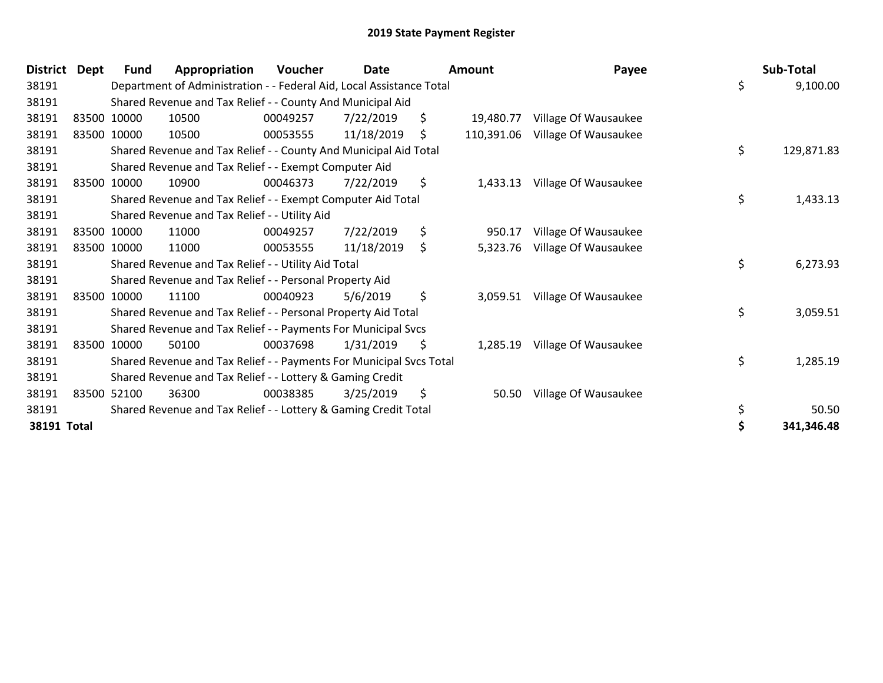| <b>District</b> | <b>Dept</b> | Fund        | Appropriation                                                        | Voucher  | Date       | <b>Amount</b>    | Payee                |    | Sub-Total  |
|-----------------|-------------|-------------|----------------------------------------------------------------------|----------|------------|------------------|----------------------|----|------------|
| 38191           |             |             | Department of Administration - - Federal Aid, Local Assistance Total |          |            |                  |                      | \$ | 9,100.00   |
| 38191           |             |             | Shared Revenue and Tax Relief - - County And Municipal Aid           |          |            |                  |                      |    |            |
| 38191           |             | 83500 10000 | 10500                                                                | 00049257 | 7/22/2019  | \$<br>19,480.77  | Village Of Wausaukee |    |            |
| 38191           |             | 83500 10000 | 10500                                                                | 00053555 | 11/18/2019 | \$<br>110,391.06 | Village Of Wausaukee |    |            |
| 38191           |             |             | Shared Revenue and Tax Relief - - County And Municipal Aid Total     |          |            |                  |                      | \$ | 129,871.83 |
| 38191           |             |             | Shared Revenue and Tax Relief - - Exempt Computer Aid                |          |            |                  |                      |    |            |
| 38191           |             | 83500 10000 | 10900                                                                | 00046373 | 7/22/2019  | \$<br>1,433.13   | Village Of Wausaukee |    |            |
| 38191           |             |             | Shared Revenue and Tax Relief - - Exempt Computer Aid Total          |          |            |                  |                      | \$ | 1,433.13   |
| 38191           |             |             | Shared Revenue and Tax Relief - - Utility Aid                        |          |            |                  |                      |    |            |
| 38191           |             | 83500 10000 | 11000                                                                | 00049257 | 7/22/2019  | \$<br>950.17     | Village Of Wausaukee |    |            |
| 38191           |             | 83500 10000 | 11000                                                                | 00053555 | 11/18/2019 | \$<br>5,323.76   | Village Of Wausaukee |    |            |
| 38191           |             |             | Shared Revenue and Tax Relief - - Utility Aid Total                  |          |            |                  |                      | \$ | 6,273.93   |
| 38191           |             |             | Shared Revenue and Tax Relief - - Personal Property Aid              |          |            |                  |                      |    |            |
| 38191           |             | 83500 10000 | 11100                                                                | 00040923 | 5/6/2019   | \$<br>3,059.51   | Village Of Wausaukee |    |            |
| 38191           |             |             | Shared Revenue and Tax Relief - - Personal Property Aid Total        |          |            |                  |                      | \$ | 3,059.51   |
| 38191           |             |             | Shared Revenue and Tax Relief - - Payments For Municipal Svcs        |          |            |                  |                      |    |            |
| 38191           |             | 83500 10000 | 50100                                                                | 00037698 | 1/31/2019  | \$<br>1,285.19   | Village Of Wausaukee |    |            |
| 38191           |             |             | Shared Revenue and Tax Relief - - Payments For Municipal Svcs Total  |          |            |                  |                      | \$ | 1,285.19   |
| 38191           |             |             | Shared Revenue and Tax Relief - - Lottery & Gaming Credit            |          |            |                  |                      |    |            |
| 38191           |             | 83500 52100 | 36300                                                                | 00038385 | 3/25/2019  | \$<br>50.50      | Village Of Wausaukee |    |            |
| 38191           |             |             | Shared Revenue and Tax Relief - - Lottery & Gaming Credit Total      |          |            |                  |                      | \$ | 50.50      |
| 38191 Total     |             |             |                                                                      |          |            |                  |                      | S  | 341,346.48 |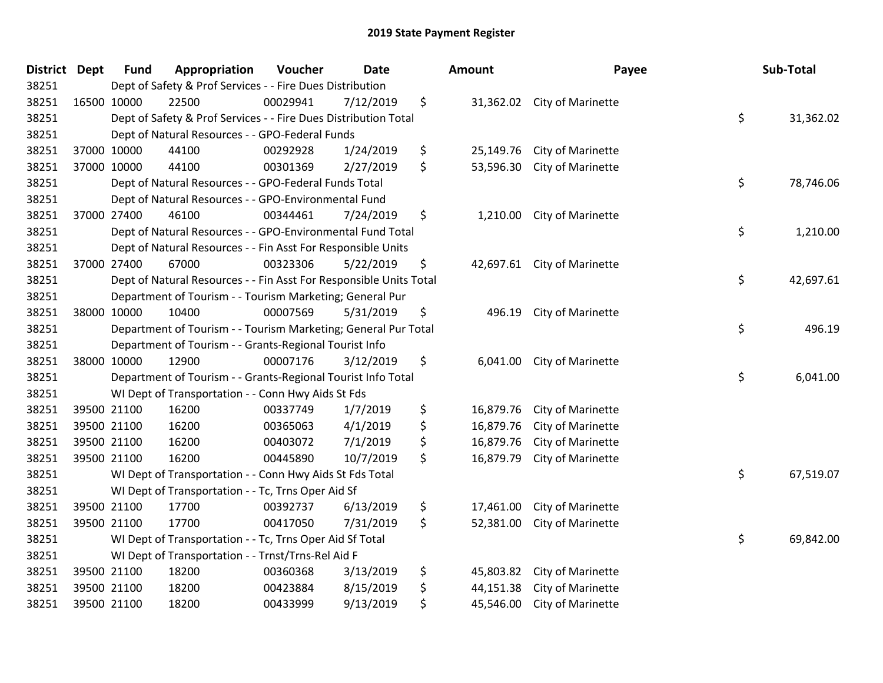| <b>District Dept</b> |             | <b>Fund</b> | Appropriation                                                      | Voucher  | <b>Date</b> | Amount          | Payee                       | Sub-Total       |
|----------------------|-------------|-------------|--------------------------------------------------------------------|----------|-------------|-----------------|-----------------------------|-----------------|
| 38251                |             |             | Dept of Safety & Prof Services - - Fire Dues Distribution          |          |             |                 |                             |                 |
| 38251                | 16500 10000 |             | 22500                                                              | 00029941 | 7/12/2019   | \$              | 31,362.02 City of Marinette |                 |
| 38251                |             |             | Dept of Safety & Prof Services - - Fire Dues Distribution Total    |          |             |                 |                             | \$<br>31,362.02 |
| 38251                |             |             | Dept of Natural Resources - - GPO-Federal Funds                    |          |             |                 |                             |                 |
| 38251                |             | 37000 10000 | 44100                                                              | 00292928 | 1/24/2019   | \$<br>25,149.76 | City of Marinette           |                 |
| 38251                |             | 37000 10000 | 44100                                                              | 00301369 | 2/27/2019   | \$<br>53,596.30 | City of Marinette           |                 |
| 38251                |             |             | Dept of Natural Resources - - GPO-Federal Funds Total              |          |             |                 |                             | \$<br>78,746.06 |
| 38251                |             |             | Dept of Natural Resources - - GPO-Environmental Fund               |          |             |                 |                             |                 |
| 38251                |             | 37000 27400 | 46100                                                              | 00344461 | 7/24/2019   | \$<br>1,210.00  | City of Marinette           |                 |
| 38251                |             |             | Dept of Natural Resources - - GPO-Environmental Fund Total         |          |             |                 |                             | \$<br>1,210.00  |
| 38251                |             |             | Dept of Natural Resources - - Fin Asst For Responsible Units       |          |             |                 |                             |                 |
| 38251                |             | 37000 27400 | 67000                                                              | 00323306 | 5/22/2019   | \$              | 42,697.61 City of Marinette |                 |
| 38251                |             |             | Dept of Natural Resources - - Fin Asst For Responsible Units Total |          |             |                 |                             | \$<br>42,697.61 |
| 38251                |             |             | Department of Tourism - - Tourism Marketing; General Pur           |          |             |                 |                             |                 |
| 38251                |             | 38000 10000 | 10400                                                              | 00007569 | 5/31/2019   | \$<br>496.19    | City of Marinette           |                 |
| 38251                |             |             | Department of Tourism - - Tourism Marketing; General Pur Total     |          |             |                 |                             | \$<br>496.19    |
| 38251                |             |             | Department of Tourism - - Grants-Regional Tourist Info             |          |             |                 |                             |                 |
| 38251                |             | 38000 10000 | 12900                                                              | 00007176 | 3/12/2019   | \$<br>6,041.00  | City of Marinette           |                 |
| 38251                |             |             | Department of Tourism - - Grants-Regional Tourist Info Total       |          |             |                 |                             | \$<br>6,041.00  |
| 38251                |             |             | WI Dept of Transportation - - Conn Hwy Aids St Fds                 |          |             |                 |                             |                 |
| 38251                |             | 39500 21100 | 16200                                                              | 00337749 | 1/7/2019    | \$<br>16,879.76 | City of Marinette           |                 |
| 38251                |             | 39500 21100 | 16200                                                              | 00365063 | 4/1/2019    | \$<br>16,879.76 | City of Marinette           |                 |
| 38251                |             | 39500 21100 | 16200                                                              | 00403072 | 7/1/2019    | \$<br>16,879.76 | City of Marinette           |                 |
| 38251                |             | 39500 21100 | 16200                                                              | 00445890 | 10/7/2019   | \$<br>16,879.79 | City of Marinette           |                 |
| 38251                |             |             | WI Dept of Transportation - - Conn Hwy Aids St Fds Total           |          |             |                 |                             | \$<br>67,519.07 |
| 38251                |             |             | WI Dept of Transportation - - Tc, Trns Oper Aid Sf                 |          |             |                 |                             |                 |
| 38251                |             | 39500 21100 | 17700                                                              | 00392737 | 6/13/2019   | \$<br>17,461.00 | City of Marinette           |                 |
| 38251                |             | 39500 21100 | 17700                                                              | 00417050 | 7/31/2019   | \$<br>52,381.00 | City of Marinette           |                 |
| 38251                |             |             | WI Dept of Transportation - - Tc, Trns Oper Aid Sf Total           |          |             |                 |                             | \$<br>69,842.00 |
| 38251                |             |             | WI Dept of Transportation - - Trnst/Trns-Rel Aid F                 |          |             |                 |                             |                 |
| 38251                |             | 39500 21100 | 18200                                                              | 00360368 | 3/13/2019   | \$<br>45,803.82 | City of Marinette           |                 |
| 38251                |             | 39500 21100 | 18200                                                              | 00423884 | 8/15/2019   | \$<br>44,151.38 | City of Marinette           |                 |
| 38251                |             | 39500 21100 | 18200                                                              | 00433999 | 9/13/2019   | \$<br>45,546.00 | City of Marinette           |                 |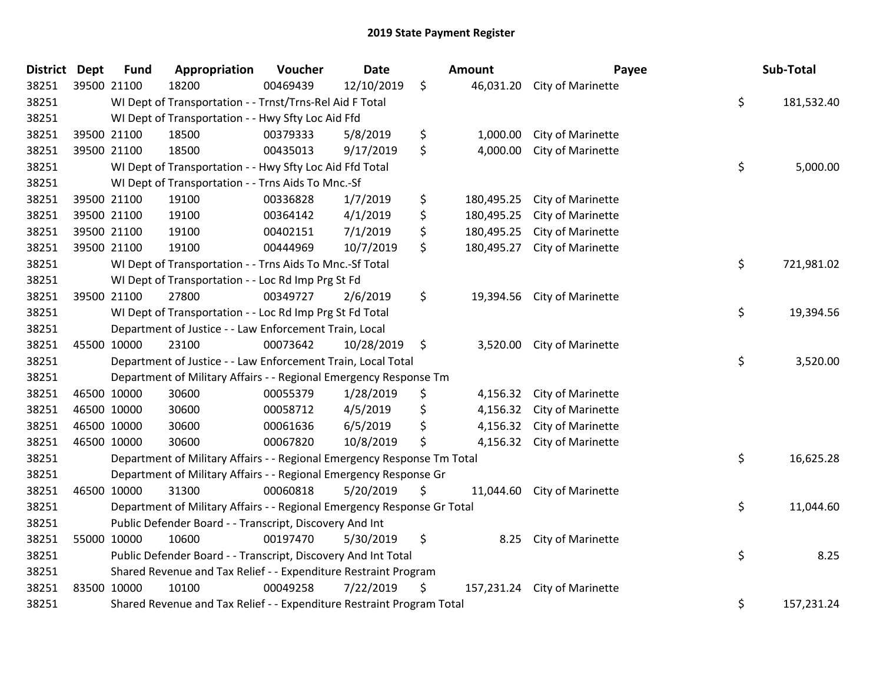| <b>District Dept</b> |             | <b>Fund</b> | Appropriation                                                           | Voucher  | <b>Date</b> | <b>Amount</b>    | Payee                       | Sub-Total        |
|----------------------|-------------|-------------|-------------------------------------------------------------------------|----------|-------------|------------------|-----------------------------|------------------|
| 38251                | 39500 21100 |             | 18200                                                                   | 00469439 | 12/10/2019  | \$               | 46,031.20 City of Marinette |                  |
| 38251                |             |             | WI Dept of Transportation - - Trnst/Trns-Rel Aid F Total                |          |             |                  |                             | \$<br>181,532.40 |
| 38251                |             |             | WI Dept of Transportation - - Hwy Sfty Loc Aid Ffd                      |          |             |                  |                             |                  |
| 38251                | 39500 21100 |             | 18500                                                                   | 00379333 | 5/8/2019    | \$<br>1,000.00   | City of Marinette           |                  |
| 38251                | 39500 21100 |             | 18500                                                                   | 00435013 | 9/17/2019   | \$<br>4,000.00   | City of Marinette           |                  |
| 38251                |             |             | WI Dept of Transportation - - Hwy Sfty Loc Aid Ffd Total                |          |             |                  |                             | \$<br>5,000.00   |
| 38251                |             |             | WI Dept of Transportation - - Trns Aids To Mnc.-Sf                      |          |             |                  |                             |                  |
| 38251                |             | 39500 21100 | 19100                                                                   | 00336828 | 1/7/2019    | \$<br>180,495.25 | City of Marinette           |                  |
| 38251                | 39500 21100 |             | 19100                                                                   | 00364142 | 4/1/2019    | \$<br>180,495.25 | City of Marinette           |                  |
| 38251                | 39500 21100 |             | 19100                                                                   | 00402151 | 7/1/2019    | \$<br>180,495.25 | City of Marinette           |                  |
| 38251                | 39500 21100 |             | 19100                                                                   | 00444969 | 10/7/2019   | \$<br>180,495.27 | City of Marinette           |                  |
| 38251                |             |             | WI Dept of Transportation - - Trns Aids To Mnc.-Sf Total                |          |             |                  |                             | \$<br>721,981.02 |
| 38251                |             |             | WI Dept of Transportation - - Loc Rd Imp Prg St Fd                      |          |             |                  |                             |                  |
| 38251                | 39500 21100 |             | 27800                                                                   | 00349727 | 2/6/2019    | \$<br>19,394.56  | City of Marinette           |                  |
| 38251                |             |             | WI Dept of Transportation - - Loc Rd Imp Prg St Fd Total                |          |             |                  |                             | \$<br>19,394.56  |
| 38251                |             |             | Department of Justice - - Law Enforcement Train, Local                  |          |             |                  |                             |                  |
| 38251                | 45500 10000 |             | 23100                                                                   | 00073642 | 10/28/2019  | \$<br>3,520.00   | City of Marinette           |                  |
| 38251                |             |             | Department of Justice - - Law Enforcement Train, Local Total            |          |             |                  |                             | \$<br>3,520.00   |
| 38251                |             |             | Department of Military Affairs - - Regional Emergency Response Tm       |          |             |                  |                             |                  |
| 38251                | 46500 10000 |             | 30600                                                                   | 00055379 | 1/28/2019   | \$<br>4,156.32   | City of Marinette           |                  |
| 38251                |             | 46500 10000 | 30600                                                                   | 00058712 | 4/5/2019    | \$<br>4,156.32   | City of Marinette           |                  |
| 38251                | 46500 10000 |             | 30600                                                                   | 00061636 | 6/5/2019    | \$<br>4,156.32   | City of Marinette           |                  |
| 38251                | 46500 10000 |             | 30600                                                                   | 00067820 | 10/8/2019   | \$<br>4,156.32   | City of Marinette           |                  |
| 38251                |             |             | Department of Military Affairs - - Regional Emergency Response Tm Total |          |             |                  |                             | \$<br>16,625.28  |
| 38251                |             |             | Department of Military Affairs - - Regional Emergency Response Gr       |          |             |                  |                             |                  |
| 38251                | 46500 10000 |             | 31300                                                                   | 00060818 | 5/20/2019   | \$               | 11,044.60 City of Marinette |                  |
| 38251                |             |             | Department of Military Affairs - - Regional Emergency Response Gr Total |          |             |                  |                             | \$<br>11,044.60  |
| 38251                |             |             | Public Defender Board - - Transcript, Discovery And Int                 |          |             |                  |                             |                  |
| 38251                | 55000 10000 |             | 10600                                                                   | 00197470 | 5/30/2019   | \$<br>8.25       | City of Marinette           |                  |
| 38251                |             |             | Public Defender Board - - Transcript, Discovery And Int Total           |          |             |                  |                             | \$<br>8.25       |
| 38251                |             |             | Shared Revenue and Tax Relief - - Expenditure Restraint Program         |          |             |                  |                             |                  |
| 38251                | 83500 10000 |             | 10100                                                                   | 00049258 | 7/22/2019   | \$<br>157,231.24 | City of Marinette           |                  |
| 38251                |             |             | Shared Revenue and Tax Relief - - Expenditure Restraint Program Total   |          |             |                  |                             | \$<br>157,231.24 |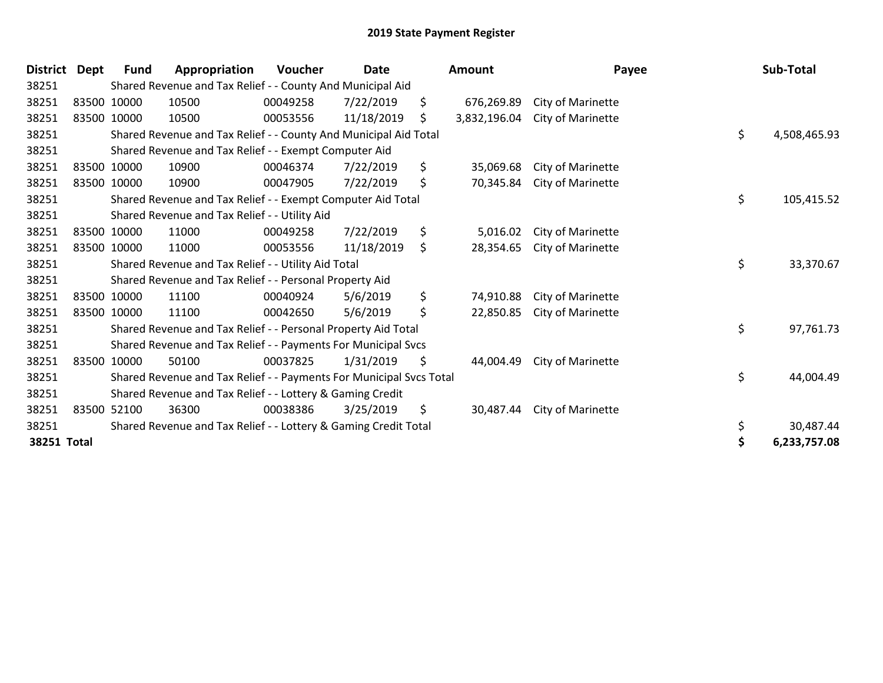| <b>District</b> | <b>Dept</b> | <b>Fund</b> | Appropriation                                                       | Voucher  | Date       | Amount             | Payee                    | Sub-Total          |
|-----------------|-------------|-------------|---------------------------------------------------------------------|----------|------------|--------------------|--------------------------|--------------------|
| 38251           |             |             | Shared Revenue and Tax Relief - - County And Municipal Aid          |          |            |                    |                          |                    |
| 38251           |             | 83500 10000 | 10500                                                               | 00049258 | 7/22/2019  | \$<br>676,269.89   | <b>City of Marinette</b> |                    |
| 38251           | 83500 10000 |             | 10500                                                               | 00053556 | 11/18/2019 | \$<br>3,832,196.04 | City of Marinette        |                    |
| 38251           |             |             | Shared Revenue and Tax Relief - - County And Municipal Aid Total    |          |            |                    |                          | \$<br>4,508,465.93 |
| 38251           |             |             | Shared Revenue and Tax Relief - - Exempt Computer Aid               |          |            |                    |                          |                    |
| 38251           |             | 83500 10000 | 10900                                                               | 00046374 | 7/22/2019  | \$<br>35,069.68    | City of Marinette        |                    |
| 38251           |             | 83500 10000 | 10900                                                               | 00047905 | 7/22/2019  | \$<br>70,345.84    | City of Marinette        |                    |
| 38251           |             |             | Shared Revenue and Tax Relief - - Exempt Computer Aid Total         |          |            |                    |                          | \$<br>105,415.52   |
| 38251           |             |             | Shared Revenue and Tax Relief - - Utility Aid                       |          |            |                    |                          |                    |
| 38251           |             | 83500 10000 | 11000                                                               | 00049258 | 7/22/2019  | \$<br>5,016.02     | City of Marinette        |                    |
| 38251           |             | 83500 10000 | 11000                                                               | 00053556 | 11/18/2019 | \$<br>28,354.65    | City of Marinette        |                    |
| 38251           |             |             | Shared Revenue and Tax Relief - - Utility Aid Total                 |          |            |                    |                          | \$<br>33,370.67    |
| 38251           |             |             | Shared Revenue and Tax Relief - - Personal Property Aid             |          |            |                    |                          |                    |
| 38251           |             | 83500 10000 | 11100                                                               | 00040924 | 5/6/2019   | \$<br>74,910.88    | City of Marinette        |                    |
| 38251           |             | 83500 10000 | 11100                                                               | 00042650 | 5/6/2019   | \$<br>22,850.85    | City of Marinette        |                    |
| 38251           |             |             | Shared Revenue and Tax Relief - - Personal Property Aid Total       |          |            |                    |                          | \$<br>97,761.73    |
| 38251           |             |             | Shared Revenue and Tax Relief - - Payments For Municipal Svcs       |          |            |                    |                          |                    |
| 38251           |             | 83500 10000 | 50100                                                               | 00037825 | 1/31/2019  | \$<br>44,004.49    | City of Marinette        |                    |
| 38251           |             |             | Shared Revenue and Tax Relief - - Payments For Municipal Svcs Total |          |            |                    |                          | \$<br>44,004.49    |
| 38251           |             |             | Shared Revenue and Tax Relief - - Lottery & Gaming Credit           |          |            |                    |                          |                    |
| 38251           |             | 83500 52100 | 36300                                                               | 00038386 | 3/25/2019  | \$<br>30,487.44    | City of Marinette        |                    |
| 38251           |             |             | Shared Revenue and Tax Relief - - Lottery & Gaming Credit Total     |          |            |                    |                          | \$<br>30,487.44    |
| 38251 Total     |             |             |                                                                     |          |            |                    |                          | \$<br>6,233,757.08 |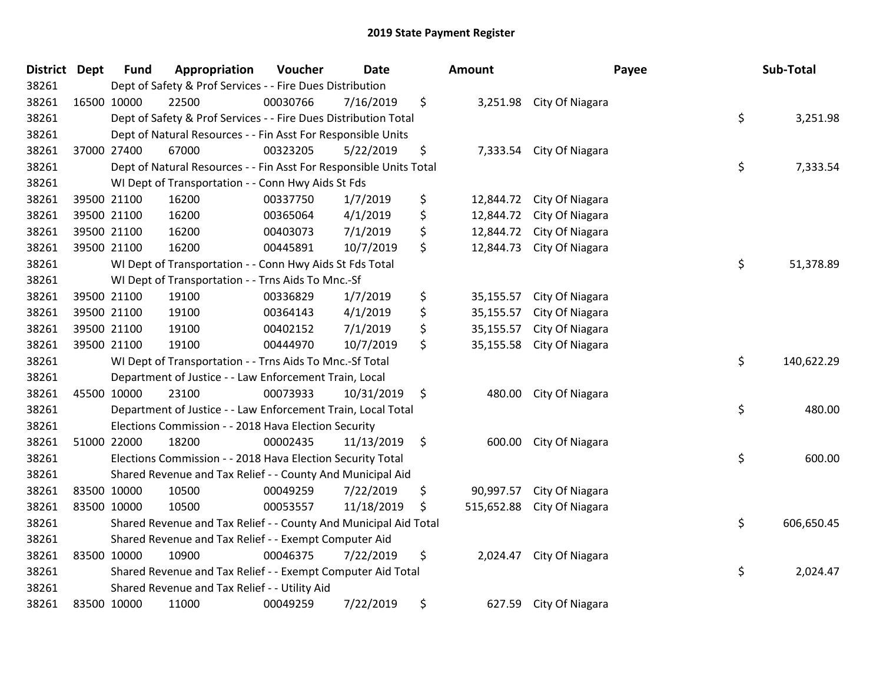| District Dept |             | <b>Fund</b>                                                                  | Appropriation                                                                 | Voucher  | <b>Date</b> |     | <b>Amount</b> |                          | Payee | Sub-Total  |  |
|---------------|-------------|------------------------------------------------------------------------------|-------------------------------------------------------------------------------|----------|-------------|-----|---------------|--------------------------|-------|------------|--|
| 38261         |             | Dept of Safety & Prof Services - - Fire Dues Distribution                    |                                                                               |          |             |     |               |                          |       |            |  |
| 38261         | 16500 10000 |                                                                              | 22500                                                                         | 00030766 | 7/16/2019   | \$  |               | 3,251.98 City Of Niagara |       |            |  |
| 38261         |             | \$<br>Dept of Safety & Prof Services - - Fire Dues Distribution Total        |                                                                               |          |             |     |               |                          |       | 3,251.98   |  |
| 38261         |             | Dept of Natural Resources - - Fin Asst For Responsible Units                 |                                                                               |          |             |     |               |                          |       |            |  |
| 38261         | 37000 27400 |                                                                              | 67000                                                                         | 00323205 | 5/22/2019   | \$  | 7,333.54      | City Of Niagara          |       |            |  |
| 38261         |             |                                                                              | Dept of Natural Resources - - Fin Asst For Responsible Units Total            |          |             |     |               |                          | \$    | 7,333.54   |  |
| 38261         |             |                                                                              | WI Dept of Transportation - - Conn Hwy Aids St Fds                            |          |             |     |               |                          |       |            |  |
| 38261         | 39500 21100 |                                                                              | 16200                                                                         | 00337750 | 1/7/2019    | \$  | 12,844.72     | City Of Niagara          |       |            |  |
| 38261         | 39500 21100 |                                                                              | 16200                                                                         | 00365064 | 4/1/2019    | \$  | 12,844.72     | City Of Niagara          |       |            |  |
| 38261         | 39500 21100 |                                                                              | 16200                                                                         | 00403073 | 7/1/2019    | \$  | 12,844.72     | City Of Niagara          |       |            |  |
| 38261         | 39500 21100 |                                                                              | 16200                                                                         | 00445891 | 10/7/2019   | \$  | 12,844.73     | City Of Niagara          |       |            |  |
| 38261         |             |                                                                              | WI Dept of Transportation - - Conn Hwy Aids St Fds Total                      |          |             |     |               |                          | \$    | 51,378.89  |  |
| 38261         |             |                                                                              | WI Dept of Transportation - - Trns Aids To Mnc.-Sf                            |          |             |     |               |                          |       |            |  |
| 38261         |             | 39500 21100                                                                  | 19100                                                                         | 00336829 | 1/7/2019    | \$  | 35,155.57     | City Of Niagara          |       |            |  |
| 38261         | 39500 21100 |                                                                              | 19100                                                                         | 00364143 | 4/1/2019    | \$  | 35,155.57     | City Of Niagara          |       |            |  |
| 38261         |             | 39500 21100                                                                  | 19100                                                                         | 00402152 | 7/1/2019    | \$  | 35,155.57     | City Of Niagara          |       |            |  |
| 38261         | 39500 21100 |                                                                              | 19100                                                                         | 00444970 | 10/7/2019   | \$  | 35,155.58     | City Of Niagara          |       |            |  |
| 38261         |             | \$<br>140,622.29<br>WI Dept of Transportation - - Trns Aids To Mnc.-Sf Total |                                                                               |          |             |     |               |                          |       |            |  |
| 38261         |             |                                                                              | Department of Justice - - Law Enforcement Train, Local                        |          |             |     |               |                          |       |            |  |
| 38261         | 45500 10000 |                                                                              | 23100                                                                         | 00073933 | 10/31/2019  | \$  | 480.00        | City Of Niagara          |       |            |  |
| 38261         |             |                                                                              | Department of Justice - - Law Enforcement Train, Local Total                  |          |             |     |               |                          | \$    | 480.00     |  |
| 38261         |             |                                                                              | Elections Commission - - 2018 Hava Election Security                          |          |             |     |               |                          |       |            |  |
| 38261         | 51000 22000 |                                                                              | 18200                                                                         | 00002435 | 11/13/2019  | -\$ | 600.00        | City Of Niagara          |       |            |  |
| 38261         |             |                                                                              | Elections Commission - - 2018 Hava Election Security Total                    |          |             |     |               |                          | \$    | 600.00     |  |
| 38261         |             |                                                                              | Shared Revenue and Tax Relief - - County And Municipal Aid                    |          |             |     |               |                          |       |            |  |
| 38261         | 83500 10000 |                                                                              | 10500                                                                         | 00049259 | 7/22/2019   | \$  | 90,997.57     | City Of Niagara          |       |            |  |
| 38261         | 83500 10000 |                                                                              | 10500                                                                         | 00053557 | 11/18/2019  | \$  | 515,652.88    | City Of Niagara          |       |            |  |
| 38261         |             |                                                                              | Shared Revenue and Tax Relief - - County And Municipal Aid Total              |          |             |     |               |                          | \$    | 606,650.45 |  |
| 38261         |             | Shared Revenue and Tax Relief - - Exempt Computer Aid                        |                                                                               |          |             |     |               |                          |       |            |  |
| 38261         | 83500 10000 |                                                                              | 10900                                                                         | 00046375 | 7/22/2019   | \$  | 2,024.47      | City Of Niagara          |       |            |  |
| 38261         |             |                                                                              | \$<br>Shared Revenue and Tax Relief - - Exempt Computer Aid Total<br>2,024.47 |          |             |     |               |                          |       |            |  |
| 38261         |             |                                                                              | Shared Revenue and Tax Relief - - Utility Aid                                 |          |             |     |               |                          |       |            |  |
| 38261         | 83500 10000 |                                                                              | 11000                                                                         | 00049259 | 7/22/2019   | \$  | 627.59        | City Of Niagara          |       |            |  |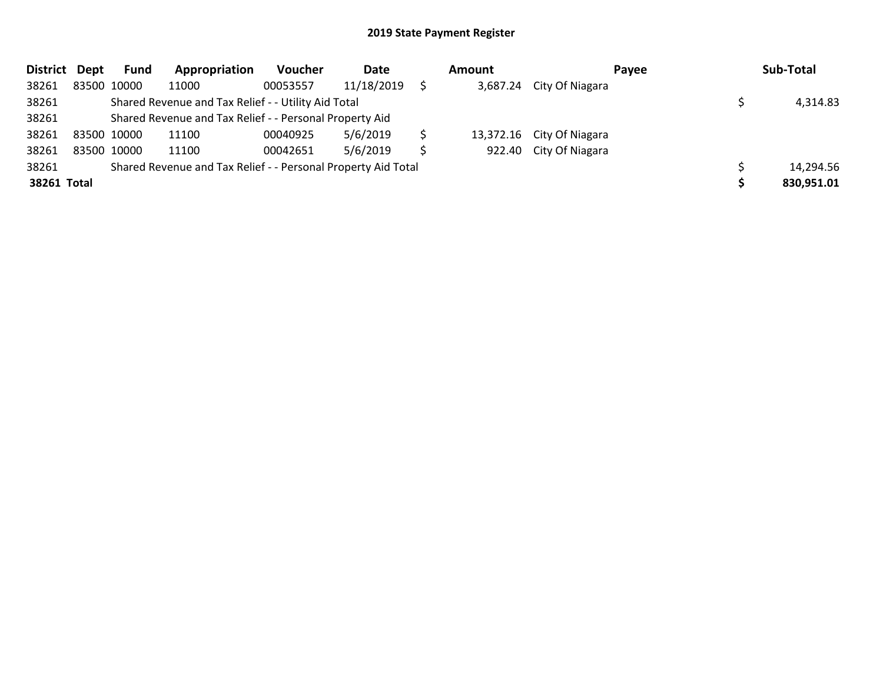| District Dept |                                                     | Fund                                                          | Appropriation                                           | Voucher  | Date       |  | Amount | Payee                     |  | Sub-Total  |  |
|---------------|-----------------------------------------------------|---------------------------------------------------------------|---------------------------------------------------------|----------|------------|--|--------|---------------------------|--|------------|--|
| 38261         |                                                     | 83500 10000                                                   | 11000                                                   | 00053557 | 11/18/2019 |  |        | 3,687.24 City Of Niagara  |  |            |  |
| 38261         | Shared Revenue and Tax Relief - - Utility Aid Total |                                                               |                                                         |          |            |  |        |                           |  | 4,314.83   |  |
| 38261         |                                                     |                                                               | Shared Revenue and Tax Relief - - Personal Property Aid |          |            |  |        |                           |  |            |  |
| 38261         |                                                     | 83500 10000                                                   | 11100                                                   | 00040925 | 5/6/2019   |  |        | 13,372.16 City Of Niagara |  |            |  |
| 38261         |                                                     | 83500 10000                                                   | 11100                                                   | 00042651 | 5/6/2019   |  |        | 922.40 City Of Niagara    |  |            |  |
| 38261         |                                                     | Shared Revenue and Tax Relief - - Personal Property Aid Total |                                                         |          |            |  |        |                           |  |            |  |
| 38261 Total   |                                                     |                                                               |                                                         |          |            |  |        |                           |  | 830,951.01 |  |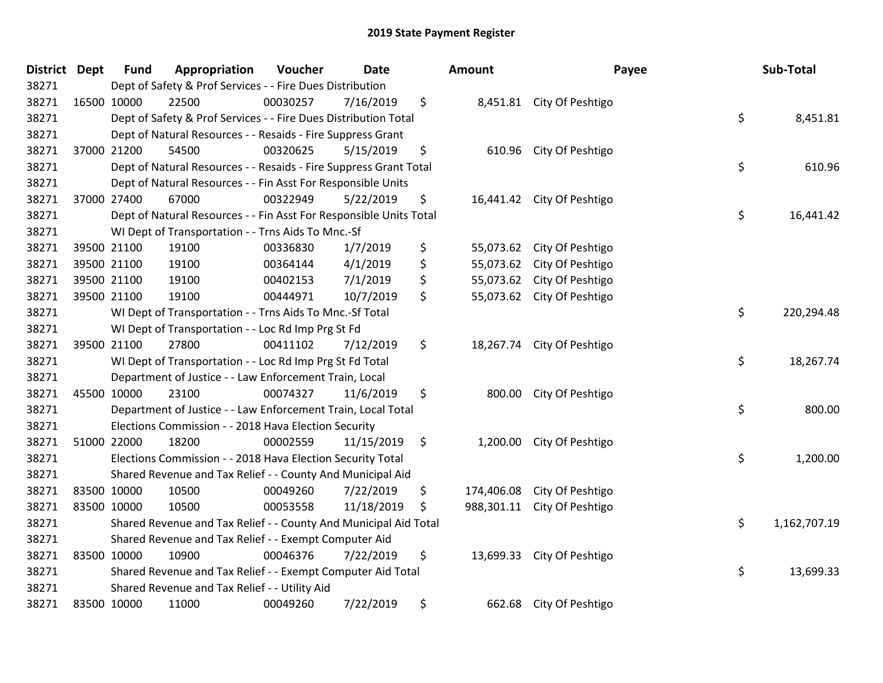| <b>District</b> | <b>Dept</b> | <b>Fund</b>                                                           | Appropriation                                                      | Voucher  | <b>Date</b> |      | Amount     | Payee                      |    | Sub-Total    |  |
|-----------------|-------------|-----------------------------------------------------------------------|--------------------------------------------------------------------|----------|-------------|------|------------|----------------------------|----|--------------|--|
| 38271           |             | Dept of Safety & Prof Services - - Fire Dues Distribution             |                                                                    |          |             |      |            |                            |    |              |  |
| 38271           |             | 16500 10000                                                           | 22500                                                              | 00030257 | 7/16/2019   | \$   |            | 8,451.81 City Of Peshtigo  |    |              |  |
| 38271           |             | \$<br>Dept of Safety & Prof Services - - Fire Dues Distribution Total |                                                                    |          |             |      |            |                            |    | 8,451.81     |  |
| 38271           |             | Dept of Natural Resources - - Resaids - Fire Suppress Grant           |                                                                    |          |             |      |            |                            |    |              |  |
| 38271           |             | 37000 21200                                                           | 54500                                                              | 00320625 | 5/15/2019   | \$   | 610.96     | City Of Peshtigo           |    |              |  |
| 38271           |             |                                                                       | Dept of Natural Resources - - Resaids - Fire Suppress Grant Total  |          |             |      |            |                            | \$ | 610.96       |  |
| 38271           |             |                                                                       | Dept of Natural Resources - - Fin Asst For Responsible Units       |          |             |      |            |                            |    |              |  |
| 38271           |             | 37000 27400                                                           | 67000                                                              | 00322949 | 5/22/2019   | \$   |            | 16,441.42 City Of Peshtigo |    |              |  |
| 38271           |             |                                                                       | Dept of Natural Resources - - Fin Asst For Responsible Units Total |          |             |      |            |                            | \$ | 16,441.42    |  |
| 38271           |             |                                                                       | WI Dept of Transportation - - Trns Aids To Mnc.-Sf                 |          |             |      |            |                            |    |              |  |
| 38271           |             | 39500 21100                                                           | 19100                                                              | 00336830 | 1/7/2019    | \$   | 55,073.62  | City Of Peshtigo           |    |              |  |
| 38271           |             | 39500 21100                                                           | 19100                                                              | 00364144 | 4/1/2019    | \$   | 55,073.62  | City Of Peshtigo           |    |              |  |
| 38271           |             | 39500 21100                                                           | 19100                                                              | 00402153 | 7/1/2019    | \$   |            | 55,073.62 City Of Peshtigo |    |              |  |
| 38271           |             | 39500 21100                                                           | 19100                                                              | 00444971 | 10/7/2019   | \$   |            | 55,073.62 City Of Peshtigo |    |              |  |
| 38271           |             | \$<br>WI Dept of Transportation - - Trns Aids To Mnc.-Sf Total        |                                                                    |          |             |      |            |                            |    | 220,294.48   |  |
| 38271           |             |                                                                       | WI Dept of Transportation - - Loc Rd Imp Prg St Fd                 |          |             |      |            |                            |    |              |  |
| 38271           |             | 39500 21100                                                           | 27800                                                              | 00411102 | 7/12/2019   | \$   | 18,267.74  | City Of Peshtigo           |    |              |  |
| 38271           |             |                                                                       | WI Dept of Transportation - - Loc Rd Imp Prg St Fd Total           |          |             |      |            |                            | \$ | 18,267.74    |  |
| 38271           |             |                                                                       | Department of Justice - - Law Enforcement Train, Local             |          |             |      |            |                            |    |              |  |
| 38271           |             | 45500 10000                                                           | 23100                                                              | 00074327 | 11/6/2019   | \$   | 800.00     | City Of Peshtigo           |    |              |  |
| 38271           |             |                                                                       | Department of Justice - - Law Enforcement Train, Local Total       |          |             |      |            |                            | \$ | 800.00       |  |
| 38271           |             |                                                                       | Elections Commission - - 2018 Hava Election Security               |          |             |      |            |                            |    |              |  |
| 38271           |             | 51000 22000                                                           | 18200                                                              | 00002559 | 11/15/2019  | - \$ |            | 1,200.00 City Of Peshtigo  |    |              |  |
| 38271           |             |                                                                       | Elections Commission - - 2018 Hava Election Security Total         |          |             |      |            |                            | \$ | 1,200.00     |  |
| 38271           |             |                                                                       | Shared Revenue and Tax Relief - - County And Municipal Aid         |          |             |      |            |                            |    |              |  |
| 38271           |             | 83500 10000                                                           | 10500                                                              | 00049260 | 7/22/2019   | \$   | 174,406.08 | City Of Peshtigo           |    |              |  |
| 38271           |             | 83500 10000                                                           | 10500                                                              | 00053558 | 11/18/2019  | \$   | 988,301.11 | City Of Peshtigo           |    |              |  |
| 38271           |             |                                                                       | Shared Revenue and Tax Relief - - County And Municipal Aid Total   |          |             |      |            |                            | \$ | 1,162,707.19 |  |
| 38271           |             |                                                                       | Shared Revenue and Tax Relief - - Exempt Computer Aid              |          |             |      |            |                            |    |              |  |
| 38271           |             | 83500 10000                                                           | 10900                                                              | 00046376 | 7/22/2019   | \$   | 13,699.33  | City Of Peshtigo           |    |              |  |
| 38271           |             |                                                                       | Shared Revenue and Tax Relief - - Exempt Computer Aid Total        |          |             |      |            |                            | \$ | 13,699.33    |  |
| 38271           |             |                                                                       | Shared Revenue and Tax Relief - - Utility Aid                      |          |             |      |            |                            |    |              |  |
| 38271           |             | 83500 10000                                                           | 11000                                                              | 00049260 | 7/22/2019   | \$   | 662.68     | City Of Peshtigo           |    |              |  |